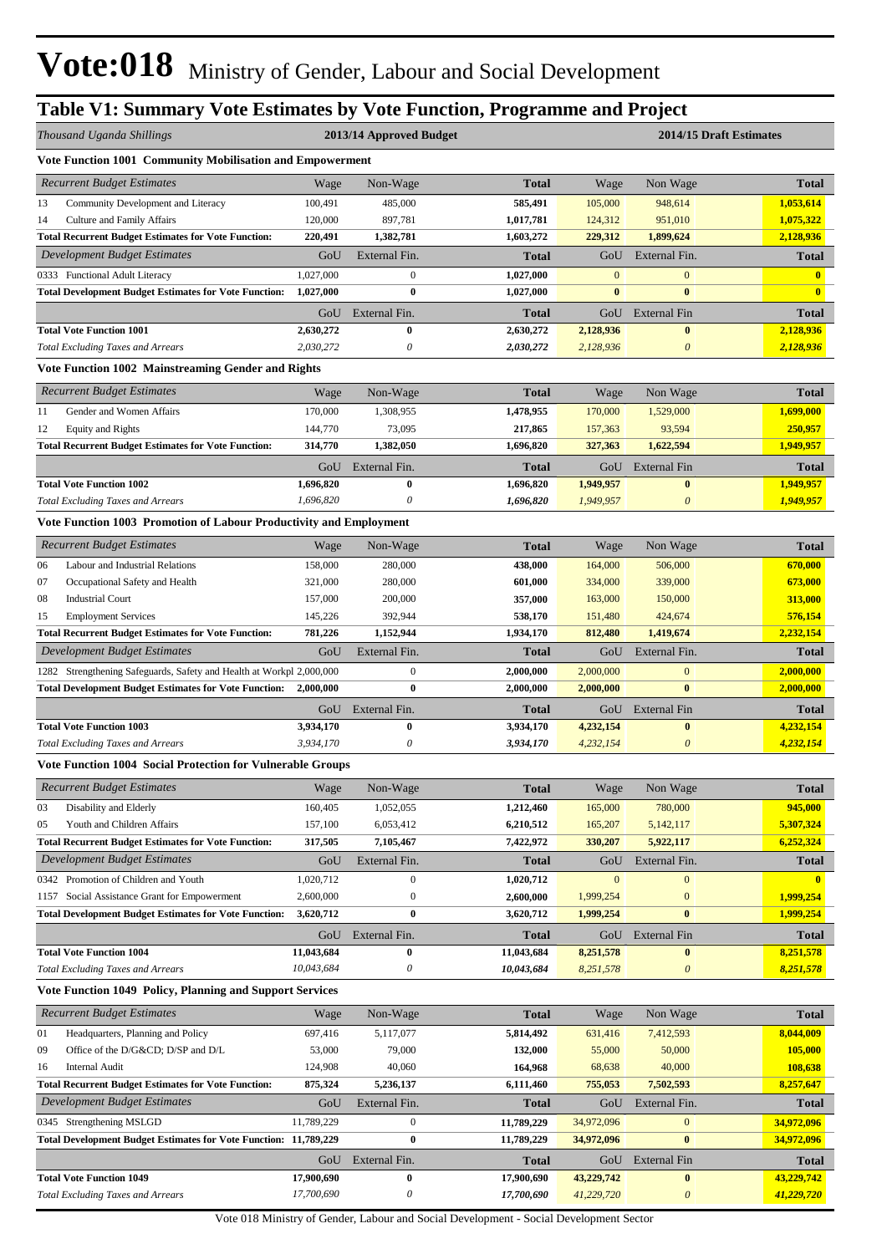# **Table V1: Summary Vote Estimates by Vote Function, Programme and Project**

| Thousand Uganda Shillings                                                                                                            |                          | 2013/14 Approved Budget           | 2014/15 Draft Estimates  |                          |                                       |                           |  |
|--------------------------------------------------------------------------------------------------------------------------------------|--------------------------|-----------------------------------|--------------------------|--------------------------|---------------------------------------|---------------------------|--|
| Vote Function 1001 Community Mobilisation and Empowerment                                                                            |                          |                                   |                          |                          |                                       |                           |  |
| <b>Recurrent Budget Estimates</b>                                                                                                    | Wage                     | Non-Wage                          | <b>Total</b>             | Wage                     | Non Wage                              | <b>Total</b>              |  |
| 13<br>Community Development and Literacy                                                                                             | 100,491                  | 485,000                           | 585,491                  | 105,000                  | 948,614                               | 1,053,614                 |  |
| <b>Culture and Family Affairs</b><br>14                                                                                              | 120,000                  | 897,781                           | 1,017,781                | 124,312                  | 951,010                               | 1,075,322                 |  |
| <b>Total Recurrent Budget Estimates for Vote Function:</b>                                                                           | 220,491                  | 1,382,781                         | 1,603,272                | 229,312                  | 1,899,624                             | 2,128,936                 |  |
| <b>Development Budget Estimates</b>                                                                                                  | GoU                      | External Fin.                     | <b>Total</b>             | GoU                      | External Fin.                         | <b>Total</b>              |  |
| 0333 Functional Adult Literacy                                                                                                       | 1,027,000                | $\boldsymbol{0}$                  | 1,027,000                | $\mathbf{0}$             | $\mathbf{0}$                          | $\mathbf{0}$              |  |
| <b>Total Development Budget Estimates for Vote Function:</b>                                                                         | 1,027,000                | $\bf{0}$                          | 1,027,000                | $\bf{0}$                 | $\bf{0}$                              | $\mathbf{0}$              |  |
| <b>Total Vote Function 1001</b>                                                                                                      | GoU                      | External Fin.                     | Total                    | GoU                      | <b>External Fin</b>                   | <b>Total</b>              |  |
| <b>Total Excluding Taxes and Arrears</b>                                                                                             | 2,630,272<br>2,030,272   | $\bf{0}$<br>0                     | 2,630,272<br>2,030,272   | 2,128,936<br>2,128,936   | $\bf{0}$<br>$\theta$                  | 2,128,936<br>2,128,936    |  |
| Vote Function 1002 Mainstreaming Gender and Rights                                                                                   |                          |                                   |                          |                          |                                       |                           |  |
| <b>Recurrent Budget Estimates</b>                                                                                                    | Wage                     | Non-Wage                          | <b>Total</b>             | Wage                     | Non Wage                              | <b>Total</b>              |  |
| Gender and Women Affairs<br>11                                                                                                       | 170,000                  | 1,308,955                         | 1,478,955                | 170,000                  | 1,529,000                             | 1,699,000                 |  |
| 12<br><b>Equity and Rights</b>                                                                                                       | 144,770                  | 73,095                            | 217,865                  | 157,363                  | 93,594                                | 250,957                   |  |
| <b>Total Recurrent Budget Estimates for Vote Function:</b>                                                                           | 314,770                  | 1,382,050                         | 1,696,820                | 327,363                  | 1,622,594                             | 1,949,957                 |  |
|                                                                                                                                      | GoU                      | External Fin.                     | Total                    | GoU                      | <b>External Fin</b>                   | <b>Total</b>              |  |
| <b>Total Vote Function 1002</b>                                                                                                      | 1,696,820                | $\bf{0}$                          | 1,696,820                | 1,949,957                | $\bf{0}$                              | 1,949,957                 |  |
| <b>Total Excluding Taxes and Arrears</b>                                                                                             | 1,696,820                | $\boldsymbol{\theta}$             | 1,696,820                | 1,949,957                | $\boldsymbol{\theta}$                 | 1,949,957                 |  |
| Vote Function 1003 Promotion of Labour Productivity and Employment                                                                   |                          |                                   |                          |                          |                                       |                           |  |
| <b>Recurrent Budget Estimates</b>                                                                                                    | Wage                     | Non-Wage                          | <b>Total</b>             | Wage                     | Non Wage                              | <b>Total</b>              |  |
| 06<br>Labour and Industrial Relations                                                                                                | 158,000                  | 280,000                           | 438,000                  | 164,000                  | 506,000                               | 670,000                   |  |
| 07<br>Occupational Safety and Health                                                                                                 | 321,000                  | 280,000                           | 601,000                  | 334,000                  | 339,000                               | 673,000                   |  |
| <b>Industrial Court</b><br>08                                                                                                        | 157,000                  | 200,000                           | 357,000                  | 163,000                  | 150,000                               | 313,000                   |  |
| 15<br><b>Employment Services</b>                                                                                                     | 145,226                  | 392,944                           | 538,170                  | 151,480                  | 424,674                               | 576,154                   |  |
| <b>Total Recurrent Budget Estimates for Vote Function:</b>                                                                           | 781,226                  | 1,152,944                         | 1,934,170                | 812,480                  | 1,419,674                             | 2,232,154                 |  |
| Development Budget Estimates                                                                                                         | GoU                      | External Fin.<br>$\boldsymbol{0}$ | <b>Total</b>             | GoU                      | External Fin.                         | <b>Total</b>              |  |
| 1282 Strengthening Safeguards, Safety and Health at Workpl 2,000,000<br><b>Total Development Budget Estimates for Vote Function:</b> | 2,000,000                | $\bf{0}$                          | 2,000,000<br>2,000,000   | 2,000,000<br>2,000,000   | $\boldsymbol{0}$<br>$\bf{0}$          | 2,000,000<br>2,000,000    |  |
|                                                                                                                                      | GoU                      | External Fin.                     | Total                    | GoU                      | External Fin                          | <b>Total</b>              |  |
| <b>Total Vote Function 1003</b>                                                                                                      | 3,934,170                | $\bf{0}$                          | 3,934,170                | 4,232,154                | $\bf{0}$                              | 4,232,154                 |  |
| <b>Total Excluding Taxes and Arrears</b>                                                                                             | 3,934,170                | 0                                 | 3,934,170                | 4,232,154                | $\theta$                              | 4,232,154                 |  |
| <b>Vote Function 1004 Social Protection for Vulnerable Groups</b>                                                                    |                          |                                   |                          |                          |                                       |                           |  |
| <b>Recurrent Budget Estimates</b>                                                                                                    | Wage                     | Non-Wage                          | <b>Total</b>             | Wage                     | Non Wage                              | <b>Total</b>              |  |
| Disability and Elderly<br>03                                                                                                         | 160,405                  | 1,052,055                         | 1,212,460                | 165,000                  | 780,000                               | 945,000                   |  |
| Youth and Children Affairs<br>05                                                                                                     | 157,100                  | 6,053,412                         | 6,210,512                | 165,207                  | 5,142,117                             | 5,307,324                 |  |
| <b>Total Recurrent Budget Estimates for Vote Function:</b>                                                                           | 317,505                  | 7,105,467                         | 7,422,972                | 330,207                  | 5,922,117                             | 6,252,324                 |  |
| Development Budget Estimates                                                                                                         | GoU                      | External Fin.                     | <b>Total</b>             | GoU                      | External Fin.                         | <b>Total</b>              |  |
| 0342 Promotion of Children and Youth                                                                                                 | 1,020,712                | $\boldsymbol{0}$                  | 1,020,712                | $\mathbf{0}$             | $\mathbf{0}$                          | $\mathbf{0}$              |  |
| 1157 Social Assistance Grant for Empowerment<br><b>Total Development Budget Estimates for Vote Function:</b>                         | 2,600,000<br>3,620,712   | $\boldsymbol{0}$<br>$\bf{0}$      | 2,600,000<br>3,620,712   | 1,999,254<br>1,999,254   | $\boldsymbol{0}$<br>$\bf{0}$          | 1,999,254<br>1,999,254    |  |
|                                                                                                                                      |                          |                                   |                          |                          |                                       |                           |  |
| <b>Total Vote Function 1004</b>                                                                                                      | GoU<br>11,043,684        | External Fin.<br>$\bf{0}$         | Total<br>11,043,684      | GoU<br>8,251,578         | External Fin<br>$\bf{0}$              | <b>Total</b><br>8,251,578 |  |
| <b>Total Excluding Taxes and Arrears</b>                                                                                             | 10,043,684               | 0                                 | 10,043,684               | 8,251,578                | $\boldsymbol{\theta}$                 | 8,251,578                 |  |
| <b>Vote Function 1049 Policy, Planning and Support Services</b>                                                                      |                          |                                   |                          |                          |                                       |                           |  |
| <b>Recurrent Budget Estimates</b>                                                                                                    | Wage                     | Non-Wage                          | <b>Total</b>             | Wage                     | Non Wage                              | <b>Total</b>              |  |
| 01<br>Headquarters, Planning and Policy                                                                                              | 697,416                  | 5,117,077                         | 5,814,492                | 631,416                  | 7,412,593                             | 8,044,009                 |  |
| 09<br>Office of the D/G&CD D/SP and D/L                                                                                              | 53,000                   | 79,000                            | 132,000                  | 55,000                   | 50,000                                | 105,000                   |  |
| <b>Internal Audit</b><br>16                                                                                                          | 124,908                  | 40,060                            | 164,968                  | 68,638                   | 40,000                                | 108,638                   |  |
| <b>Total Recurrent Budget Estimates for Vote Function:</b>                                                                           | 875,324                  | 5,236,137                         | 6,111,460                | 755,053                  | 7,502,593                             | 8,257,647                 |  |
| Development Budget Estimates                                                                                                         | GoU                      | External Fin.                     | <b>Total</b>             | GoU                      | External Fin.                         | <b>Total</b>              |  |
| 0345 Strengthening MSLGD                                                                                                             | 11,789,229               | $\boldsymbol{0}$                  | 11,789,229               | 34,972,096               | $\mathbf{0}$                          | 34,972,096                |  |
| <b>Total Development Budget Estimates for Vote Function: 11,789,229</b>                                                              |                          | 0                                 | 11,789,229               | 34,972,096               | $\bf{0}$                              | 34,972,096                |  |
|                                                                                                                                      | GoU                      | External Fin.                     | Total                    | GoU                      | <b>External Fin</b>                   | <b>Total</b>              |  |
| <b>Total Vote Function 1049</b><br><b>Total Excluding Taxes and Arrears</b>                                                          | 17,900,690<br>17,700,690 | $\bf{0}$<br>$\boldsymbol{\theta}$ | 17,900,690<br>17,700,690 | 43,229,742<br>41,229,720 | $\bf{0}$<br>$\boldsymbol{\mathit{0}}$ | 43,229,742<br>41,229,720  |  |
|                                                                                                                                      |                          |                                   |                          |                          |                                       |                           |  |

Vote 018 Ministry of Gender, Labour and Social Development - Social Development Sector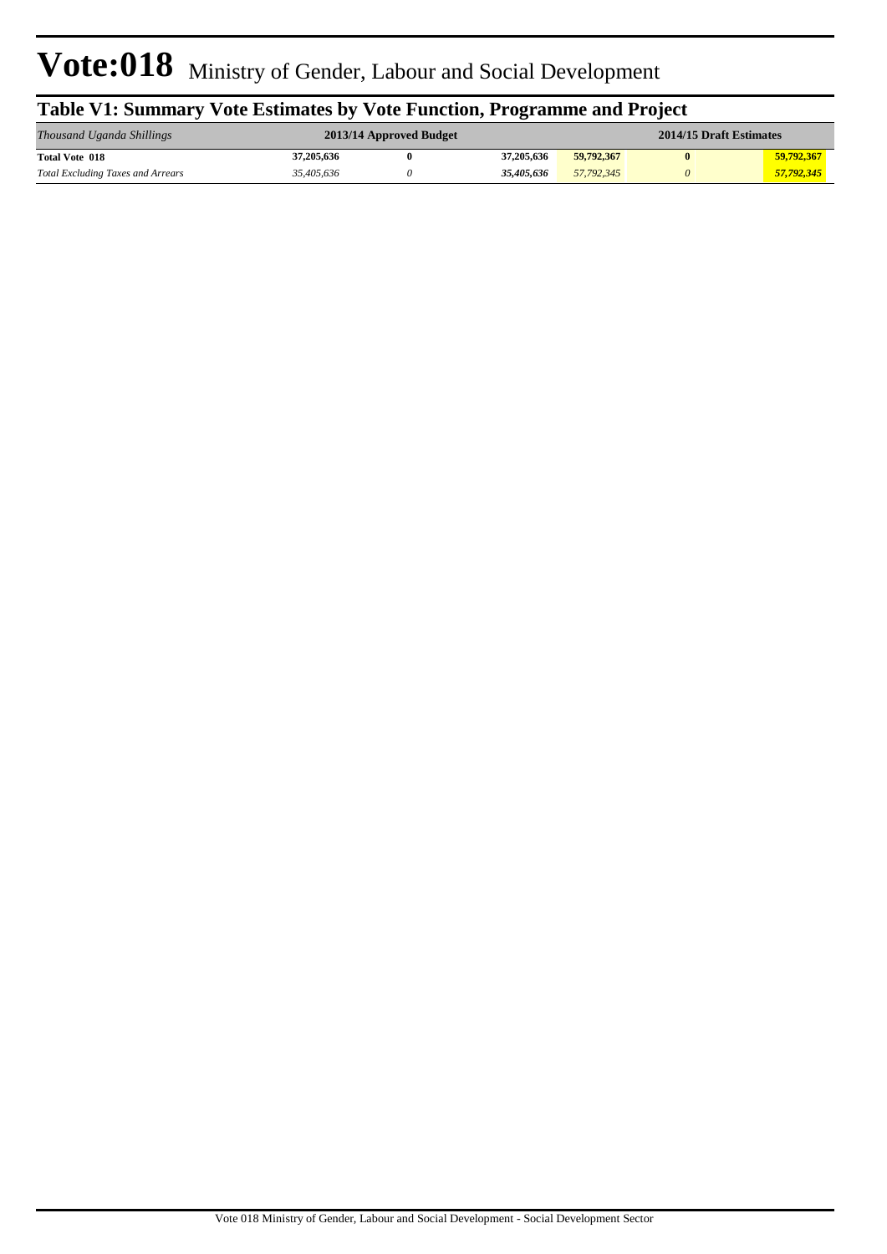| Table V1: Summary Vote Estimates by Vote Function, Programme and Project |            |                         |            |                         |   |            |  |  |  |  |
|--------------------------------------------------------------------------|------------|-------------------------|------------|-------------------------|---|------------|--|--|--|--|
| Thousand Uganda Shillings                                                |            | 2013/14 Approved Budget |            | 2014/15 Draft Estimates |   |            |  |  |  |  |
| <b>Total Vote 018</b>                                                    | 37,205,636 |                         | 37,205,636 | 59,792,367              | 0 | 59.792.367 |  |  |  |  |
| <b>Total Excluding Taxes and Arrears</b>                                 | 35,405,636 |                         | 35,405,636 | 57,792,345              | 0 | 57,792,345 |  |  |  |  |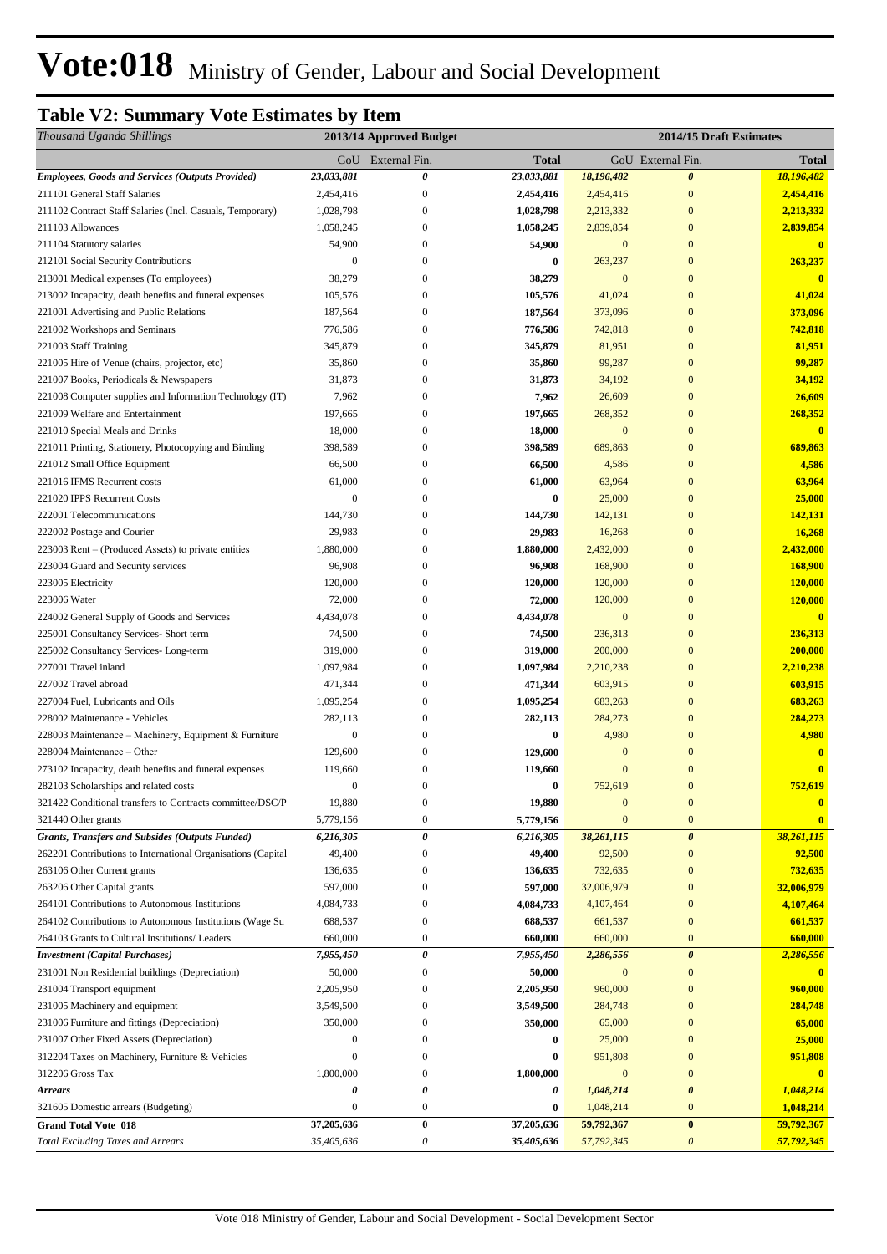# **Table V2: Summary Vote Estimates by Item**

| Thousand Uganda Shillings                                    |                  | 2013/14 Approved Budget | 2014/15 Draft Estimates |                |                       |              |
|--------------------------------------------------------------|------------------|-------------------------|-------------------------|----------------|-----------------------|--------------|
|                                                              |                  | GoU External Fin.       | <b>Total</b>            |                | GoU External Fin.     | <b>Total</b> |
| <b>Employees, Goods and Services (Outputs Provided)</b>      | 23,033,881       | 0                       | 23,033,881              | 18,196,482     | $\boldsymbol{\theta}$ | 18,196,482   |
| 211101 General Staff Salaries                                | 2,454,416        | $\boldsymbol{0}$        | 2,454,416               | 2,454,416      | $\boldsymbol{0}$      | 2,454,416    |
| 211102 Contract Staff Salaries (Incl. Casuals, Temporary)    | 1,028,798        | $\boldsymbol{0}$        | 1,028,798               | 2,213,332      | $\mathbf{0}$          | 2,213,332    |
| 211103 Allowances                                            | 1,058,245        | $\overline{0}$          | 1,058,245               | 2,839,854      | $\mathbf{0}$          | 2,839,854    |
| 211104 Statutory salaries                                    | 54,900           | 0                       | 54,900                  | $\mathbf{0}$   | $\mathbf{0}$          | $\bf{0}$     |
| 212101 Social Security Contributions                         | $\mathbf{0}$     | 0                       | $\bf{0}$                | 263,237        | $\mathbf{0}$          | 263,237      |
| 213001 Medical expenses (To employees)                       | 38,279           | 0                       | 38,279                  | $\overline{0}$ | $\mathbf{0}$          | $\mathbf{0}$ |
| 213002 Incapacity, death benefits and funeral expenses       | 105,576          | 0                       | 105,576                 | 41,024         | $\overline{0}$        | 41,024       |
| 221001 Advertising and Public Relations                      | 187,564          | $\overline{0}$          | 187,564                 | 373,096        | $\mathbf{0}$          | 373,096      |
| 221002 Workshops and Seminars                                | 776,586          | 0                       | 776,586                 | 742,818        | $\mathbf{0}$          | 742,818      |
| 221003 Staff Training                                        | 345,879          | 0                       | 345,879                 | 81,951         | $\mathbf{0}$          | 81,951       |
| 221005 Hire of Venue (chairs, projector, etc)                | 35,860           | $\overline{0}$          | 35,860                  | 99,287         | $\mathbf{0}$          | 99,287       |
| 221007 Books, Periodicals & Newspapers                       | 31,873           | 0                       | 31,873                  | 34,192         | $\mathbf{0}$          | 34,192       |
| 221008 Computer supplies and Information Technology (IT)     | 7,962            | $\boldsymbol{0}$        | 7,962                   | 26,609         | $\mathbf{0}$          | 26,609       |
| 221009 Welfare and Entertainment                             | 197,665          | 0                       | 197,665                 | 268,352        | $\boldsymbol{0}$      | 268,352      |
| 221010 Special Meals and Drinks                              | 18,000           | 0                       | 18,000                  | $\mathbf{0}$   | $\mathbf{0}$          | $\bf{0}$     |
| 221011 Printing, Stationery, Photocopying and Binding        | 398,589          | 0                       | 398,589                 | 689,863        | $\bf{0}$              | 689,863      |
| 221012 Small Office Equipment                                | 66,500           | $\boldsymbol{0}$        | 66,500                  | 4,586          | $\mathbf{0}$          | 4,586        |
| 221016 IFMS Recurrent costs                                  | 61,000           | $\boldsymbol{0}$        | 61,000                  | 63,964         | $\mathbf{0}$          | 63,964       |
| 221020 IPPS Recurrent Costs                                  | $\mathbf{0}$     | 0                       | $\bf{0}$                | 25,000         | $\mathbf{0}$          | 25,000       |
| 222001 Telecommunications                                    | 144,730          | 0                       | 144,730                 | 142,131        | $\boldsymbol{0}$      | 142,131      |
| 222002 Postage and Courier                                   | 29,983           | 0                       | 29,983                  | 16,268         | $\boldsymbol{0}$      | 16,268       |
| 223003 Rent – (Produced Assets) to private entities          | 1,880,000        | $\overline{0}$          | 1,880,000               | 2,432,000      | $\mathbf{0}$          | 2,432,000    |
| 223004 Guard and Security services                           | 96,908           | 0                       | 96,908                  | 168,900        | $\boldsymbol{0}$      | 168,900      |
| 223005 Electricity                                           | 120,000          | 0                       | 120,000                 | 120,000        | $\mathbf{0}$          | 120,000      |
| 223006 Water                                                 | 72,000           | 0                       | 72,000                  | 120,000        | $\boldsymbol{0}$      | 120,000      |
| 224002 General Supply of Goods and Services                  | 4,434,078        | 0                       | 4,434,078               | $\mathbf{0}$   | $\boldsymbol{0}$      | $\mathbf{0}$ |
| 225001 Consultancy Services- Short term                      | 74,500           | $\overline{0}$          | 74,500                  | 236,313        | $\boldsymbol{0}$      | 236,313      |
| 225002 Consultancy Services-Long-term                        | 319,000          | 0                       | 319,000                 | 200,000        | $\boldsymbol{0}$      | 200,000      |
| 227001 Travel inland                                         | 1,097,984        | $\overline{0}$          | 1,097,984               | 2,210,238      | $\mathbf{0}$          | 2,210,238    |
| 227002 Travel abroad                                         | 471,344          | 0                       | 471,344                 | 603,915        | $\mathbf{0}$          | 603,915      |
| 227004 Fuel, Lubricants and Oils                             | 1,095,254        | $\overline{0}$          | 1,095,254               | 683,263        | $\mathbf{0}$          | 683,263      |
| 228002 Maintenance - Vehicles                                | 282,113          | $\overline{0}$          | 282,113                 | 284,273        | $\mathbf{0}$          | 284,273      |
| 228003 Maintenance - Machinery, Equipment & Furniture        | $\boldsymbol{0}$ | 0                       | $\bf{0}$                | 4,980          | $\mathbf{0}$          | 4,980        |
| 228004 Maintenance – Other                                   | 129,600          | 0                       | 129,600                 | $\mathbf{0}$   | $\boldsymbol{0}$      | $\bf{0}$     |
| 273102 Incapacity, death benefits and funeral expenses       | 119,660          | 0                       | 119,660                 | $\bf{0}$       | $\bf{0}$              | $\mathbf{0}$ |
| 282103 Scholarships and related costs                        | $\boldsymbol{0}$ | $\boldsymbol{0}$        | $\bf{0}$                | 752,619        | $\overline{0}$        | 752,619      |
| 321422 Conditional transfers to Contracts committee/DSC/P    | 19,880           | $\boldsymbol{0}$        | 19,880                  | $\mathbf{0}$   | $\boldsymbol{0}$      | $\bf{0}$     |
| 321440 Other grants                                          | 5,779,156        | $\boldsymbol{0}$        | 5,779,156               | $\mathbf{0}$   | $\mathbf{0}$          | $\mathbf{0}$ |
| Grants, Transfers and Subsides (Outputs Funded)              | 6,216,305        | $\pmb{\theta}$          | 6,216,305               | 38,261,115     | $\boldsymbol{\theta}$ | 38,261,115   |
| 262201 Contributions to International Organisations (Capital | 49,400           | $\mathbf{0}$            | 49,400                  | 92,500         | $\mathbf{0}$          | 92,500       |
| 263106 Other Current grants                                  | 136,635          | 0                       | 136,635                 | 732,635        | $\mathbf{0}$          | 732,635      |
| 263206 Other Capital grants                                  | 597,000          | 0                       | 597,000                 | 32,006,979     | $\mathbf{0}$          | 32,006,979   |
| 264101 Contributions to Autonomous Institutions              | 4,084,733        | 0                       | 4,084,733               | 4,107,464      | $\boldsymbol{0}$      | 4,107,464    |
| 264102 Contributions to Autonomous Institutions (Wage Su     | 688,537          | 0                       | 688,537                 | 661,537        | $\mathbf{0}$          | 661,537      |
| 264103 Grants to Cultural Institutions/ Leaders              | 660,000          | $\boldsymbol{0}$        | 660,000                 | 660,000        | $\mathbf{0}$          | 660,000      |
| <b>Investment</b> (Capital Purchases)                        | 7,955,450        | 0                       | 7,955,450               | 2,286,556      | $\boldsymbol{\theta}$ | 2,286,556    |
| 231001 Non Residential buildings (Depreciation)              | 50,000           | $\boldsymbol{0}$        | 50,000                  | $\mathbf{0}$   | $\mathbf{0}$          |              |
| 231004 Transport equipment                                   | 2,205,950        | 0                       | 2,205,950               | 960,000        | $\boldsymbol{0}$      | 960,000      |
| 231005 Machinery and equipment                               | 3,549,500        | 0                       | 3,549,500               | 284,748        | $\boldsymbol{0}$      | 284,748      |
| 231006 Furniture and fittings (Depreciation)                 | 350,000          | 0                       | 350,000                 | 65,000         | $\boldsymbol{0}$      | 65,000       |
| 231007 Other Fixed Assets (Depreciation)                     | $\boldsymbol{0}$ | 0                       | 0                       | 25,000         | $\mathbf{0}$          | 25,000       |
| 312204 Taxes on Machinery, Furniture & Vehicles              | $\boldsymbol{0}$ | 0                       | $\bf{0}$                | 951,808        | $\boldsymbol{0}$      | 951,808      |
| 312206 Gross Tax                                             | 1,800,000        | $\boldsymbol{0}$        | 1,800,000               | $\mathbf{0}$   | $\mathbf{0}$          | $\bf{0}$     |
| <b>Arrears</b>                                               | 0                | $\pmb{\theta}$          | 0                       | 1,048,214      | $\boldsymbol{\theta}$ | 1,048,214    |
| 321605 Domestic arrears (Budgeting)                          | $\boldsymbol{0}$ | $\boldsymbol{0}$        | $\bf{0}$                | 1,048,214      | $\boldsymbol{0}$      | 1,048,214    |
| <b>Grand Total Vote 018</b>                                  | 37,205,636       | $\bf{0}$                | 37,205,636              | 59,792,367     | $\bf{0}$              | 59,792,367   |
| <b>Total Excluding Taxes and Arrears</b>                     | 35,405,636       | 0                       | 35,405,636              | 57,792,345     | $\boldsymbol{\theta}$ | 57,792,345   |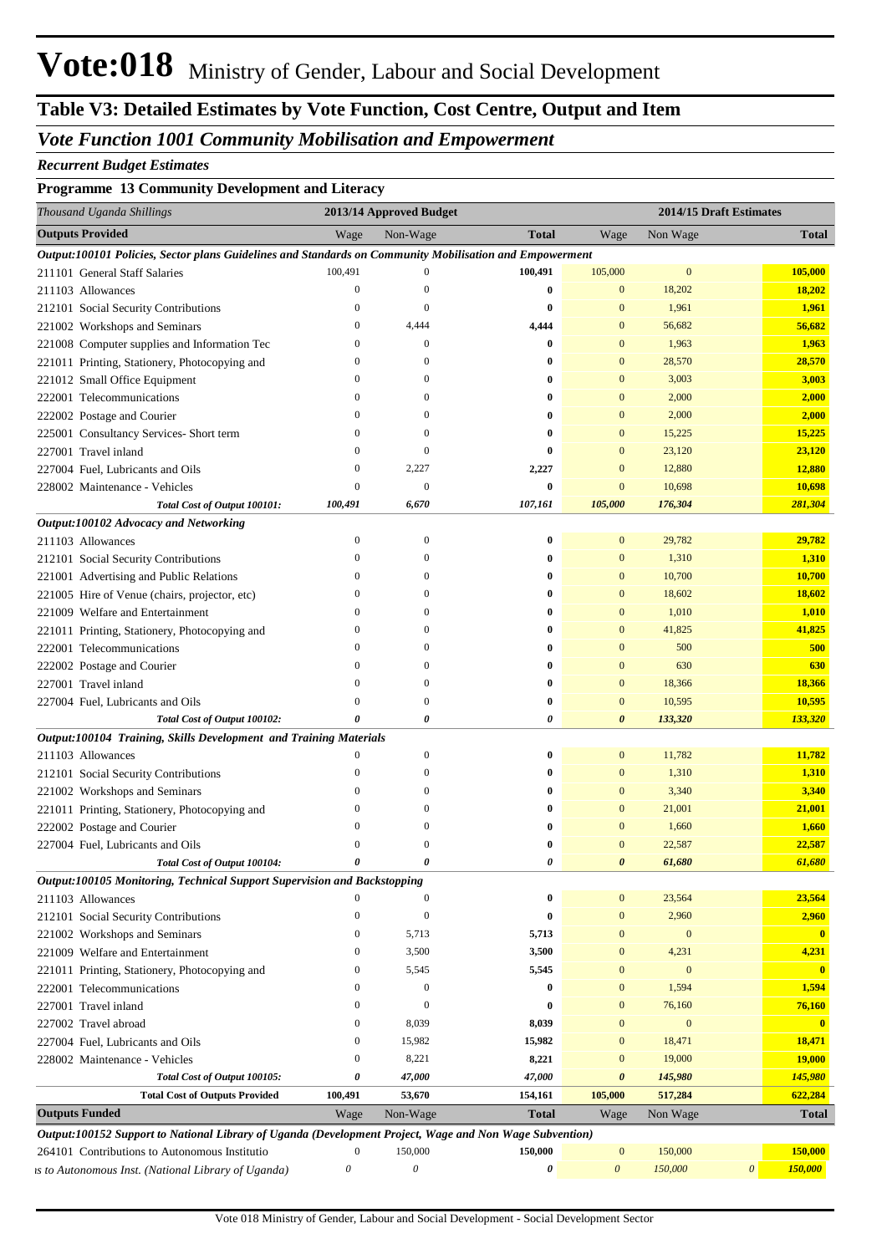## *Vote Function 1001 Community Mobilisation and Empowerment*

#### *Recurrent Budget Estimates*

#### **Programme 13 Community Development and Literacy**

| Thousand Uganda Shillings                                                                               |                       | 2013/14 Approved Budget   |                       |                           | 2014/15 Draft Estimates |          |                         |
|---------------------------------------------------------------------------------------------------------|-----------------------|---------------------------|-----------------------|---------------------------|-------------------------|----------|-------------------------|
| <b>Outputs Provided</b>                                                                                 | Wage                  | Non-Wage                  | <b>Total</b>          | Wage                      | Non Wage                |          | <b>Total</b>            |
| Output:100101 Policies, Sector plans Guidelines and Standards on Community Mobilisation and Empowerment |                       |                           |                       |                           |                         |          |                         |
| 211101 General Staff Salaries                                                                           | 100,491               | $\boldsymbol{0}$          | 100,491               | 105,000                   | $\bf{0}$                |          | 105,000                 |
| 211103 Allowances                                                                                       | $\overline{0}$        | $\mathbf{0}$              | $\bf{0}$              | $\mathbf{0}$              | 18,202                  |          | 18,202                  |
| 212101 Social Security Contributions                                                                    | $\theta$              | $\boldsymbol{0}$          | $\bf{0}$              | $\mathbf{0}$              | 1,961                   |          | 1,961                   |
| 221002 Workshops and Seminars                                                                           | $\mathbf{0}$          | 4,444                     | 4,444                 | $\mathbf{0}$              | 56,682                  |          | 56,682                  |
| 221008 Computer supplies and Information Tec                                                            | $\theta$              | $\bf{0}$                  | $\bf{0}$              | $\mathbf{0}$              | 1,963                   |          | 1,963                   |
| 221011 Printing, Stationery, Photocopying and                                                           | $\Omega$              | $\mathbf{0}$              | 0                     | $\mathbf{0}$              | 28,570                  |          | 28,570                  |
| 221012 Small Office Equipment                                                                           | $\Omega$              | $\theta$                  | 0                     | $\mathbf{0}$              | 3,003                   |          | 3,003                   |
| 222001 Telecommunications                                                                               | $\Omega$              | $\Omega$                  | 0                     | $\mathbf{0}$              | 2,000                   |          | 2,000                   |
| 222002 Postage and Courier                                                                              | $\Omega$              | $\theta$                  | 0                     | $\mathbf{0}$              | 2,000                   |          | 2,000                   |
| 225001 Consultancy Services- Short term                                                                 | $\theta$              | $\mathbf{0}$              | 0                     | $\mathbf{0}$              | 15,225                  |          | 15,225                  |
| 227001 Travel inland                                                                                    | $\theta$              | $\boldsymbol{0}$          | $\bf{0}$              | $\mathbf{0}$              | 23,120                  |          | 23,120                  |
| 227004 Fuel, Lubricants and Oils                                                                        | $\boldsymbol{0}$      | 2,227                     | 2,227                 | $\mathbf{0}$              | 12,880                  |          | 12,880                  |
| 228002 Maintenance - Vehicles                                                                           | $\overline{0}$        | $\mathbf{0}$              | $\bf{0}$              | $\mathbf{0}$              | 10,698                  |          | 10,698                  |
| Total Cost of Output 100101:                                                                            | 100,491               | 6,670                     | 107,161               | 105,000                   | 176,304                 |          | 281,304                 |
| Output:100102 Advocacy and Networking                                                                   |                       |                           |                       |                           |                         |          |                         |
| 211103 Allowances                                                                                       | $\boldsymbol{0}$      | $\bf{0}$                  | 0                     | $\mathbf{0}$              | 29,782                  |          | 29,782                  |
| 212101 Social Security Contributions                                                                    | $\Omega$              | $\theta$                  | 0                     | $\mathbf{0}$              | 1,310                   |          | 1,310                   |
| 221001 Advertising and Public Relations                                                                 | $\Omega$              | $\mathbf{0}$              | 0                     | $\mathbf{0}$              | 10,700                  |          | 10,700                  |
| 221005 Hire of Venue (chairs, projector, etc)                                                           | $\Omega$              | $\Omega$                  | 0                     | $\mathbf{0}$              | 18,602                  |          | 18,602                  |
| 221009 Welfare and Entertainment                                                                        | $\Omega$              | $\Omega$                  | 0                     | $\mathbf{0}$              | 1,010                   |          | 1,010                   |
| 221011 Printing, Stationery, Photocopying and                                                           | $\Omega$              | $\Omega$                  | 0                     | $\mathbf{0}$              | 41,825                  |          | 41,825                  |
| 222001 Telecommunications                                                                               | $\Omega$              | $\Omega$                  | 0                     | $\mathbf{0}$              | 500                     |          | 500                     |
| 222002 Postage and Courier                                                                              | $\Omega$              | $\theta$                  | $\mathbf 0$           | $\mathbf{0}$              | 630                     |          | 630                     |
| 227001 Travel inland                                                                                    | $\Omega$              | $\theta$                  | $\bf{0}$              | $\mathbf{0}$              | 18,366                  |          | 18,366                  |
| 227004 Fuel, Lubricants and Oils                                                                        | $\Omega$              | $\boldsymbol{0}$          | $\bf{0}$              | $\mathbf{0}$              | 10,595                  |          | 10,595                  |
| Total Cost of Output 100102:                                                                            | 0                     | 0                         | $\boldsymbol{\theta}$ | $\boldsymbol{\theta}$     | 133,320                 |          | 133,320                 |
| Output:100104 Training, Skills Development and Training Materials                                       |                       |                           |                       |                           |                         |          |                         |
| 211103 Allowances                                                                                       | 0                     | $\boldsymbol{0}$          | $\bf{0}$              | $\mathbf{0}$              | 11,782                  |          | 11,782                  |
| 212101 Social Security Contributions                                                                    | $\mathbf{0}$          | $\boldsymbol{0}$          | 0                     | $\mathbf{0}$              | 1,310                   |          | 1,310                   |
| 221002 Workshops and Seminars                                                                           | $\theta$              | $\boldsymbol{0}$          | 0                     | $\mathbf{0}$              | 3,340                   |          | 3,340                   |
| 221011 Printing, Stationery, Photocopying and                                                           | $\Omega$              | $\theta$                  | 0                     | $\mathbf{0}$              | 21,001                  |          | 21,001                  |
| 222002 Postage and Courier                                                                              | $\Omega$              | 0                         | 0                     | $\mathbf{0}$              | 1,660                   |          | 1,660                   |
| 227004 Fuel, Lubricants and Oils                                                                        | $\Omega$              | 0                         | -0                    | $\mathbf{0}$              | 22,587                  |          | 22,587                  |
| Total Cost of Output 100104:                                                                            | $\theta$              | $\theta$                  | $\theta$              | $\theta$                  | 61,680                  |          | 61,680                  |
| Output:100105 Monitoring, Technical Support Supervision and Backstopping                                |                       |                           |                       |                           |                         |          |                         |
| 211103 Allowances                                                                                       |                       | 0                         | $\bf{0}$              | $\Omega$                  | 23,564                  |          | 23,564                  |
| 212101 Social Security Contributions                                                                    | $\boldsymbol{0}$      | $\boldsymbol{0}$          | $\bf{0}$              | $\mathbf{0}$              | 2,960                   |          | 2,960                   |
| 221002 Workshops and Seminars                                                                           | $\mathbf{0}$          | 5,713                     | 5,713                 | $\mathbf{0}$              | $\bf{0}$                |          | $\mathbf{0}$            |
| 221009 Welfare and Entertainment                                                                        | $\mathbf{0}$          | 3,500                     | 3,500                 | $\mathbf{0}$              | 4,231                   |          | 4,231                   |
| 221011 Printing, Stationery, Photocopying and                                                           | $\theta$              | 5,545                     | 5,545                 | $\mathbf{0}$              | $\mathbf{0}$            |          | $\mathbf{0}$            |
| 222001 Telecommunications                                                                               | $\theta$              | $\boldsymbol{0}$          | $\bf{0}$              | $\mathbf{0}$              | 1,594                   |          | 1,594                   |
| 227001 Travel inland                                                                                    | $\Omega$              | $\boldsymbol{0}$          | $\bf{0}$              | $\mathbf{0}$              | 76,160                  |          | 76,160                  |
| 227002 Travel abroad                                                                                    | 0                     | 8,039                     | 8,039                 | $\mathbf{0}$              | $\mathbf{0}$            |          | $\overline{\mathbf{0}}$ |
| 227004 Fuel, Lubricants and Oils                                                                        | $\mathbf{0}$          | 15,982                    | 15,982                | $\mathbf{0}$              | 18,471                  |          | 18,471                  |
| 228002 Maintenance - Vehicles                                                                           | $\mathbf{0}$          | 8,221                     | 8,221                 | $\mathbf{0}$              | 19,000                  |          | 19,000                  |
| Total Cost of Output 100105:                                                                            | 0                     | 47,000                    | 47,000                | $\boldsymbol{\theta}$     | 145,980                 |          | 145,980                 |
| <b>Total Cost of Outputs Provided</b>                                                                   | 100,491               | 53,670                    | 154,161               | 105,000                   | 517,284                 |          | 622,284                 |
| <b>Outputs Funded</b>                                                                                   | Wage                  | Non-Wage                  | <b>Total</b>          | Wage                      | Non Wage                |          | <b>Total</b>            |
| Output:100152 Support to National Library of Uganda (Development Project, Wage and Non Wage Subvention) |                       |                           |                       |                           |                         |          |                         |
| 264101 Contributions to Autonomous Institutio                                                           | $\boldsymbol{0}$      | 150,000                   | 150,000               | $\bf{0}$                  | 150,000                 |          | 150,000                 |
| is to Autonomous Inst. (National Library of Uganda)                                                     | $\boldsymbol{\theta}$ | $\boldsymbol{\mathit{0}}$ | 0                     | $\boldsymbol{\mathit{0}}$ | 150,000                 | $\theta$ | 150,000                 |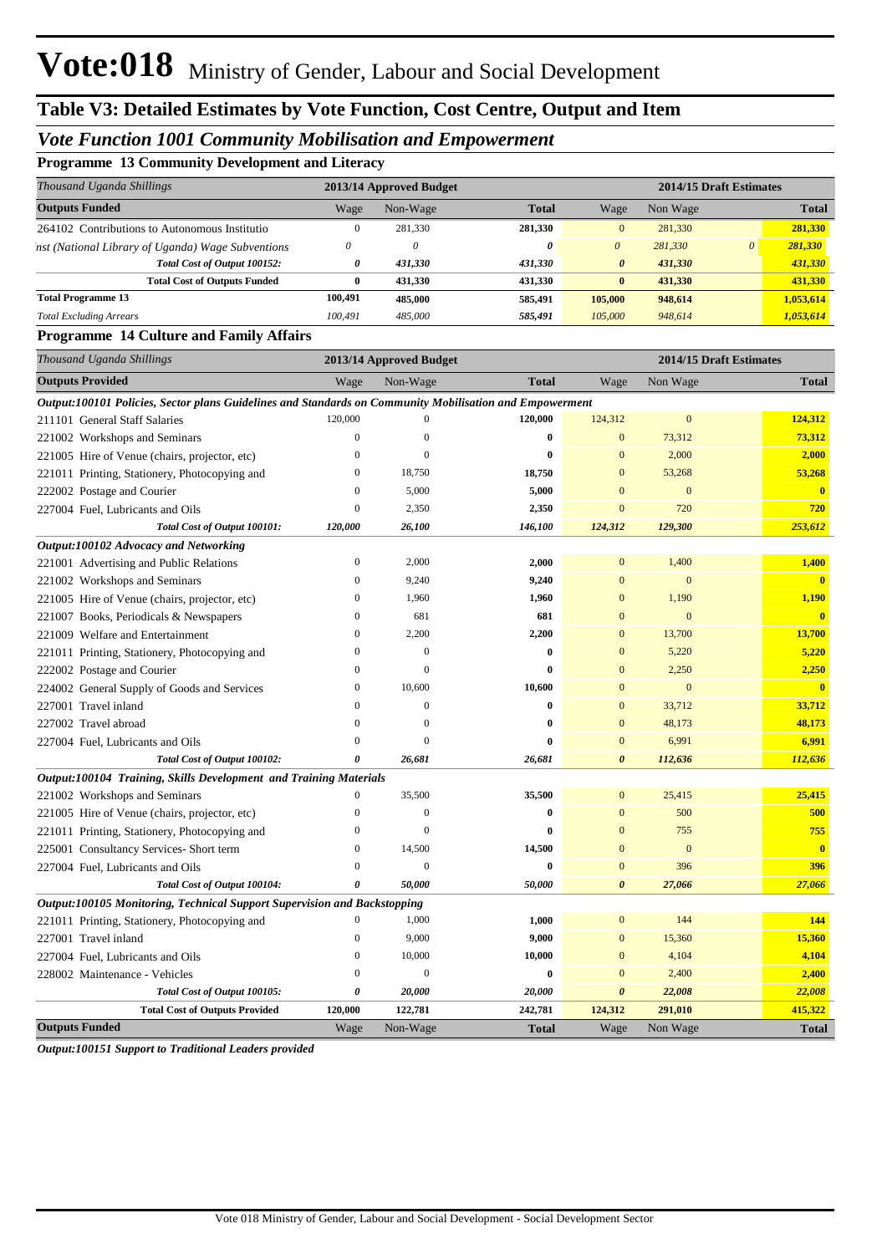## *Vote Function 1001 Community Mobilisation and Empowerment*

**Programme 13 Community Development and Literacy**

| Thousand Uganda Shillings                                                                               |                  | 2013/14 Approved Budget   |              |                       |                  | 2014/15 Draft Estimates |                         |  |
|---------------------------------------------------------------------------------------------------------|------------------|---------------------------|--------------|-----------------------|------------------|-------------------------|-------------------------|--|
| <b>Outputs Funded</b>                                                                                   | Wage             | Non-Wage                  | <b>Total</b> | Wage                  | Non Wage         |                         | <b>Total</b>            |  |
| 264102 Contributions to Autonomous Institutio                                                           | $\mathbf{0}$     | 281,330                   | 281,330      | $\mathbf{0}$          | 281,330          |                         | 281,330                 |  |
| 'nst (National Library of Uganda) Wage Subventions                                                      | $\theta$         | $\boldsymbol{\mathit{0}}$ | 0            | $\boldsymbol{\theta}$ | 281,330          | $\boldsymbol{\theta}$   | 281,330                 |  |
| Total Cost of Output 100152:                                                                            | 0                | 431,330                   | 431,330      | 0                     | 431,330          |                         | 431,330                 |  |
| <b>Total Cost of Outputs Funded</b>                                                                     | $\bf{0}$         | 431,330                   | 431,330      | $\bf{0}$              | 431,330          |                         | 431,330                 |  |
| <b>Total Programme 13</b>                                                                               | 100,491          | 485,000                   | 585,491      | 105,000               | 948,614          |                         | 1,053,614               |  |
| <b>Total Excluding Arrears</b>                                                                          | 100,491          | 485,000                   | 585,491      | 105,000               | 948,614          |                         | 1,053,614               |  |
| <b>Programme 14 Culture and Family Affairs</b>                                                          |                  |                           |              |                       |                  |                         |                         |  |
| Thousand Uganda Shillings                                                                               |                  | 2013/14 Approved Budget   |              |                       |                  | 2014/15 Draft Estimates |                         |  |
| <b>Outputs Provided</b>                                                                                 | Wage             | Non-Wage                  | <b>Total</b> | Wage                  | Non Wage         |                         | <b>Total</b>            |  |
| Output:100101 Policies, Sector plans Guidelines and Standards on Community Mobilisation and Empowerment |                  |                           |              |                       |                  |                         |                         |  |
| 211101 General Staff Salaries                                                                           | 120,000          | $\mathbf{0}$              | 120,000      | 124,312               | $\mathbf{0}$     |                         | 124,312                 |  |
| 221002 Workshops and Seminars                                                                           | $\overline{0}$   | $\mathbf{0}$              | $\bf{0}$     | $\boldsymbol{0}$      | 73,312           |                         | 73,312                  |  |
| 221005 Hire of Venue (chairs, projector, etc)                                                           | $\mathbf{0}$     | $\mathbf{0}$              | $\bf{0}$     | $\overline{0}$        | 2,000            |                         | 2,000                   |  |
| 221011 Printing, Stationery, Photocopying and                                                           | $\theta$         | 18,750                    | 18,750       | $\overline{0}$        | 53,268           |                         | 53,268                  |  |
| 222002 Postage and Courier                                                                              | $\Omega$         | 5,000                     | 5,000        | $\overline{0}$        | $\mathbf{0}$     |                         | $\overline{\mathbf{0}}$ |  |
| 227004 Fuel, Lubricants and Oils                                                                        | $\mathbf{0}$     | 2,350                     | 2,350        | $\overline{0}$        | 720              |                         | 720                     |  |
| Total Cost of Output 100101:                                                                            | 120,000          | 26,100                    | 146,100      | 124,312               | 129,300          |                         | 253,612                 |  |
| Output:100102 Advocacy and Networking                                                                   |                  |                           |              |                       |                  |                         |                         |  |
| 221001 Advertising and Public Relations                                                                 | $\boldsymbol{0}$ | 2,000                     | 2,000        | $\boldsymbol{0}$      | 1,400            |                         | 1,400                   |  |
| 221002 Workshops and Seminars                                                                           | $\theta$         | 9,240                     | 9,240        | $\mathbf{0}$          | $\boldsymbol{0}$ |                         | $\overline{\mathbf{0}}$ |  |
| 221005 Hire of Venue (chairs, projector, etc)                                                           | $\Omega$         | 1,960                     | 1,960        | $\mathbf{0}$          | 1,190            |                         | 1,190                   |  |
| 221007 Books, Periodicals & Newspapers                                                                  | $\theta$         | 681                       | 681          | $\mathbf{0}$          | $\mathbf{0}$     |                         | $\overline{\mathbf{0}}$ |  |
| 221009 Welfare and Entertainment                                                                        | $\Omega$         | 2,200                     | 2,200        | $\mathbf{0}$          | 13,700           |                         | 13,700                  |  |
| 221011 Printing, Stationery, Photocopying and                                                           | $\theta$         | $\boldsymbol{0}$          | 0            | $\Omega$              | 5,220            |                         | 5,220                   |  |
| 222002 Postage and Courier                                                                              | $\Omega$         | $\boldsymbol{0}$          | $\mathbf{0}$ | $\mathbf{0}$          | 2,250            |                         | 2,250                   |  |
| 224002 General Supply of Goods and Services                                                             | $\mathbf{0}$     | 10,600                    | 10,600       | $\overline{0}$        | $\boldsymbol{0}$ |                         | $\overline{\mathbf{0}}$ |  |
| 227001 Travel inland                                                                                    | $\theta$         | $\boldsymbol{0}$          | $\bf{0}$     | $\mathbf{0}$          | 33,712           |                         | 33,712                  |  |
| 227002 Travel abroad                                                                                    | $\Omega$         | $\mathbf{0}$              | $\bf{0}$     | $\mathbf{0}$          | 48,173           |                         | 48,173                  |  |
| 227004 Fuel, Lubricants and Oils                                                                        | $\Omega$         | $\mathbf{0}$              | $\mathbf{0}$ | $\mathbf{0}$          | 6,991            |                         | 6,991                   |  |
| Total Cost of Output 100102:                                                                            | 0                | 26,681                    | 26,681       | $\boldsymbol{\theta}$ | 112,636          |                         | 112,636                 |  |
| Output:100104 Training, Skills Development and Training Materials                                       |                  |                           |              |                       |                  |                         |                         |  |
| 221002 Workshops and Seminars                                                                           | $\boldsymbol{0}$ | 35,500                    | 35,500       | $\mathbf{0}$          | 25,415           |                         | 25,415                  |  |
| 221005 Hire of Venue (chairs, projector, etc)                                                           | $\bf{0}$         | $\boldsymbol{0}$          | 0            | $\mathbf{0}$          | 500              |                         | 500                     |  |
| 221011 Printing, Stationery, Photocopying and                                                           | $\mathbf{0}$     | $\boldsymbol{0}$          | $\bf{0}$     | $\theta$              | 755              |                         | 755                     |  |
| 225001 Consultancy Services- Short term                                                                 | $\boldsymbol{0}$ | 14,500                    | 14,500       | $\bf{0}$              | $\bf{0}$         |                         | $\bullet$               |  |
| 227004 Fuel, Lubricants and Oils                                                                        | $\boldsymbol{0}$ | $\boldsymbol{0}$          | $\bf{0}$     | $\bf{0}$              | 396              |                         | 396                     |  |
| Total Cost of Output 100104:                                                                            | 0                | 50,000                    | 50,000       | $\boldsymbol{\theta}$ | 27,066           |                         | 27,066                  |  |
| Output:100105 Monitoring, Technical Support Supervision and Backstopping                                |                  |                           |              |                       |                  |                         |                         |  |
| 221011 Printing, Stationery, Photocopying and                                                           | $\overline{0}$   | 1,000                     | 1,000        | $\boldsymbol{0}$      | 144              |                         | 144                     |  |
| 227001 Travel inland                                                                                    | $\boldsymbol{0}$ | 9,000                     | 9,000        | $\bf{0}$              | 15,360           |                         | 15,360                  |  |
| 227004 Fuel, Lubricants and Oils                                                                        | $\boldsymbol{0}$ | 10,000                    | 10,000       | $\mathbf{0}$          | 4,104            |                         | 4,104                   |  |
| 228002 Maintenance - Vehicles                                                                           | $\mathbf{0}$     | $\boldsymbol{0}$          | $\bf{0}$     | $\boldsymbol{0}$      | 2,400            |                         | 2,400                   |  |
| Total Cost of Output 100105:                                                                            | 0                | 20,000                    | 20,000       | $\pmb{\theta}$        | 22,008           |                         | 22,008                  |  |
| <b>Total Cost of Outputs Provided</b>                                                                   | 120,000          | 122,781                   | 242,781      | 124,312               | 291,010          |                         | 415,322                 |  |
| <b>Outputs Funded</b>                                                                                   | Wage             | Non-Wage                  | <b>Total</b> | Wage                  | Non Wage         |                         | <b>Total</b>            |  |
|                                                                                                         |                  |                           |              |                       |                  |                         |                         |  |

*Output:100151 Support to Traditional Leaders provided*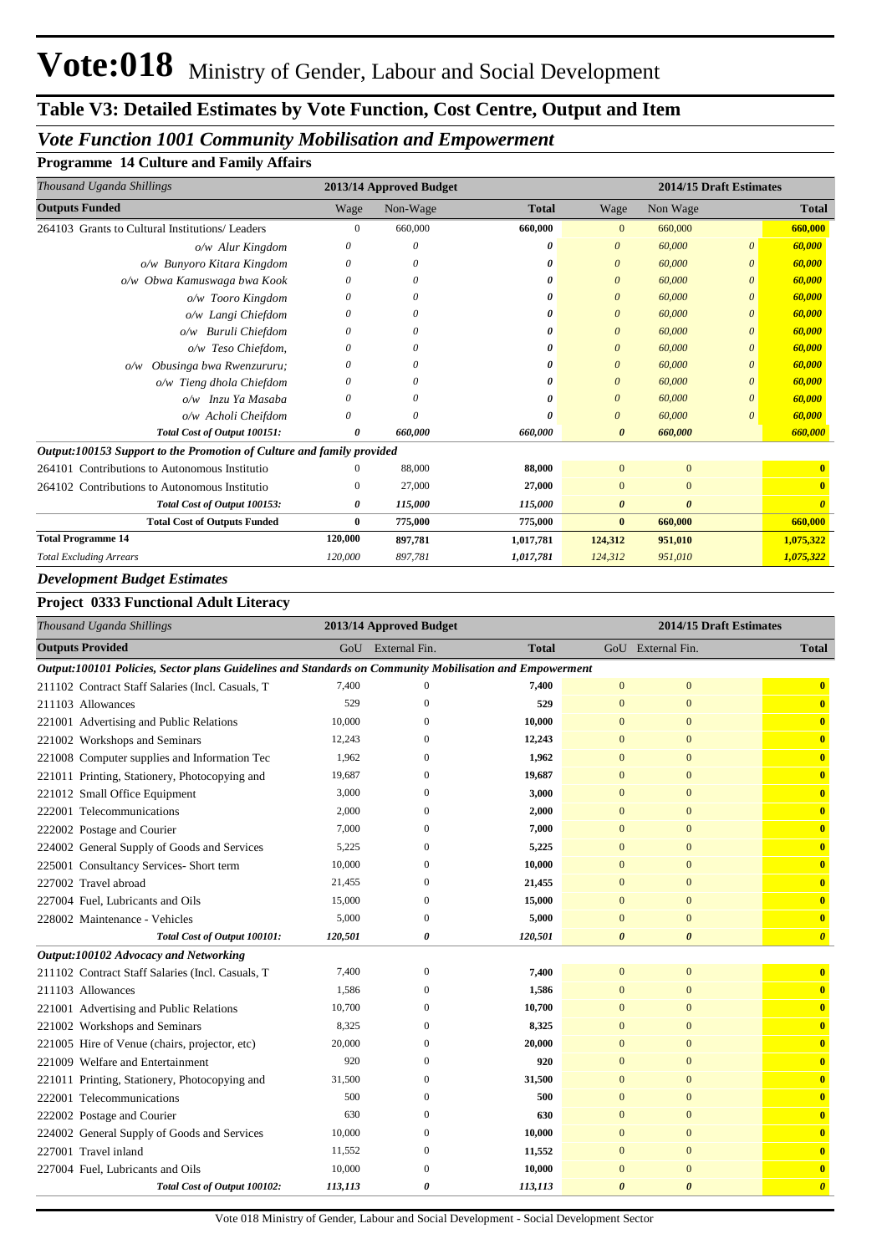## *Vote Function 1001 Community Mobilisation and Empowerment*

**Programme 14 Culture and Family Affairs**

| Thousand Uganda Shillings                                             |              | 2013/14 Approved Budget |              | 2014/15 Draft Estimates |                       |          |                                  |
|-----------------------------------------------------------------------|--------------|-------------------------|--------------|-------------------------|-----------------------|----------|----------------------------------|
| <b>Outputs Funded</b>                                                 | Wage         | Non-Wage                | <b>Total</b> | Wage                    | Non Wage              |          | <b>Total</b>                     |
| 264103 Grants to Cultural Institutions/ Leaders                       | $\mathbf{0}$ | 660,000                 | 660,000      | $\mathbf{0}$            | 660,000               |          | 660,000                          |
| o/w Alur Kingdom                                                      | 0            | 0                       | 0            | $\theta$                | 60,000                | 0        | 60,000                           |
| o/w Bunyoro Kitara Kingdom                                            | 0            | 0                       | 0            | $\theta$                | 60,000                | 0        | 60,000                           |
| o/w Obwa Kamuswaga bwa Kook                                           | 0            | 0                       | 0            | $\boldsymbol{0}$        | 60,000                | 0        | 60,000                           |
| o/w Tooro Kingdom                                                     | 0            | 0                       | 0            | $\boldsymbol{0}$        | 60,000                |          | 60,000                           |
| o/w Langi Chiefdom                                                    | 0            | 0                       | o            | $\theta$                | 60,000                | 0        | 60,000                           |
| <b>Buruli Chiefdom</b><br>O/W                                         | 0            | 0                       | 0            | $\theta$                | 60,000                |          | 60,000                           |
| o/w Teso Chiefdom,                                                    | 0            | 0                       | 0            | $\theta$                | 60,000                | 0        | 60,000                           |
| Obusinga bwa Rwenzururu;<br>O/W                                       | 0            |                         | 0            | $\theta$                | 60,000                | 0        | 60,000                           |
| o/w Tieng dhola Chiefdom                                              | 0            | $\theta$                |              | $\theta$                | 60,000                | 0        | 60,000                           |
| o/w Inzu Ya Masaba                                                    | 0            |                         |              | $\theta$                | 60,000                | 0        | 60,000                           |
| o/w Acholi Cheifdom                                                   | 0            | $\theta$                | o            | $\theta$                | 60,000                | $\Omega$ | 60,000                           |
| Total Cost of Output 100151:                                          | 0            | 660,000                 | 660,000      | $\theta$                | 660,000               |          | 660,000                          |
| Output:100153 Support to the Promotion of Culture and family provided |              |                         |              |                         |                       |          |                                  |
| 264101 Contributions to Autonomous Institutio                         | $^{(1)}$     | 88,000                  | 88,000       | $\Omega$                | $\mathbf{0}$          |          |                                  |
| Contributions to Autonomous Institutio<br>264102                      | $\mathbf{0}$ | 27,000                  | 27,000       | $\Omega$                | $\mathbf{0}$          |          | $\mathbf{0}$                     |
| Total Cost of Output 100153:                                          | 0            | 115,000                 | 115,000      | $\boldsymbol{\theta}$   | $\boldsymbol{\theta}$ |          | $\overline{\boldsymbol{\theta}}$ |
| <b>Total Cost of Outputs Funded</b>                                   | 0            | 775,000                 | 775,000      | $\bf{0}$                | 660,000               |          | 660,000                          |
| <b>Total Programme 14</b>                                             | 120,000      | 897,781                 | 1,017,781    | 124,312                 | 951,010               |          | 1,075,322                        |
| <b>Total Excluding Arrears</b>                                        | 120,000      | 897,781                 | 1,017,781    | 124,312                 | 951,010               |          | 1,075,322                        |

### *Development Budget Estimates*

#### **Project 0333 Functional Adult Literacy**

| Thousand Uganda Shillings                                                                               |         | 2013/14 Approved Budget |              | 2014/15 Draft Estimates |                       |                         |  |
|---------------------------------------------------------------------------------------------------------|---------|-------------------------|--------------|-------------------------|-----------------------|-------------------------|--|
| <b>Outputs Provided</b>                                                                                 |         | GoU External Fin.       | <b>Total</b> |                         | GoU External Fin.     | <b>Total</b>            |  |
| Output:100101 Policies, Sector plans Guidelines and Standards on Community Mobilisation and Empowerment |         |                         |              |                         |                       |                         |  |
| 211102 Contract Staff Salaries (Incl. Casuals, T                                                        | 7,400   | $\mathbf{0}$            | 7,400        | $\mathbf{0}$            | $\mathbf{0}$          | $\bf{0}$                |  |
| 211103 Allowances                                                                                       | 529     | $\Omega$                | 529          | $\mathbf{0}$            | $\mathbf{0}$          | $\overline{\mathbf{0}}$ |  |
| 221001 Advertising and Public Relations                                                                 | 10,000  | 0                       | 10,000       | $\mathbf{0}$            | $\Omega$              | $\overline{\mathbf{0}}$ |  |
| 221002 Workshops and Seminars                                                                           | 12,243  | $\Omega$                | 12,243       | $\mathbf{0}$            | $\mathbf{0}$          | $\bf{0}$                |  |
| 221008 Computer supplies and Information Tec                                                            | 1,962   | $\Omega$                | 1,962        | $\overline{0}$          | $\mathbf{0}$          | $\bf{0}$                |  |
| 221011 Printing, Stationery, Photocopying and                                                           | 19,687  | 0                       | 19,687       | $\mathbf{0}$            | $\mathbf{0}$          | $\bf{0}$                |  |
| 221012 Small Office Equipment                                                                           | 3,000   | $\mathbf{0}$            | 3,000        | $\mathbf{0}$            | $\mathbf{0}$          | $\bf{0}$                |  |
| 222001 Telecommunications                                                                               | 2,000   | $\Omega$                | 2,000        | $\overline{0}$          | $\mathbf{0}$          | $\bf{0}$                |  |
| 222002 Postage and Courier                                                                              | 7,000   | 0                       | 7,000        | $\mathbf{0}$            | $\mathbf{0}$          | $\bf{0}$                |  |
| 224002 General Supply of Goods and Services                                                             | 5,225   | 0                       | 5,225        | $\mathbf{0}$            | $\mathbf{0}$          | $\overline{\mathbf{0}}$ |  |
| 225001 Consultancy Services- Short term                                                                 | 10,000  | $\Omega$                | 10,000       | $\overline{0}$          | $\Omega$              | $\overline{\mathbf{0}}$ |  |
| 227002 Travel abroad                                                                                    | 21,455  | $\Omega$                | 21,455       | $\overline{0}$          | $\mathbf{0}$          | $\bf{0}$                |  |
| 227004 Fuel, Lubricants and Oils                                                                        | 15,000  | $\mathbf{0}$            | 15,000       | $\mathbf{0}$            | $\mathbf{0}$          | $\bf{0}$                |  |
| 228002 Maintenance - Vehicles                                                                           | 5,000   | $\Omega$                | 5,000        | $\overline{0}$          | $\mathbf{0}$          | $\bf{0}$                |  |
| Total Cost of Output 100101:                                                                            | 120,501 | 0                       | 120,501      | $\boldsymbol{\theta}$   | $\boldsymbol{\theta}$ | $\boldsymbol{\theta}$   |  |
| Output:100102 Advocacy and Networking                                                                   |         |                         |              |                         |                       |                         |  |
| 211102 Contract Staff Salaries (Incl. Casuals, T                                                        | 7,400   | $\Omega$                | 7,400        | $\mathbf{0}$            | $\mathbf{0}$          | $\bf{0}$                |  |
| 211103 Allowances                                                                                       | 1,586   | $\Omega$                | 1,586        | $\overline{0}$          | $\mathbf{0}$          | $\overline{\mathbf{0}}$ |  |
| 221001 Advertising and Public Relations                                                                 | 10,700  | $\mathbf{0}$            | 10,700       | $\mathbf{0}$            | $\mathbf{0}$          | $\overline{\mathbf{0}}$ |  |
| 221002 Workshops and Seminars                                                                           | 8,325   | $\mathbf{0}$            | 8,325        | $\overline{0}$          | $\mathbf{0}$          | $\bf{0}$                |  |
| 221005 Hire of Venue (chairs, projector, etc)                                                           | 20,000  | $\Omega$                | 20,000       | $\bf{0}$                | $\mathbf{0}$          | $\bf{0}$                |  |
| 221009 Welfare and Entertainment                                                                        | 920     | $\Omega$                | 920          | $\mathbf{0}$            | $\mathbf{0}$          | $\mathbf{0}$            |  |
| 221011 Printing, Stationery, Photocopying and                                                           | 31,500  | $\Omega$                | 31,500       | $\overline{0}$          | $\mathbf{0}$          | $\bf{0}$                |  |
| 222001 Telecommunications                                                                               | 500     | 0                       | 500          | $\mathbf{0}$            | $\mathbf{0}$          | $\bf{0}$                |  |
| 222002 Postage and Courier                                                                              | 630     | $\Omega$                | 630          | $\overline{0}$          | $\mathbf{0}$          | $\mathbf{0}$            |  |
| 224002 General Supply of Goods and Services                                                             | 10,000  | $\Omega$                | 10,000       | $\overline{0}$          | $\mathbf{0}$          | $\bf{0}$                |  |
| 227001 Travel inland                                                                                    | 11,552  | $\mathbf{0}$            | 11,552       | $\mathbf{0}$            | $\mathbf{0}$          | $\bf{0}$                |  |
| 227004 Fuel, Lubricants and Oils                                                                        | 10,000  | $\mathbf{0}$            | 10,000       | $\bf{0}$                | $\mathbf{0}$          | $\overline{\mathbf{0}}$ |  |
| Total Cost of Output 100102:                                                                            | 113,113 | 0                       | 113,113      | $\boldsymbol{\theta}$   | $\boldsymbol{\theta}$ | $\boldsymbol{\theta}$   |  |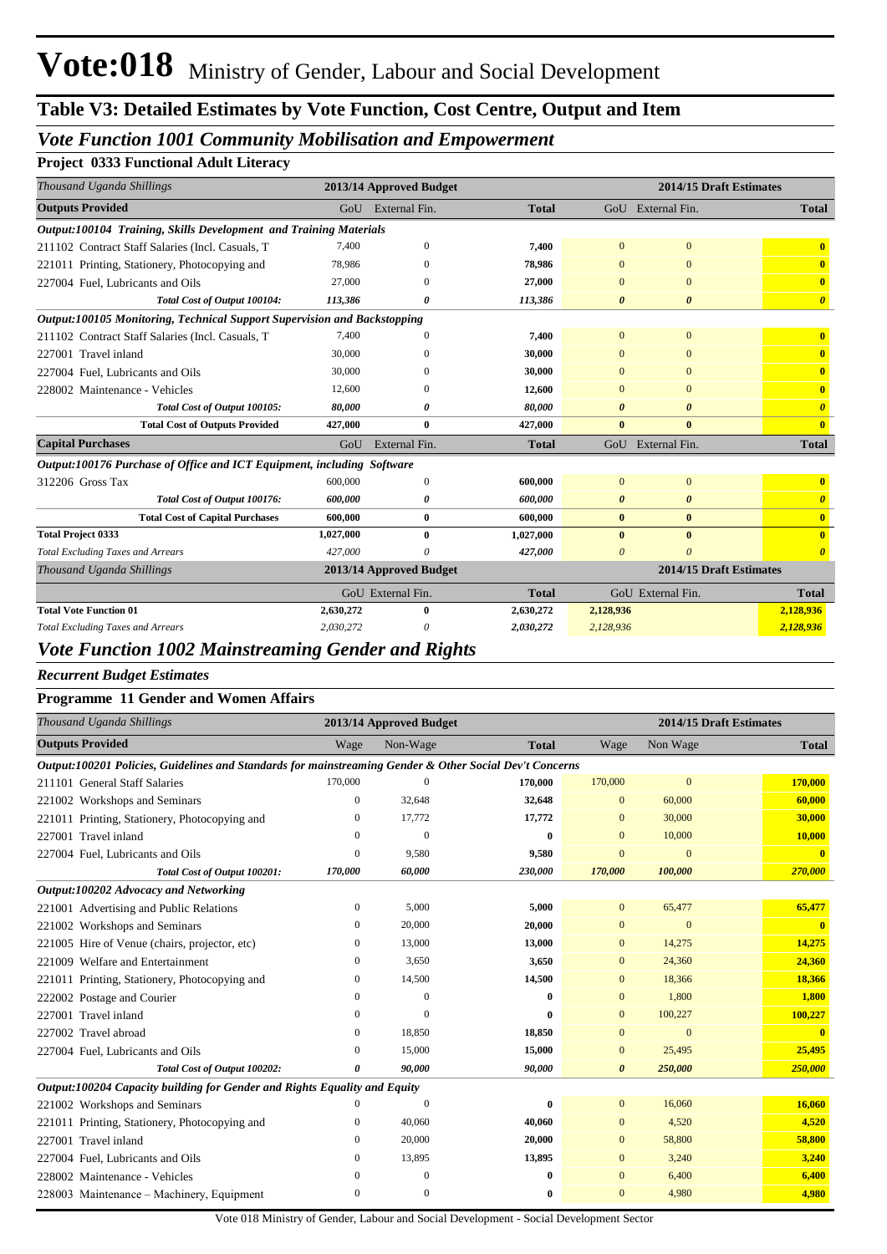# *Vote Function 1001 Community Mobilisation and Empowerment*

#### **Project 0333 Functional Adult Literacy**

| Thousand Uganda Shillings                                                |           | 2013/14 Approved Budget |              | 2014/15 Draft Estimates |                   |                         |  |  |  |
|--------------------------------------------------------------------------|-----------|-------------------------|--------------|-------------------------|-------------------|-------------------------|--|--|--|
| <b>Outputs Provided</b>                                                  |           | GoU External Fin.       | <b>Total</b> |                         | GoU External Fin. | <b>Total</b>            |  |  |  |
| Output:100104 Training, Skills Development and Training Materials        |           |                         |              |                         |                   |                         |  |  |  |
| 211102 Contract Staff Salaries (Incl. Casuals, T                         | 7,400     | $\mathbf{0}$            | 7,400        | $\bf{0}$                | $\mathbf{0}$      | $\bf{0}$                |  |  |  |
| 221011 Printing, Stationery, Photocopying and                            | 78,986    |                         | 78,986       |                         | $\Omega$          | $\mathbf{0}$            |  |  |  |
| 227004 Fuel, Lubricants and Oils                                         | 27,000    |                         | 27,000       | $\Omega$                | $\Omega$          | $\mathbf{0}$            |  |  |  |
| Total Cost of Output 100104:                                             | 113,386   |                         | 113,386      | 0                       | $\theta$          | $\boldsymbol{\theta}$   |  |  |  |
| Output:100105 Monitoring, Technical Support Supervision and Backstopping |           |                         |              |                         |                   |                         |  |  |  |
| 211102 Contract Staff Salaries (Incl. Casuals, T                         | 7,400     |                         | 7,400        | $\mathbf{0}$            | $\mathbf{0}$      | $\mathbf{0}$            |  |  |  |
| 227001 Travel inland                                                     | 30,000    |                         | 30,000       |                         | $\Omega$          | $\mathbf{0}$            |  |  |  |
| 227004 Fuel, Lubricants and Oils                                         | 30,000    |                         | 30,000       | $\Omega$                | $\Omega$          | $\mathbf{0}$            |  |  |  |
| 228002 Maintenance - Vehicles                                            | 12,600    |                         | 12,600       | $\Omega$                | $\Omega$          | $\mathbf{0}$            |  |  |  |
| Total Cost of Output 100105:                                             | 80,000    |                         | 80,000       | 0                       | $\theta$          | $\theta$                |  |  |  |
| <b>Total Cost of Outputs Provided</b>                                    | 427,000   | $\bf{0}$                | 427,000      | $\bf{0}$                | $\mathbf{0}$      | $\mathbf{0}$            |  |  |  |
| <b>Capital Purchases</b>                                                 | GoU       | External Fin.           | <b>Total</b> |                         | GoU External Fin. | <b>Total</b>            |  |  |  |
| Output:100176 Purchase of Office and ICT Equipment, including Software   |           |                         |              |                         |                   |                         |  |  |  |
| 312206 Gross Tax                                                         | 600,000   | $\Omega$                | 600,000      | $\Omega$                | $\mathbf{0}$      | $\mathbf{0}$            |  |  |  |
| Total Cost of Output 100176:                                             | 600,000   | 0                       | 600,000      | $\boldsymbol{\theta}$   | 0                 | $\boldsymbol{\theta}$   |  |  |  |
| <b>Total Cost of Capital Purchases</b>                                   | 600.000   | 0                       | 600,000      | $\mathbf{0}$            | $\bf{0}$          | $\overline{\mathbf{0}}$ |  |  |  |
| <b>Total Project 0333</b>                                                | 1,027,000 | $\bf{0}$                | 1,027,000    | $\bf{0}$                | $\bf{0}$          | $\mathbf{0}$            |  |  |  |
| <b>Total Excluding Taxes and Arrears</b>                                 | 427,000   | G                       | 427,000      | $\theta$                | $\theta$          |                         |  |  |  |
| Thousand Uganda Shillings                                                |           | 2013/14 Approved Budget |              |                         |                   | 2014/15 Draft Estimates |  |  |  |
|                                                                          |           | GoU External Fin.       | <b>Total</b> |                         | GoU External Fin. | <b>Total</b>            |  |  |  |
| <b>Total Vote Function 01</b>                                            | 2,630,272 |                         | 2,630,272    | 2,128,936               |                   | 2,128,936               |  |  |  |
| <b>Total Excluding Taxes and Arrears</b>                                 | 2,030,272 |                         | 2,030,272    | 2,128,936               |                   | 2,128,936               |  |  |  |

#### *Vote Function 1002 Mainstreaming Gender and Rights*

*Recurrent Budget Estimates*

#### **Programme 11 Gender and Women Affairs**

| Thousand Uganda Shillings                                                                               |                | 2013/14 Approved Budget |              | 2014/15 Draft Estimates |              |              |  |
|---------------------------------------------------------------------------------------------------------|----------------|-------------------------|--------------|-------------------------|--------------|--------------|--|
| <b>Outputs Provided</b>                                                                                 | Wage           | Non-Wage                | <b>Total</b> | Wage                    | Non Wage     | <b>Total</b> |  |
| Output:100201 Policies, Guidelines and Standards for mainstreaming Gender & Other Social Dev't Concerns |                |                         |              |                         |              |              |  |
| 211101 General Staff Salaries                                                                           | 170,000        | 0                       | 170,000      | 170,000                 | $\mathbf{0}$ | 170,000      |  |
| 221002 Workshops and Seminars                                                                           | $\Omega$       | 32,648                  | 32,648       | $\mathbf{0}$            | 60,000       | 60,000       |  |
| 221011 Printing, Stationery, Photocopying and                                                           | 0              | 17,772                  | 17,772       | $\mathbf{0}$            | 30,000       | 30,000       |  |
| 227001 Travel inland                                                                                    | 0              | $\mathbf{0}$            | $\bf{0}$     | $\Omega$                | 10,000       | 10,000       |  |
| 227004 Fuel, Lubricants and Oils                                                                        | $\overline{0}$ | 9,580                   | 9,580        | $\overline{0}$          | $\Omega$     | $\mathbf{0}$ |  |
| Total Cost of Output 100201:                                                                            | 170,000        | 60,000                  | 230,000      | 170,000                 | 100,000      | 270,000      |  |
| Output:100202 Advocacy and Networking                                                                   |                |                         |              |                         |              |              |  |
| 221001 Advertising and Public Relations                                                                 | 0              | 5,000                   | 5,000        | $\mathbf{0}$            | 65,477       | 65,477       |  |
| 221002 Workshops and Seminars                                                                           | 0              | 20,000                  | 20,000       | $\mathbf{0}$            | $\Omega$     | $\mathbf{0}$ |  |
| 221005 Hire of Venue (chairs, projector, etc)                                                           | 0              | 13,000                  | 13,000       | $\mathbf{0}$            | 14,275       | 14,275       |  |
| 221009 Welfare and Entertainment                                                                        | 0              | 3,650                   | 3,650        | $\mathbf{0}$            | 24,360       | 24,360       |  |
| 221011 Printing, Stationery, Photocopying and                                                           | 0              | 14,500                  | 14,500       | $\mathbf{0}$            | 18,366       | 18,366       |  |
| 222002 Postage and Courier                                                                              | $\Omega$       | $\Omega$                | $\mathbf{0}$ | $\mathbf{0}$            | 1,800        | 1,800        |  |
| 227001 Travel inland                                                                                    | $\Omega$       | $\Omega$                | $\mathbf{0}$ | $\Omega$                | 100,227      | 100,227      |  |
| 227002 Travel abroad                                                                                    | $\mathbf{0}$   | 18,850                  | 18,850       | $\overline{0}$          | $\mathbf{0}$ |              |  |
| 227004 Fuel, Lubricants and Oils                                                                        | $\mathbf{0}$   | 15,000                  | 15,000       | $\mathbf{0}$            | 25,495       | 25,495       |  |
| Total Cost of Output 100202:                                                                            | 0              | 90,000                  | 90,000       | $\theta$                | 250,000      | 250,000      |  |
| Output:100204 Capacity building for Gender and Rights Equality and Equity                               |                |                         |              |                         |              |              |  |
| 221002 Workshops and Seminars                                                                           | 0              | $\mathbf{0}$            | $\bf{0}$     | $\mathbf{0}$            | 16,060       | 16,060       |  |
| 221011 Printing, Stationery, Photocopying and                                                           | 0              | 40,060                  | 40,060       | $\mathbf{0}$            | 4,520        | 4,520        |  |
| 227001 Travel inland                                                                                    | 0              | 20,000                  | 20,000       | $\Omega$                | 58,800       | 58,800       |  |
| 227004 Fuel, Lubricants and Oils                                                                        | 0              | 13,895                  | 13,895       | $\mathbf{0}$            | 3,240        | 3,240        |  |
| 228002 Maintenance - Vehicles                                                                           | 0              | $\mathbf{0}$            | $\bf{0}$     | $\mathbf{0}$            | 6,400        | 6,400        |  |
| 228003 Maintenance – Machinery, Equipment                                                               | $\mathbf{0}$   | $\overline{0}$          | $\bf{0}$     | $\mathbf{0}$            | 4,980        | 4,980        |  |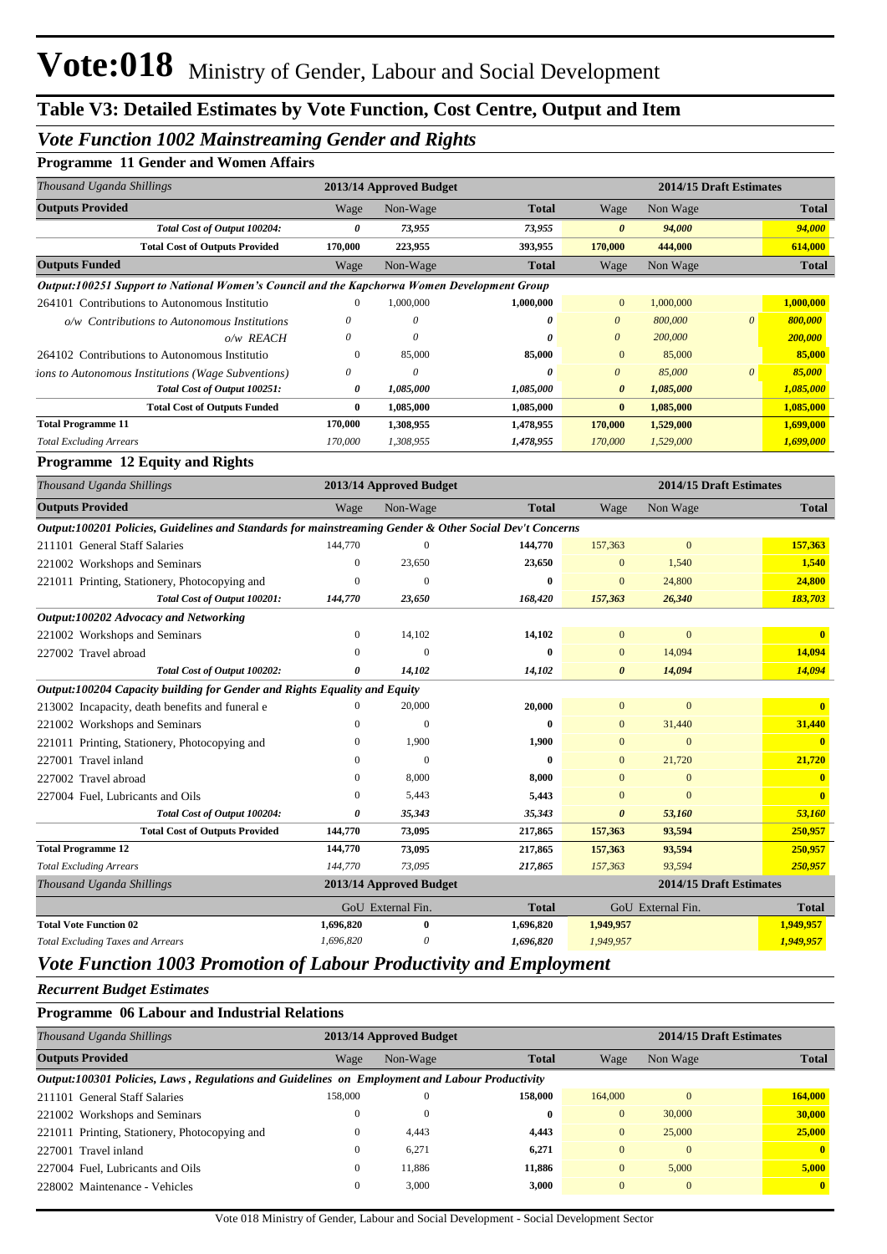# *Vote Function 1002 Mainstreaming Gender and Rights*

| <b>Programme 11 Gender and Women Affairs</b> |  |  |  |  |  |
|----------------------------------------------|--|--|--|--|--|
|----------------------------------------------|--|--|--|--|--|

| Thousand Uganda Shillings                                                                               |                       | 2013/14 Approved Budget   |              |                       | 2014/15 Draft Estimates |                         |                         |  |
|---------------------------------------------------------------------------------------------------------|-----------------------|---------------------------|--------------|-----------------------|-------------------------|-------------------------|-------------------------|--|
| <b>Outputs Provided</b>                                                                                 | Wage                  | Non-Wage                  | <b>Total</b> | Wage                  | Non Wage                |                         | <b>Total</b>            |  |
| Total Cost of Output 100204:                                                                            | $\boldsymbol{\theta}$ | 73,955                    | 73,955       | $\boldsymbol{\theta}$ | 94,000                  |                         | 94,000                  |  |
| <b>Total Cost of Outputs Provided</b>                                                                   | 170,000               | 223,955                   | 393,955      | 170,000               | 444,000                 |                         | 614,000                 |  |
| <b>Outputs Funded</b>                                                                                   | Wage                  | Non-Wage                  | <b>Total</b> | Wage                  | Non Wage                |                         | <b>Total</b>            |  |
| Output:100251 Support to National Women's Council and the Kapchorwa Women Development Group             |                       |                           |              |                       |                         |                         |                         |  |
| 264101 Contributions to Autonomous Institutio                                                           | $\mathbf{0}$          | 1,000,000                 | 1,000,000    | $\mathbf{0}$          | 1,000,000               |                         | 1,000,000               |  |
| o/w Contributions to Autonomous Institutions                                                            | 0                     | $\boldsymbol{\mathit{0}}$ | $\theta$     | $\boldsymbol{\theta}$ | 800,000                 | $\theta$                | 800,000                 |  |
| o/w REACH                                                                                               | 0                     | 0                         | 0            | $\theta$              | 200,000                 |                         | 200,000                 |  |
| 264102 Contributions to Autonomous Institutio                                                           | $\boldsymbol{0}$      | 85,000                    | 85,000       | $\mathbf{0}$          | 85,000                  |                         | 85,000                  |  |
| <i>ions to Autonomous Institutions (Wage Subventions)</i>                                               | 0                     | $\boldsymbol{\mathit{0}}$ | $\theta$     | $\boldsymbol{\theta}$ | 85,000                  | $\boldsymbol{\theta}$   | 85,000                  |  |
| Total Cost of Output 100251:                                                                            | $\boldsymbol{\theta}$ | 1,085,000                 | 1,085,000    | $\boldsymbol{\theta}$ | 1,085,000               |                         | 1,085,000               |  |
| <b>Total Cost of Outputs Funded</b>                                                                     | $\bf{0}$              | 1,085,000                 | 1,085,000    | $\bf{0}$              | 1,085,000               |                         | 1,085,000               |  |
| <b>Total Programme 11</b>                                                                               | 170,000               | 1,308,955                 | 1,478,955    | 170,000               | 1,529,000               |                         | 1,699,000               |  |
| <b>Total Excluding Arrears</b>                                                                          | 170,000               | 1,308,955                 | 1,478,955    | 170,000               | 1,529,000               |                         | 1,699,000               |  |
| <b>Programme 12 Equity and Rights</b>                                                                   |                       |                           |              |                       |                         |                         |                         |  |
| Thousand Uganda Shillings                                                                               |                       | 2013/14 Approved Budget   |              |                       |                         | 2014/15 Draft Estimates |                         |  |
| <b>Outputs Provided</b>                                                                                 | Wage                  | Non-Wage                  | <b>Total</b> | Wage                  | Non Wage                |                         | <b>Total</b>            |  |
| Output:100201 Policies, Guidelines and Standards for mainstreaming Gender & Other Social Dev't Concerns |                       |                           |              |                       |                         |                         |                         |  |
| 211101 General Staff Salaries                                                                           | 144,770               | $\mathbf{0}$              | 144,770      | 157,363               | $\boldsymbol{0}$        |                         | 157,363                 |  |
| 221002 Workshops and Seminars                                                                           | $\boldsymbol{0}$      | 23,650                    | 23,650       | $\boldsymbol{0}$      | 1,540                   |                         | 1,540                   |  |
| 221011 Printing, Stationery, Photocopying and                                                           | $\boldsymbol{0}$      | $\mathbf{0}$              | 0            | $\mathbf{0}$          | 24,800                  |                         | 24,800                  |  |
| Total Cost of Output 100201:                                                                            | 144,770               | 23,650                    | 168,420      | 157,363               | 26,340                  |                         | 183,703                 |  |
| Output:100202 Advocacy and Networking                                                                   |                       |                           |              |                       |                         |                         |                         |  |
| 221002 Workshops and Seminars                                                                           | $\boldsymbol{0}$      | 14,102                    | 14,102       | $\boldsymbol{0}$      | $\mathbf{0}$            |                         | $\mathbf{0}$            |  |
| 227002 Travel abroad                                                                                    | 0                     | $\boldsymbol{0}$          | $\bf{0}$     | $\mathbf{0}$          | 14,094                  |                         | 14,094                  |  |
| Total Cost of Output 100202:                                                                            | 0                     | 14,102                    | 14,102       | $\boldsymbol{\theta}$ | 14,094                  |                         | 14,094                  |  |
| Output:100204 Capacity building for Gender and Rights Equality and Equity                               |                       |                           |              |                       |                         |                         |                         |  |
| 213002 Incapacity, death benefits and funeral e                                                         | $\boldsymbol{0}$      | 20,000                    | 20,000       | $\mathbf{0}$          | $\boldsymbol{0}$        |                         | $\mathbf{0}$            |  |
| 221002 Workshops and Seminars                                                                           | 0                     | $\mathbf{0}$              | $\bf{0}$     | $\mathbf{0}$          | 31,440                  |                         | 31,440                  |  |
| 221011 Printing, Stationery, Photocopying and                                                           | 0                     | 1,900                     | 1,900        | $\mathbf{0}$          | $\boldsymbol{0}$        |                         | $\overline{\mathbf{0}}$ |  |
| 227001 Travel inland                                                                                    | $\mathbf{0}$          | $\mathbf{0}$              | $\bf{0}$     | $\mathbf{0}$          | 21,720                  |                         | 21,720                  |  |
| 227002 Travel abroad                                                                                    | $\mathbf{0}$          | 8,000                     | 8,000        | $\mathbf{0}$          | $\boldsymbol{0}$        |                         | $\mathbf{0}$            |  |
| 227004 Fuel, Lubricants and Oils                                                                        | 0                     | 5,443                     | 5,443        | $\mathbf{0}$          | $\boldsymbol{0}$        |                         | $\mathbf{0}$            |  |
| Total Cost of Output 100204:                                                                            | 0                     | 35,343                    | 35,343       | $\boldsymbol{\theta}$ | 53,160                  |                         | 53,160                  |  |
| <b>Total Cost of Outputs Provided</b>                                                                   | 144,770               | 73,095                    | 217,865      | 157,363               | 93,594                  |                         | 250,957                 |  |
| <b>Total Programme 12</b>                                                                               | 144,770               | 73,095                    | 217,865      | 157,363               | 93,594                  |                         | 250,957                 |  |
| <b>Total Excluding Arrears</b>                                                                          | 144,770               | 73,095                    | 217,865      | 157,363               | 93,594                  |                         | 250,957                 |  |
| Thousand Uganda Shillings                                                                               |                       | 2013/14 Approved Budget   |              |                       | 2014/15 Draft Estimates |                         |                         |  |
|                                                                                                         |                       | GoU External Fin.         | <b>Total</b> |                       | GoU External Fin.       |                         | <b>Total</b>            |  |
| <b>Total Vote Function 02</b>                                                                           | 1,696,820             | $\bf{0}$                  | 1,696,820    | 1,949,957             |                         |                         | 1,949,957               |  |
| <b>Total Excluding Taxes and Arrears</b>                                                                | 1,696,820             | $\boldsymbol{\theta}$     | 1,696,820    | 1,949,957             |                         |                         | 1,949,957               |  |
|                                                                                                         |                       |                           |              |                       |                         |                         |                         |  |

## *Vote Function 1003 Promotion of Labour Productivity and Employment*

*Recurrent Budget Estimates*

#### **Programme 06 Labour and Industrial Relations**

|                                                                                                |              |                         | 2014/15 Draft Estimates |              |              |  |  |  |  |  |  |  |
|------------------------------------------------------------------------------------------------|--------------|-------------------------|-------------------------|--------------|--------------|--|--|--|--|--|--|--|
| <b>Total</b><br>Wage<br>Non-Wage                                                               |              |                         | Wage                    | Non Wage     | <b>Total</b> |  |  |  |  |  |  |  |
| Output:100301 Policies, Laws, Regulations and Guidelines on Employment and Labour Productivity |              |                         |                         |              |              |  |  |  |  |  |  |  |
| 158,000                                                                                        | $\mathbf{0}$ | 158,000                 | 164,000                 | $\mathbf{0}$ | 164,000      |  |  |  |  |  |  |  |
| $\theta$                                                                                       | $\mathbf{0}$ | $\bf{0}$                | $\Omega$                | 30,000       | 30,000       |  |  |  |  |  |  |  |
| $\mathbf{0}$                                                                                   | 4.443        | 4.443                   | $\Omega$                | 25,000       | 25,000       |  |  |  |  |  |  |  |
| $\mathbf{0}$                                                                                   | 6.271        | 6,271                   | $\Omega$                | $\mathbf{0}$ | $\mathbf{0}$ |  |  |  |  |  |  |  |
| $\mathbf{0}$                                                                                   | 11.886       | 11.886                  | $\Omega$                | 5.000        | 5,000        |  |  |  |  |  |  |  |
| $\mathbf{0}$                                                                                   | 3,000        | 3,000                   | $\Omega$                | $\mathbf{0}$ | $\mathbf{0}$ |  |  |  |  |  |  |  |
|                                                                                                |              | 2013/14 Approved Budget |                         |              |              |  |  |  |  |  |  |  |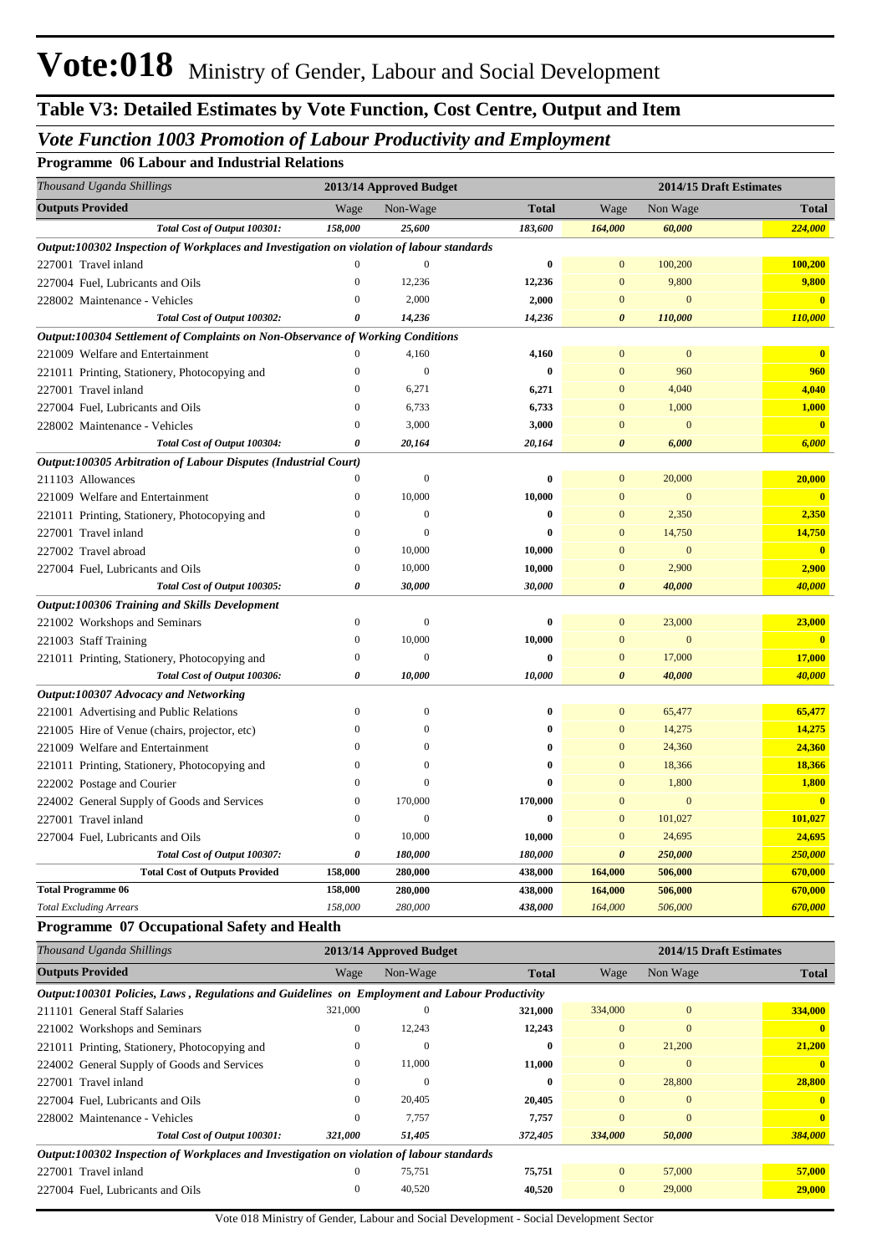# *Vote Function 1003 Promotion of Labour Productivity and Employment*

#### **Programme 06 Labour and Industrial Relations**

| Thousand Uganda Shillings                                                                 |                  | 2013/14 Approved Budget |              |                       |                  | 2014/15 Draft Estimates |  |  |
|-------------------------------------------------------------------------------------------|------------------|-------------------------|--------------|-----------------------|------------------|-------------------------|--|--|
| <b>Outputs Provided</b>                                                                   | Wage             | Non-Wage                | <b>Total</b> | Wage                  | Non Wage         | <b>Total</b>            |  |  |
| Total Cost of Output 100301:                                                              | 158,000          | 25,600                  | 183,600      | 164,000               | 60,000           | 224,000                 |  |  |
| Output:100302 Inspection of Workplaces and Investigation on violation of labour standards |                  |                         |              |                       |                  |                         |  |  |
| 227001 Travel inland                                                                      | $\Omega$         | $\theta$                | $\bf{0}$     | $\overline{0}$        | 100,200          | 100,200                 |  |  |
| 227004 Fuel, Lubricants and Oils                                                          | $\boldsymbol{0}$ | 12,236                  | 12,236       | $\mathbf{0}$          | 9,800            | 9,800                   |  |  |
| 228002 Maintenance - Vehicles                                                             | $\mathbf{0}$     | 2,000                   | 2,000        | $\mathbf{0}$          | $\boldsymbol{0}$ | $\overline{\mathbf{0}}$ |  |  |
| Total Cost of Output 100302:                                                              | $\theta$         | 14,236                  | 14,236       | $\boldsymbol{\theta}$ | 110,000          | 110,000                 |  |  |
| Output:100304 Settlement of Complaints on Non-Observance of Working Conditions            |                  |                         |              |                       |                  |                         |  |  |
| 221009 Welfare and Entertainment                                                          |                  | 4,160                   | 4,160        | $\mathbf{0}$          | $\mathbf{0}$     | $\mathbf{0}$            |  |  |
| 221011 Printing, Stationery, Photocopying and                                             | $\boldsymbol{0}$ | $\mathbf{0}$            | $\bf{0}$     | $\mathbf{0}$          | 960              | 960                     |  |  |
| 227001 Travel inland                                                                      | $\mathbf{0}$     | 6,271                   | 6,271        | $\mathbf{0}$          | 4,040            | 4,040                   |  |  |
| 227004 Fuel, Lubricants and Oils                                                          | $\mathbf{0}$     | 6,733                   | 6,733        | $\mathbf{0}$          | 1,000            | 1,000                   |  |  |
| 228002 Maintenance - Vehicles                                                             | $\overline{0}$   | 3,000                   | 3,000        | $\Omega$              | $\mathbf{0}$     | $\mathbf{0}$            |  |  |
| Total Cost of Output 100304:                                                              | 0                | 20,164                  | 20,164       | $\boldsymbol{\theta}$ | 6,000            | 6,000                   |  |  |
| Output:100305 Arbitration of Labour Disputes (Industrial Court)                           |                  |                         |              |                       |                  |                         |  |  |
| 211103 Allowances                                                                         | $\mathbf{0}$     | $\mathbf{0}$            | $\bf{0}$     | $\mathbf{0}$          | 20,000           | 20,000                  |  |  |
| 221009 Welfare and Entertainment                                                          | $\mathbf{0}$     | 10,000                  | 10,000       | $\mathbf{0}$          | $\mathbf{0}$     | $\overline{\mathbf{0}}$ |  |  |
| 221011 Printing, Stationery, Photocopying and                                             | $\mathbf{0}$     | $\mathbf{0}$            | $\bf{0}$     | $\mathbf{0}$          | 2,350            | 2,350                   |  |  |
| 227001 Travel inland                                                                      | $\mathbf{0}$     | $\Omega$                | 0            | $\overline{0}$        | 14,750           | 14,750                  |  |  |
| 227002 Travel abroad                                                                      | $\boldsymbol{0}$ | 10,000                  | 10,000       | $\overline{0}$        | $\mathbf{0}$     | $\mathbf{0}$            |  |  |
| 227004 Fuel, Lubricants and Oils                                                          | $\overline{0}$   | 10,000                  | 10,000       | $\Omega$              | 2,900            | 2,900                   |  |  |
| Total Cost of Output 100305:                                                              | 0                | 30,000                  | 30,000       | $\boldsymbol{\theta}$ | 40,000           | 40,000                  |  |  |
| <b>Output:100306 Training and Skills Development</b>                                      |                  |                         |              |                       |                  |                         |  |  |
| 221002 Workshops and Seminars                                                             | $\boldsymbol{0}$ | $\mathbf{0}$            | $\bf{0}$     | $\mathbf{0}$          | 23,000           | 23,000                  |  |  |
| 221003 Staff Training                                                                     | $\boldsymbol{0}$ | 10,000                  | 10,000       | $\mathbf{0}$          | $\mathbf{0}$     | $\mathbf{0}$            |  |  |
| 221011 Printing, Stationery, Photocopying and                                             | $\mathbf{0}$     | $\mathbf{0}$            | $\bf{0}$     | $\mathbf{0}$          | 17,000           | 17,000                  |  |  |
| Total Cost of Output 100306:                                                              | 0                | 10,000                  | 10,000       | $\boldsymbol{\theta}$ | 40,000           | 40,000                  |  |  |
| Output:100307 Advocacy and Networking                                                     |                  |                         |              |                       |                  |                         |  |  |
| 221001 Advertising and Public Relations                                                   | $\mathbf{0}$     | $\mathbf{0}$            | 0            | $\mathbf{0}$          | 65,477           | 65,477                  |  |  |
| 221005 Hire of Venue (chairs, projector, etc)                                             | $\overline{0}$   | $\Omega$                | $\mathbf{0}$ | $\overline{0}$        | 14,275           | 14,275                  |  |  |
| 221009 Welfare and Entertainment                                                          | $\theta$         | $\Omega$                | $\bf{0}$     | $\overline{0}$        | 24,360           | 24,360                  |  |  |
| 221011 Printing, Stationery, Photocopying and                                             | $\overline{0}$   | $\overline{0}$          | $\bf{0}$     | $\overline{0}$        | 18,366           | 18,366                  |  |  |
| 222002 Postage and Courier                                                                | $\overline{0}$   | $\overline{0}$          | $\mathbf{0}$ | $\mathbf{0}$          | 1,800            | 1,800                   |  |  |
| 224002 General Supply of Goods and Services                                               | $\boldsymbol{0}$ | 170,000                 | 170,000      | $\overline{0}$        | $\mathbf{0}$     | $\overline{0}$          |  |  |
| 227001 Travel inland                                                                      | $\mathbf{0}$     | $\mathbf{0}$            | $\bf{0}$     | $\mathbf{0}$          | 101,027          | 101,027                 |  |  |
| 227004 Fuel, Lubricants and Oils                                                          | $\overline{0}$   | 10,000                  | 10,000       | $\overline{0}$        | 24,695           | 24,695                  |  |  |
| Total Cost of Output 100307:                                                              | 0                | 180,000                 | 180,000      | $\boldsymbol{\theta}$ | 250,000          | 250,000                 |  |  |
| <b>Total Cost of Outputs Provided</b>                                                     | 158,000          | 280,000                 | 438,000      | 164,000               | 506,000          | 670,000                 |  |  |
| <b>Total Programme 06</b>                                                                 | 158,000          | 280,000                 | 438,000      | 164,000               | 506,000          | 670,000                 |  |  |
| <b>Total Excluding Arrears</b>                                                            | 158,000          | 280,000                 | 438,000      | 164,000               | 506,000          | 670,000                 |  |  |

#### **Programme 07 Occupational Safety and Health**

| Thousand Uganda Shillings                                                                      |          | 2013/14 Approved Budget |              | 2014/15 Draft Estimates |              |              |
|------------------------------------------------------------------------------------------------|----------|-------------------------|--------------|-------------------------|--------------|--------------|
| <b>Outputs Provided</b>                                                                        | Wage     | Non-Wage                | <b>Total</b> | Wage                    | Non Wage     | <b>Total</b> |
| Output:100301 Policies, Laws, Regulations and Guidelines on Employment and Labour Productivity |          |                         |              |                         |              |              |
| 211101 General Staff Salaries                                                                  | 321,000  | $\Omega$                | 321,000      | 334,000                 | $\mathbf{0}$ | 334,000      |
| 221002 Workshops and Seminars                                                                  | $\Omega$ | 12,243                  | 12,243       | $\Omega$                | $\mathbf{0}$ | $\mathbf{0}$ |
| 221011 Printing, Stationery, Photocopying and                                                  |          | $\Omega$                | $\bf{0}$     | $\overline{0}$          | 21,200       | 21,200       |
| 224002 General Supply of Goods and Services                                                    |          | 11,000                  | 11,000       | $\mathbf{0}$            | $\mathbf{0}$ |              |
| 227001 Travel inland                                                                           |          | 0                       | $\bf{0}$     | $\overline{0}$          | 28,800       | 28,800       |
| 227004 Fuel, Lubricants and Oils                                                               | 0        | 20,405                  | 20,405       | $\Omega$                | $\mathbf{0}$ | $\mathbf{0}$ |
| 228002 Maintenance - Vehicles                                                                  | 0        | 7,757                   | 7,757        | $\Omega$                | $\mathbf{0}$ | $\mathbf{0}$ |
| Total Cost of Output 100301:                                                                   | 321,000  | 51,405                  | 372,405      | 334,000                 | 50,000       | 384,000      |
| Output:100302 Inspection of Workplaces and Investigation on violation of labour standards      |          |                         |              |                         |              |              |
| 227001 Travel inland                                                                           |          | 75,751                  | 75,751       | $\overline{0}$          | 57,000       | 57,000       |
| 227004 Fuel, Lubricants and Oils                                                               |          | 40,520                  | 40,520       | $\Omega$                | 29,000       | 29,000       |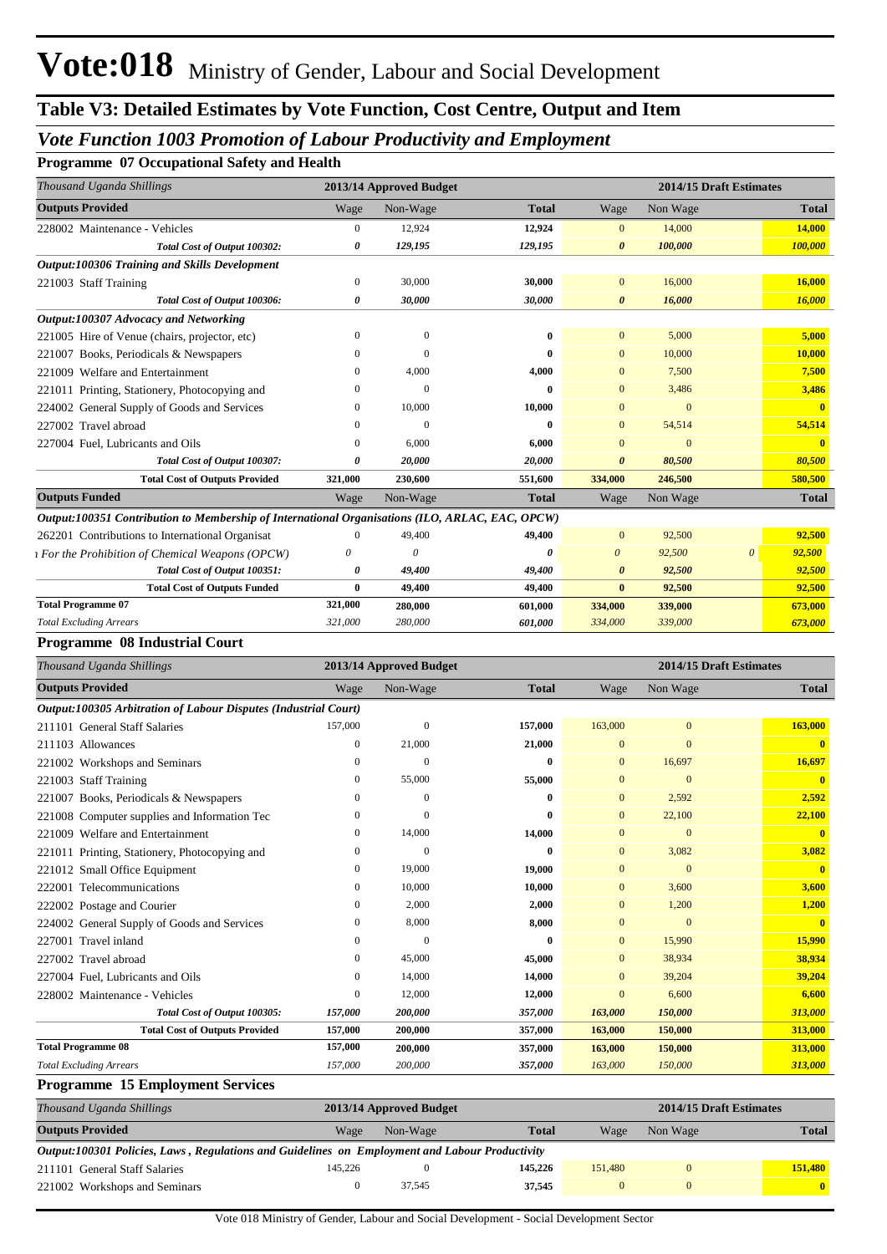## *Vote Function 1003 Promotion of Labour Productivity and Employment*

**Programme 07 Occupational Safety and Health**

| Thousand Uganda Shillings                                                                       |                |          | 2013/14 Approved Budget |                       |              | 2014/15 Draft Estimates |              |
|-------------------------------------------------------------------------------------------------|----------------|----------|-------------------------|-----------------------|--------------|-------------------------|--------------|
| <b>Outputs Provided</b>                                                                         | Wage           | Non-Wage | <b>Total</b>            | Wage                  | Non Wage     |                         | <b>Total</b> |
| 228002 Maintenance - Vehicles                                                                   | $\overline{0}$ | 12,924   | 12,924                  | $\mathbf{0}$          | 14,000       |                         | 14,000       |
| Total Cost of Output 100302:                                                                    | 0              | 129,195  | 129,195                 | $\boldsymbol{\theta}$ | 100,000      |                         | 100,000      |
| Output:100306 Training and Skills Development                                                   |                |          |                         |                       |              |                         |              |
| 221003 Staff Training                                                                           | $\overline{0}$ | 30,000   | 30,000                  | $\overline{0}$        | 16,000       |                         | 16,000       |
| Total Cost of Output 100306:                                                                    | 0              | 30,000   | 30,000                  | $\boldsymbol{\theta}$ | 16,000       |                         | 16,000       |
| Output:100307 Advocacy and Networking                                                           |                |          |                         |                       |              |                         |              |
| 221005 Hire of Venue (chairs, projector, etc)                                                   | $\Omega$       | $\Omega$ | $\mathbf{0}$            | $\mathbf{0}$          | 5,000        |                         | 5,000        |
| 221007 Books, Periodicals & Newspapers                                                          | $\Omega$       | $\Omega$ | $\mathbf{0}$            | $\mathbf{0}$          | 10,000       |                         | 10,000       |
| 221009 Welfare and Entertainment                                                                | $\Omega$       | 4,000    | 4,000                   | $\mathbf{0}$          | 7,500        |                         | 7,500        |
| 221011 Printing, Stationery, Photocopying and                                                   | $\Omega$       | $\Omega$ | $\mathbf{0}$            | $\mathbf{0}$          | 3,486        |                         | 3,486        |
| 224002 General Supply of Goods and Services                                                     | $\Omega$       | 10,000   | 10,000                  | $\mathbf{0}$          | $\theta$     |                         | $\mathbf{0}$ |
| 227002 Travel abroad                                                                            | $\Omega$       | $\Omega$ | $\mathbf{0}$            | $\mathbf{0}$          | 54,514       |                         | 54,514       |
| 227004 Fuel, Lubricants and Oils                                                                | $\Omega$       | 6,000    | 6,000                   | $\mathbf{0}$          | $\mathbf{0}$ |                         | $\mathbf{0}$ |
| Total Cost of Output 100307:                                                                    | 0              | 20,000   | 20,000                  | $\boldsymbol{\theta}$ | 80,500       |                         | 80,500       |
| <b>Total Cost of Outputs Provided</b>                                                           | 321,000        | 230,600  | 551,600                 | 334,000               | 246,500      |                         | 580,500      |
| <b>Outputs Funded</b>                                                                           | Wage           | Non-Wage | <b>Total</b>            | Wage                  | Non Wage     |                         | <b>Total</b> |
| Output:100351 Contribution to Membership of International Organisations (ILO, ARLAC, EAC, OPCW) |                |          |                         |                       |              |                         |              |
| 262201 Contributions to International Organisat                                                 | $\Omega$       | 49,400   | 49,400                  | $\mathbf{0}$          | 92,500       |                         | 92,500       |
| <i><b>t</b></i> For the Prohibition of Chemical Weapons (OPCW)                                  | $\theta$       | $\theta$ | $\theta$                | $\theta$              | 92,500       | $\theta$                | 92,500       |
| Total Cost of Output 100351:                                                                    | 0              | 49,400   | 49,400                  | $\boldsymbol{\theta}$ | 92,500       |                         | 92,500       |
| <b>Total Cost of Outputs Funded</b>                                                             | $\mathbf{0}$   | 49,400   | 49,400                  | $\bf{0}$              | 92,500       |                         | 92,500       |
| <b>Total Programme 07</b>                                                                       | 321,000        | 280,000  | 601,000                 | 334,000               | 339,000      |                         | 673,000      |
| <b>Total Excluding Arrears</b>                                                                  | 321,000        | 280,000  | 601,000                 | 334,000               | 339,000      |                         | 673,000      |

#### **Programme 08 Industrial Court**

| Thousand Uganda Shillings                                       |              | 2013/14 Approved Budget |              |                | 2014/15 Draft Estimates |              |
|-----------------------------------------------------------------|--------------|-------------------------|--------------|----------------|-------------------------|--------------|
| <b>Outputs Provided</b>                                         | Wage         | Non-Wage                | <b>Total</b> | Wage           | Non Wage                | <b>Total</b> |
| Output:100305 Arbitration of Labour Disputes (Industrial Court) |              |                         |              |                |                         |              |
| 211101 General Staff Salaries                                   | 157,000      | $\Omega$                | 157,000      | 163,000        | $\mathbf{0}$            | 163,000      |
| 211103 Allowances                                               | $\mathbf{0}$ | 21,000                  | 21,000       | $\overline{0}$ | $\mathbf{0}$            |              |
| 221002 Workshops and Seminars                                   | $\Omega$     | $\Omega$                | $\bf{0}$     | $\Omega$       | 16,697                  | 16,697       |
| <b>Staff Training</b><br>221003                                 | 0            | 55,000                  | 55,000       | $\Omega$       | $\mathbf{0}$            | $\mathbf{0}$ |
| Books, Periodicals & Newspapers<br>221007                       | $\Omega$     | $\Omega$                | $\mathbf{0}$ | $\mathbf{0}$   | 2,592                   | 2,592        |
| 221008 Computer supplies and Information Tec                    | 0            | $\Omega$                | $\mathbf{0}$ | $\mathbf{0}$   | 22,100                  | 22,100       |
| 221009 Welfare and Entertainment                                | $\mathbf{0}$ | 14,000                  | 14,000       | $\mathbf{0}$   | $\mathbf{0}$            | $\mathbf{0}$ |
| 221011 Printing, Stationery, Photocopying and                   | $\mathbf{0}$ | $\Omega$                | $\bf{0}$     | $\mathbf{0}$   | 3,082                   | 3,082        |
| 221012 Small Office Equipment                                   | 0            | 19,000                  | 19,000       | $\mathbf{0}$   | $\mathbf{0}$            | $\mathbf{0}$ |
| 222001 Telecommunications                                       | $\mathbf{0}$ | 10,000                  | 10,000       | $\overline{0}$ | 3,600                   | 3,600        |
| 222002 Postage and Courier                                      | $\mathbf{0}$ | 2,000                   | 2,000        | $\mathbf{0}$   | 1,200                   | 1,200        |
| 224002 General Supply of Goods and Services                     | $\Omega$     | 8,000                   | 8,000        | $\mathbf{0}$   | $\Omega$                | $\mathbf{0}$ |
| 227001 Travel inland                                            | $\mathbf{0}$ | $\Omega$                | $\bf{0}$     | $\mathbf{0}$   | 15,990                  | 15,990       |
| 227002 Travel abroad                                            | $\mathbf{0}$ | 45,000                  | 45,000       | $\mathbf{0}$   | 38,934                  | 38,934       |
| 227004 Fuel, Lubricants and Oils                                | $\Omega$     | 14,000                  | 14,000       | $\Omega$       | 39,204                  | 39,204       |
| 228002 Maintenance - Vehicles                                   | $\mathbf{0}$ | 12,000                  | 12,000       | $\Omega$       | 6,600                   | 6,600        |
| Total Cost of Output 100305:                                    | 157,000      | 200,000                 | 357,000      | 163,000        | 150,000                 | 313,000      |
| <b>Total Cost of Outputs Provided</b>                           | 157,000      | 200,000                 | 357,000      | 163,000        | 150,000                 | 313,000      |
| <b>Total Programme 08</b>                                       | 157,000      | 200,000                 | 357,000      | 163,000        | 150,000                 | 313,000      |
| <b>Total Excluding Arrears</b>                                  | 157,000      | 200,000                 | 357,000      | 163,000        | 150,000                 | 313,000      |

### **Programme 15 Employment Services**

| Thousand Uganda Shillings                                                                      |         | 2013/14 Approved Budget |              |         | 2014/15 Draft Estimates |              |
|------------------------------------------------------------------------------------------------|---------|-------------------------|--------------|---------|-------------------------|--------------|
| <b>Outputs Provided</b>                                                                        | Wage    | Non-Wage                | <b>Total</b> | Wage    | Non Wage                | <b>Total</b> |
| Output:100301 Policies, Laws, Regulations and Guidelines on Employment and Labour Productivity |         |                         |              |         |                         |              |
| 211101 General Staff Salaries                                                                  | 145,226 |                         | 145,226      | 151,480 |                         | 151.480      |
| 221002 Workshops and Seminars                                                                  |         | 37.545                  | 37.545       |         |                         | $\mathbf{0}$ |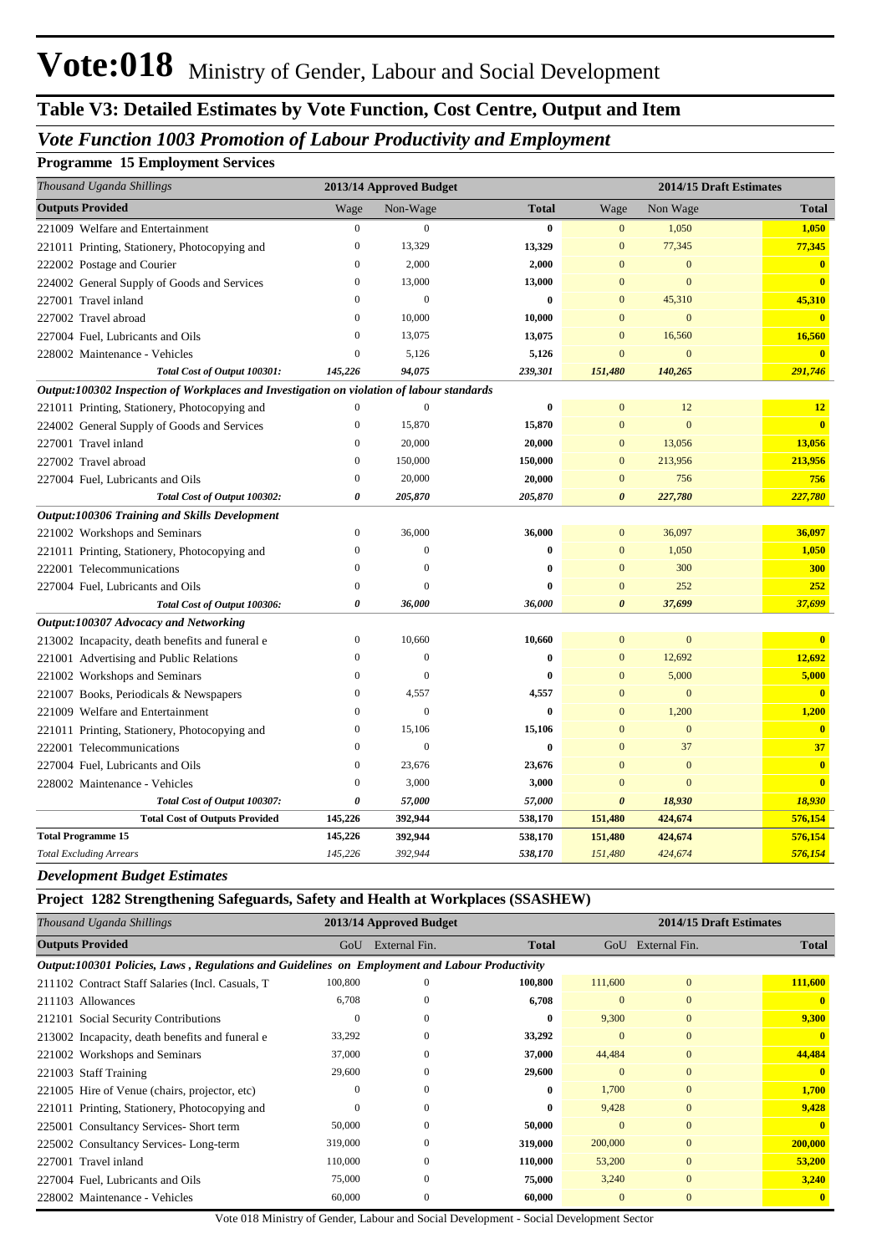# **Table V3: Detailed Estimates by Vote Function, Cost Centre, Output and Item**

## *Vote Function 1003 Promotion of Labour Productivity and Employment*

#### **Programme 15 Employment Services**

| Thousand Uganda Shillings                                                                 |                  | 2013/14 Approved Budget |              |                       | 2014/15 Draft Estimates |                         |  |  |
|-------------------------------------------------------------------------------------------|------------------|-------------------------|--------------|-----------------------|-------------------------|-------------------------|--|--|
| <b>Outputs Provided</b>                                                                   | Wage             | Non-Wage                | <b>Total</b> | Wage                  | Non Wage                | <b>Total</b>            |  |  |
| 221009 Welfare and Entertainment                                                          | $\boldsymbol{0}$ | $\mathbf{0}$            | $\bf{0}$     | $\mathbf{0}$          | 1,050                   | 1,050                   |  |  |
| 221011 Printing, Stationery, Photocopying and                                             | $\boldsymbol{0}$ | 13,329                  | 13,329       | $\bf{0}$              | 77,345                  | 77,345                  |  |  |
| 222002 Postage and Courier                                                                | $\bf{0}$         | 2,000                   | 2,000        | 0                     | $\mathbf{0}$            | $\mathbf{0}$            |  |  |
| 224002 General Supply of Goods and Services                                               | $\bf{0}$         | 13,000                  | 13,000       | $\mathbf{0}$          | $\mathbf{0}$            | $\mathbf{0}$            |  |  |
| 227001 Travel inland                                                                      | $\mathbf{0}$     | $\mathbf{0}$            | $\bf{0}$     | $\mathbf{0}$          | 45,310                  | 45,310                  |  |  |
| 227002 Travel abroad                                                                      | $\boldsymbol{0}$ | 10,000                  | 10,000       | $\overline{0}$        | $\mathbf{0}$            | $\mathbf{0}$            |  |  |
| 227004 Fuel, Lubricants and Oils                                                          | $\boldsymbol{0}$ | 13,075                  | 13,075       | $\mathbf{0}$          | 16,560                  | 16,560                  |  |  |
| 228002 Maintenance - Vehicles                                                             | $\mathbf{0}$     | 5,126                   | 5,126        | $\overline{0}$        | $\mathbf{0}$            | $\mathbf{0}$            |  |  |
| Total Cost of Output 100301:                                                              | 145,226          | 94,075                  | 239,301      | 151,480               | 140,265                 | 291,746                 |  |  |
| Output:100302 Inspection of Workplaces and Investigation on violation of labour standards |                  |                         |              |                       |                         |                         |  |  |
| 221011 Printing, Stationery, Photocopying and                                             | $\boldsymbol{0}$ | $\mathbf{0}$            | $\bf{0}$     | $\mathbf{0}$          | 12                      | 12                      |  |  |
| 224002 General Supply of Goods and Services                                               | $\boldsymbol{0}$ | 15,870                  | 15,870       | $\mathbf{0}$          | $\mathbf{0}$            | $\overline{\mathbf{0}}$ |  |  |
| 227001 Travel inland                                                                      | $\overline{0}$   | 20,000                  | 20,000       | $\mathbf{0}$          | 13,056                  | 13,056                  |  |  |
| 227002 Travel abroad                                                                      | $\mathbf{0}$     | 150,000                 | 150,000      | $\mathbf{0}$          | 213,956                 | 213,956                 |  |  |
| 227004 Fuel, Lubricants and Oils                                                          | $\boldsymbol{0}$ | 20,000                  | 20,000       | $\bf{0}$              | 756                     | 756                     |  |  |
| Total Cost of Output 100302:                                                              | 0                | 205,870                 | 205,870      | 0                     | 227,780                 | 227,780                 |  |  |
| Output:100306 Training and Skills Development                                             |                  |                         |              |                       |                         |                         |  |  |
| 221002 Workshops and Seminars                                                             | $\mathbf{0}$     | 36,000                  | 36,000       | $\mathbf{0}$          | 36,097                  | 36,097                  |  |  |
| 221011 Printing, Stationery, Photocopying and                                             | $\boldsymbol{0}$ | $\mathbf{0}$            | $\bf{0}$     | $\mathbf{0}$          | 1,050                   | 1,050                   |  |  |
| 222001 Telecommunications                                                                 | $\boldsymbol{0}$ | $\boldsymbol{0}$        | $\bf{0}$     | $\mathbf{0}$          | 300                     | <b>300</b>              |  |  |
| 227004 Fuel, Lubricants and Oils                                                          | $\boldsymbol{0}$ | $\overline{0}$          | $\bf{0}$     | $\mathbf{0}$          | 252                     | 252                     |  |  |
| Total Cost of Output 100306:                                                              | 0                | 36,000                  | 36,000       | $\boldsymbol{\theta}$ | 37,699                  | 37,699                  |  |  |
| Output:100307 Advocacy and Networking                                                     |                  |                         |              |                       |                         |                         |  |  |
| 213002 Incapacity, death benefits and funeral e                                           | $\boldsymbol{0}$ | 10,660                  | 10,660       | $\boldsymbol{0}$      | $\mathbf{0}$            | $\overline{\mathbf{0}}$ |  |  |
| 221001 Advertising and Public Relations                                                   | $\mathbf{0}$     | $\mathbf{0}$            | $\bf{0}$     | $\boldsymbol{0}$      | 12,692                  | 12,692                  |  |  |
| 221002 Workshops and Seminars                                                             | $\overline{0}$   | $\overline{0}$          | $\bf{0}$     | $\mathbf{0}$          | 5,000                   | 5,000                   |  |  |
| 221007 Books, Periodicals & Newspapers                                                    | $\boldsymbol{0}$ | 4,557                   | 4,557        | $\bf{0}$              | $\mathbf{0}$            | $\overline{\mathbf{0}}$ |  |  |
| 221009 Welfare and Entertainment                                                          | $\boldsymbol{0}$ | $\mathbf{0}$            | $\bf{0}$     | $\mathbf{0}$          | 1,200                   | 1,200                   |  |  |
| 221011 Printing, Stationery, Photocopying and                                             | $\boldsymbol{0}$ | 15,106                  | 15,106       | $\bf{0}$              | $\mathbf{0}$            | $\overline{\mathbf{0}}$ |  |  |
| 222001 Telecommunications                                                                 | $\mathbf{0}$     | $\mathbf{0}$            | $\mathbf{0}$ | $\overline{0}$        | 37                      | 37                      |  |  |
| 227004 Fuel, Lubricants and Oils                                                          | $\overline{0}$   | 23,676                  | 23,676       | $\overline{0}$        | $\overline{0}$          | $\mathbf{0}$            |  |  |
| 228002 Maintenance - Vehicles                                                             | $\mathbf{0}$     | 3,000                   | 3,000        | $\overline{0}$        | $\overline{0}$          | $\mathbf{0}$            |  |  |
| Total Cost of Output 100307:                                                              | 0                | 57,000                  | 57,000       | $\boldsymbol{\theta}$ | 18,930                  | 18,930                  |  |  |
| <b>Total Cost of Outputs Provided</b>                                                     | 145,226          | 392,944                 | 538,170      | 151,480               | 424,674                 | 576,154                 |  |  |
| <b>Total Programme 15</b>                                                                 | 145,226          | 392,944                 | 538,170      | 151,480               | 424,674                 | 576,154                 |  |  |
| <b>Total Excluding Arrears</b>                                                            | 145,226          | 392,944                 | 538,170      | 151,480               | 424,674                 | 576,154                 |  |  |

#### *Development Budget Estimates*

#### **Project 1282 Strengthening Safeguards, Safety and Health at Workplaces (SSASHEW)**

| Thousand Uganda Shillings                                                                      |              | 2013/14 Approved Budget |              |              | 2014/15 Draft Estimates |              |
|------------------------------------------------------------------------------------------------|--------------|-------------------------|--------------|--------------|-------------------------|--------------|
| <b>Outputs Provided</b>                                                                        | GoU          | External Fin.           | <b>Total</b> | GoU          | External Fin.           | <b>Total</b> |
| Output:100301 Policies, Laws, Regulations and Guidelines on Employment and Labour Productivity |              |                         |              |              |                         |              |
| 211102 Contract Staff Salaries (Incl. Casuals, T.                                              | 100,800      |                         | 100,800      | 111,600      | $\mathbf{0}$            | 111,600      |
| 211103 Allowances                                                                              | 6,708        | $\Omega$                | 6,708        | $\mathbf{0}$ | $\mathbf{0}$            | $\mathbf{0}$ |
| 212101 Social Security Contributions                                                           | $\mathbf{0}$ |                         | $\bf{0}$     | 9,300        | $\mathbf{0}$            | 9,300        |
| 213002 Incapacity, death benefits and funeral e                                                | 33,292       | 0                       | 33,292       | $\mathbf{0}$ | $\mathbf{0}$            | $\bf{0}$     |
| 221002 Workshops and Seminars                                                                  | 37,000       | $\Omega$                | 37,000       | 44,484       | $\mathbf{0}$            | 44,484       |
| 221003 Staff Training                                                                          | 29,600       | $\Omega$                | 29,600       | $\mathbf{0}$ | $\mathbf{0}$            | $\mathbf{0}$ |
| 221005 Hire of Venue (chairs, projector, etc)                                                  | $\mathbf{0}$ |                         | $\bf{0}$     | 1,700        | $\mathbf{0}$            | 1,700        |
| 221011 Printing, Stationery, Photocopying and                                                  | $\mathbf{0}$ | $\Omega$                | $\bf{0}$     | 9,428        | $\mathbf{0}$            | 9,428        |
| 225001 Consultancy Services-Short term                                                         | 50,000       | $\Omega$                | 50,000       | $\mathbf{0}$ | $\mathbf{0}$            | $\mathbf{0}$ |
| 225002 Consultancy Services-Long-term                                                          | 319,000      | $\Omega$                | 319,000      | 200,000      | $\mathbf{0}$            | 200,000      |
| 227001 Travel inland                                                                           | 110,000      | $\Omega$                | 110,000      | 53,200       | $\mathbf{0}$            | 53,200       |
| 227004 Fuel, Lubricants and Oils                                                               | 75,000       | $\Omega$                | 75,000       | 3,240        | $\mathbf{0}$            | 3,240        |
| 228002 Maintenance - Vehicles                                                                  | 60,000       | $\Omega$                | 60,000       | $\mathbf{0}$ | $\mathbf{0}$            | $\bf{0}$     |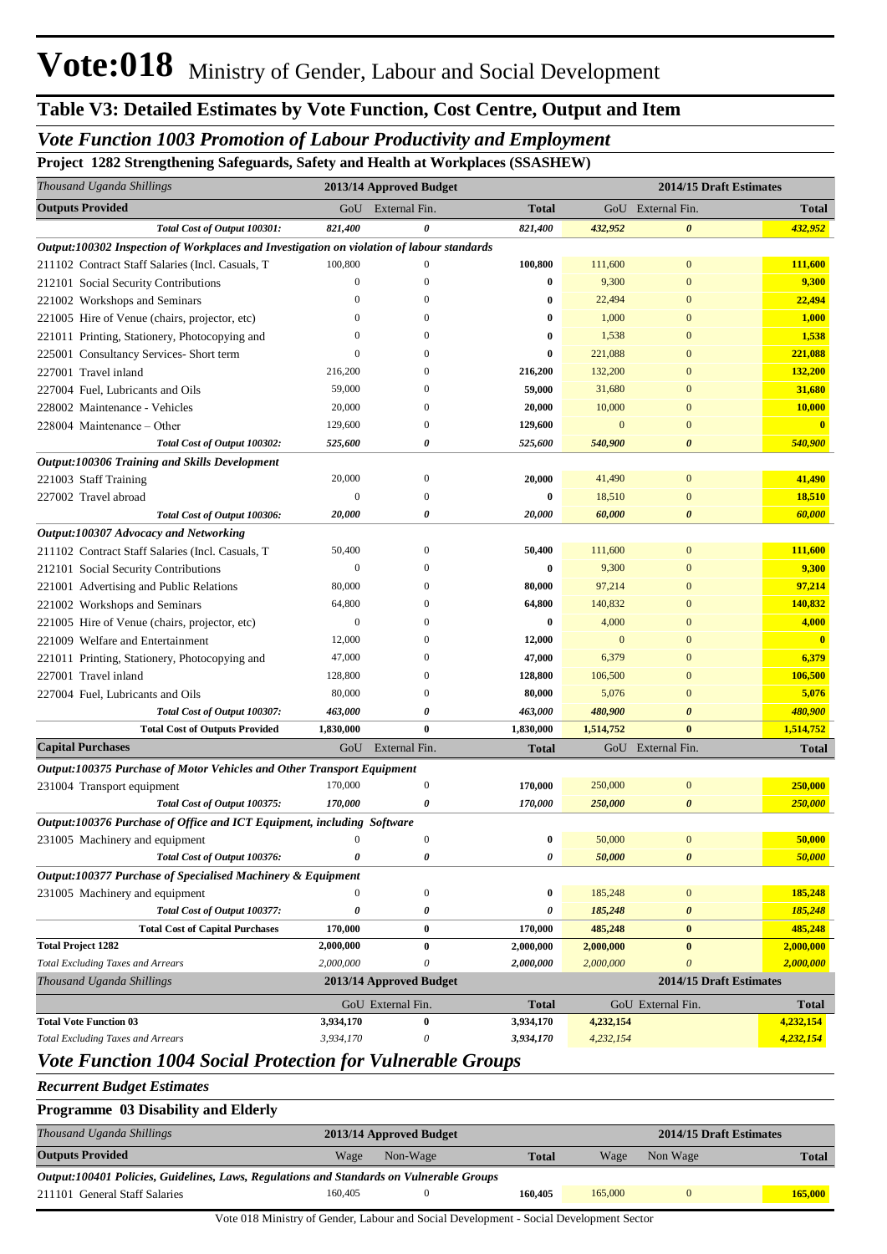# **Table V3: Detailed Estimates by Vote Function, Cost Centre, Output and Item**

## *Vote Function 1003 Promotion of Labour Productivity and Employment*

**Project 1282 Strengthening Safeguards, Safety and Health at Workplaces (SSASHEW)**

| Thousand Uganda Shillings                                                                 |                  | 2013/14 Approved Budget |              |              | 2014/15 Draft Estimates |                |
|-------------------------------------------------------------------------------------------|------------------|-------------------------|--------------|--------------|-------------------------|----------------|
| <b>Outputs Provided</b>                                                                   | GoU              | External Fin.           | <b>Total</b> |              | GoU External Fin.       | <b>Total</b>   |
| Total Cost of Output 100301:                                                              | 821,400          | 0                       | 821,400      | 432,952      | 0                       | 432,952        |
| Output:100302 Inspection of Workplaces and Investigation on violation of labour standards |                  |                         |              |              |                         |                |
| 211102 Contract Staff Salaries (Incl. Casuals, T                                          | 100,800          | $\mathbf{0}$            | 100,800      | 111,600      | $\bf{0}$                | 111,600        |
| 212101 Social Security Contributions                                                      | $\mathbf{0}$     |                         | 0            | 9,300        | $\Omega$                | 9,300          |
| 221002 Workshops and Seminars                                                             | $\Omega$         | $\Omega$                | 0            | 22,494       | $\Omega$                | 22,494         |
| 221005 Hire of Venue (chairs, projector, etc)                                             | $\bf{0}$         | $\Omega$                | 0            | 1,000        | $\Omega$                | 1,000          |
| 221011 Printing, Stationery, Photocopying and                                             | $\theta$         |                         | 0            | 1,538        | $\Omega$                | 1,538          |
| 225001 Consultancy Services- Short term                                                   | $\boldsymbol{0}$ |                         | 0            | 221,088      | $\Omega$                | 221,088        |
| 227001 Travel inland                                                                      | 216,200          |                         | 216,200      | 132,200      | $\Omega$                | 132,200        |
| 227004 Fuel, Lubricants and Oils                                                          | 59,000           |                         | 59,000       | 31,680       | $\Omega$                | 31,680         |
| 228002 Maintenance - Vehicles                                                             | 20,000           | $\Omega$                | 20,000       | 10,000       | $\Omega$                | 10,000         |
| 228004 Maintenance – Other                                                                | 129,600          | $\Omega$                | 129,600      | $\mathbf{0}$ | $\Omega$                | $\mathbf{0}$   |
| Total Cost of Output 100302:                                                              | 525,600          | 0                       | 525,600      | 540,900      | 0                       | <b>540,900</b> |
| Output:100306 Training and Skills Development                                             |                  |                         |              |              |                         |                |
| 221003 Staff Training                                                                     | 20,000           | $\boldsymbol{0}$        | 20,000       | 41,490       | $\bf{0}$                | 41,490         |
| 227002 Travel abroad                                                                      | $\mathbf{0}$     | $\Omega$                | 0            | 18,510       | $\overline{0}$          | 18,510         |
| Total Cost of Output 100306:                                                              | 20,000           | 0                       | 20,000       | 60,000       | 0                       | 60,000         |
| Output:100307 Advocacy and Networking                                                     |                  |                         |              |              |                         |                |
| 211102 Contract Staff Salaries (Incl. Casuals, T                                          | 50,400           | $\mathbf{0}$            | 50,400       | 111,600      | $\overline{0}$          | 111,600        |
| 212101 Social Security Contributions                                                      | $\boldsymbol{0}$ |                         | 0            | 9,300        | $\Omega$                | 9,300          |
| 221001 Advertising and Public Relations                                                   | 80,000           |                         | 80,000       | 97,214       | $\Omega$                | 97,214         |
|                                                                                           | 64,800           |                         | 64,800       | 140,832      | $\Omega$                | 140,832        |
| 221002 Workshops and Seminars                                                             | $\boldsymbol{0}$ |                         | 0            | 4,000        | $\Omega$                | 4,000          |
| 221005 Hire of Venue (chairs, projector, etc)                                             | 12,000           |                         | 12,000       | $\mathbf{0}$ | $\Omega$                | $\mathbf{0}$   |
| 221009 Welfare and Entertainment                                                          |                  |                         |              |              | $\Omega$                |                |
| 221011 Printing, Stationery, Photocopying and                                             | 47,000           | $\Omega$                | 47,000       | 6,379        | $\Omega$                | 6,379          |
| 227001 Travel inland                                                                      | 128,800          | $\Omega$                | 128,800      | 106,500      | $\Omega$                | 106,500        |
| 227004 Fuel, Lubricants and Oils                                                          | 80,000           |                         | 80,000       | 5,076        |                         | 5,076          |
| Total Cost of Output 100307:                                                              | 463,000          | 0                       | 463,000      | 480,900      | 0                       | 480,900        |
| <b>Total Cost of Outputs Provided</b>                                                     | 1,830,000        | $\bf{0}$                | 1,830,000    | 1,514,752    | $\bf{0}$                | 1,514,752      |
| <b>Capital Purchases</b>                                                                  | GoU              | External Fin.           | <b>Total</b> |              | GoU External Fin.       | <b>Total</b>   |
| Output:100375 Purchase of Motor Vehicles and Other Transport Equipment                    |                  |                         |              |              |                         |                |
| 231004 Transport equipment                                                                | 170,000          | $\boldsymbol{0}$        | 170,000      | 250,000      | $\boldsymbol{0}$        | 250,000        |
| Total Cost of Output 100375:                                                              | 170,000          | 0                       | 170,000      | 250,000      | $\boldsymbol{\theta}$   | 250,000        |
| Output:100376 Purchase of Office and ICT Equipment, including Software                    |                  |                         |              |              |                         |                |
| 231005 Machinery and equipment                                                            |                  |                         |              | 50,000       |                         | 50,000         |
| Total Cost of Output 100376:                                                              | $\pmb{\theta}$   | 0                       | 0            | 50,000       | $\boldsymbol{\theta}$   | 50,000         |
| Output:100377 Purchase of Specialised Machinery & Equipment                               |                  |                         |              |              |                         |                |
| 231005 Machinery and equipment                                                            | $\boldsymbol{0}$ | $\mathbf{0}$            | 0            | 185,248      | $\boldsymbol{0}$        | 185,248        |
| Total Cost of Output 100377:                                                              | 0                | 0                       | 0            | 185,248      | $\boldsymbol{\theta}$   | 185,248        |
| <b>Total Cost of Capital Purchases</b>                                                    | 170,000          | $\bf{0}$                | 170,000      | 485,248      | $\bf{0}$                | 485,248        |
| <b>Total Project 1282</b>                                                                 | 2,000,000        | $\bf{0}$                | 2,000,000    | 2,000,000    | $\bf{0}$                | 2,000,000      |
| <b>Total Excluding Taxes and Arrears</b>                                                  | 2,000,000        | $\theta$                | 2,000,000    | 2,000,000    | $\overline{\mathbf{0}}$ | 2,000,000      |
| Thousand Uganda Shillings                                                                 |                  | 2013/14 Approved Budget |              |              | 2014/15 Draft Estimates |                |
|                                                                                           |                  | GoU External Fin.       | <b>Total</b> |              | GoU External Fin.       | <b>Total</b>   |
| <b>Total Vote Function 03</b>                                                             | 3,934,170        | $\bf{0}$                | 3,934,170    | 4,232,154    |                         | 4,232,154      |
| <b>Total Excluding Taxes and Arrears</b>                                                  | 3,934,170        | 0                       | 3,934,170    | 4,232,154    |                         | 4,232,154      |

## *Vote Function 1004 Social Protection for Vulnerable Groups*

#### *Recurrent Budget Estimates*

#### **Programme 03 Disability and Elderly**

| Thousand Uganda Shillings                                                                |         | 2013/14 Approved Budget |              |         |          | 2014/15 Draft Estimates |
|------------------------------------------------------------------------------------------|---------|-------------------------|--------------|---------|----------|-------------------------|
| <b>Outputs Provided</b>                                                                  | Wage    | Non-Wage                | <b>Total</b> | Wage    | Non Wage | Total                   |
| Output:100401 Policies, Guidelines, Laws, Regulations and Standards on Vulnerable Groups |         |                         |              |         |          |                         |
| 211101 General Staff Salaries                                                            | 160,405 |                         | 160.405      | 165,000 |          | 165,000                 |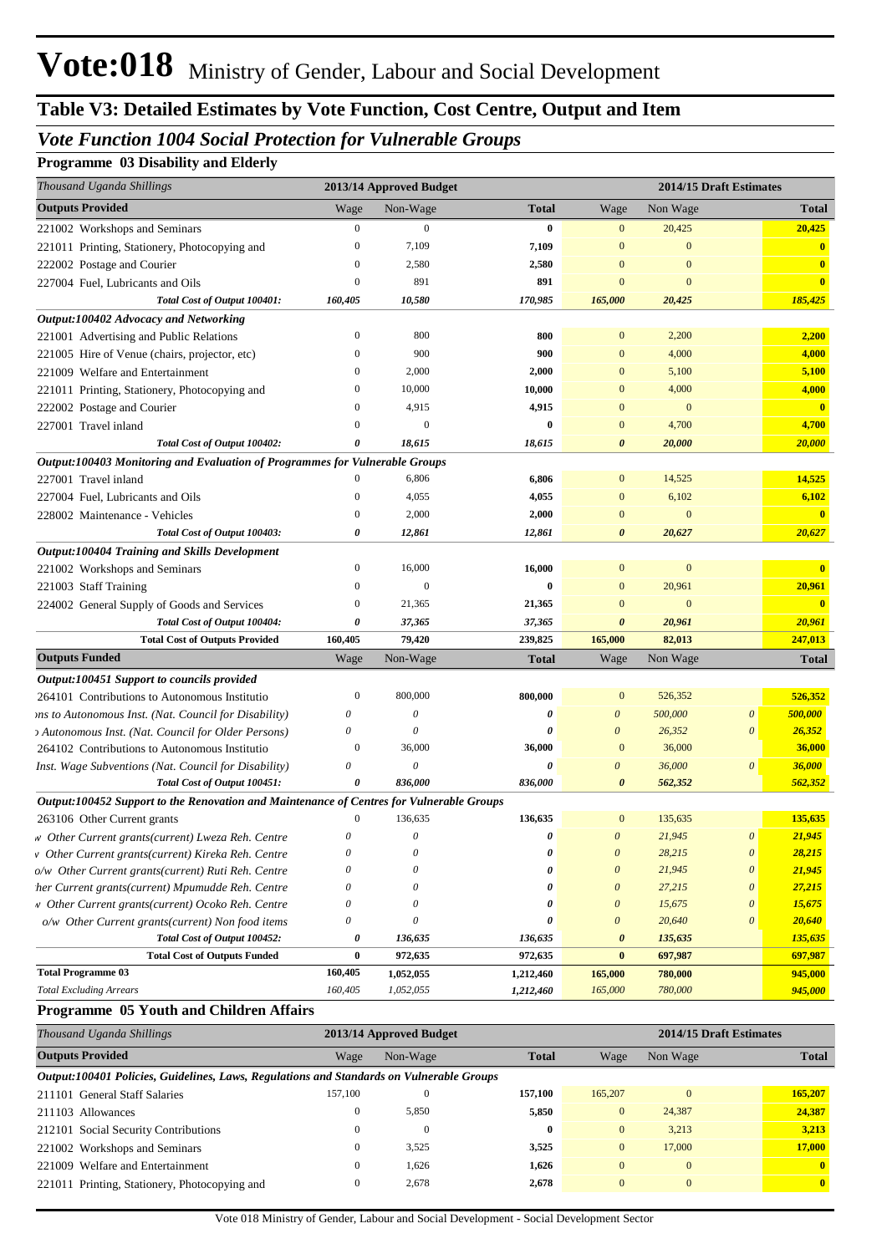## *Vote Function 1004 Social Protection for Vulnerable Groups*

### **Programme 03 Disability and Elderly**

| Thousand Uganda Shillings                                                                                                                                                                                                                                                                                                                                                                                                       |                       | 2013/14 Approved Budget |                    |                                                |                   | 2014/15 Draft Estimates |                         |
|---------------------------------------------------------------------------------------------------------------------------------------------------------------------------------------------------------------------------------------------------------------------------------------------------------------------------------------------------------------------------------------------------------------------------------|-----------------------|-------------------------|--------------------|------------------------------------------------|-------------------|-------------------------|-------------------------|
| <b>Outputs Provided</b>                                                                                                                                                                                                                                                                                                                                                                                                         | Wage                  | Non-Wage                | <b>Total</b>       | Wage                                           | Non Wage          |                         | <b>Total</b>            |
| 221002 Workshops and Seminars                                                                                                                                                                                                                                                                                                                                                                                                   | $\overline{0}$        | $\mathbf{0}$            | $\bf{0}$           | $\mathbf{0}$                                   | 20,425            |                         | 20,425                  |
| 221011 Printing, Stationery, Photocopying and                                                                                                                                                                                                                                                                                                                                                                                   | $\mathbf{0}$          | 7,109                   | 7,109              | $\mathbf{0}$                                   | $\mathbf{0}$      |                         | $\mathbf{0}$            |
| 222002 Postage and Courier                                                                                                                                                                                                                                                                                                                                                                                                      | $\mathbf{0}$          | 2,580                   | 2,580              | $\mathbf{0}$                                   | $\Omega$          |                         | $\mathbf{0}$            |
| 227004 Fuel, Lubricants and Oils                                                                                                                                                                                                                                                                                                                                                                                                | $\mathbf{0}$          | 891                     | 891                | $\mathbf{0}$                                   | $\mathbf{0}$      |                         | $\mathbf{0}$            |
| Total Cost of Output 100401:                                                                                                                                                                                                                                                                                                                                                                                                    | 160,405               | 10,580                  | 170,985            | 165,000                                        | 20,425            |                         | 185,425                 |
| Output:100402 Advocacy and Networking                                                                                                                                                                                                                                                                                                                                                                                           |                       |                         |                    |                                                |                   |                         |                         |
| 221001 Advertising and Public Relations                                                                                                                                                                                                                                                                                                                                                                                         | $\mathbf{0}$          | 800                     | 800                | $\mathbf{0}$                                   | 2,200             |                         | 2,200                   |
| 221005 Hire of Venue (chairs, projector, etc)                                                                                                                                                                                                                                                                                                                                                                                   | $\mathbf{0}$          | 900                     | 900                | $\mathbf{0}$                                   | 4,000             |                         | 4,000                   |
| 221009 Welfare and Entertainment                                                                                                                                                                                                                                                                                                                                                                                                | $\Omega$              | 2,000                   | 2,000              | $\mathbf{0}$                                   | 5,100             |                         | 5,100                   |
| 221011 Printing, Stationery, Photocopying and                                                                                                                                                                                                                                                                                                                                                                                   | $\theta$              | 10,000                  | 10,000             | $\mathbf{0}$                                   | 4,000             |                         | 4,000                   |
| 222002 Postage and Courier                                                                                                                                                                                                                                                                                                                                                                                                      | $\Omega$              | 4,915                   | 4,915              | $\mathbf{0}$                                   | $\mathbf{0}$      |                         | $\overline{\mathbf{0}}$ |
| 227001 Travel inland                                                                                                                                                                                                                                                                                                                                                                                                            | $\Omega$              | $\boldsymbol{0}$        | $\bf{0}$           | $\mathbf{0}$                                   | 4,700             |                         | 4,700                   |
| Total Cost of Output 100402:                                                                                                                                                                                                                                                                                                                                                                                                    | 0                     | 18,615                  | 18,615             | $\boldsymbol{\theta}$                          | 20,000            |                         | 20,000                  |
| Output:100403 Monitoring and Evaluation of Programmes for Vulnerable Groups                                                                                                                                                                                                                                                                                                                                                     |                       |                         |                    |                                                |                   |                         |                         |
| 227001 Travel inland                                                                                                                                                                                                                                                                                                                                                                                                            |                       | 6,806                   | 6,806              | $\mathbf{0}$                                   | 14,525            |                         | 14,525                  |
| 227004 Fuel, Lubricants and Oils                                                                                                                                                                                                                                                                                                                                                                                                | $\mathbf{0}$          | 4,055                   | 4,055              | $\mathbf{0}$                                   | 6,102             |                         | 6,102                   |
| 228002 Maintenance - Vehicles                                                                                                                                                                                                                                                                                                                                                                                                   | $\mathbf{0}$          | 2,000                   | 2,000              | $\mathbf{0}$                                   | $\mathbf{0}$      |                         | $\overline{\mathbf{0}}$ |
| Total Cost of Output 100403:                                                                                                                                                                                                                                                                                                                                                                                                    | 0                     | 12,861                  | 12,861             | $\boldsymbol{\theta}$                          | 20,627            |                         | 20,627                  |
| Output:100404 Training and Skills Development                                                                                                                                                                                                                                                                                                                                                                                   |                       |                         |                    |                                                |                   |                         |                         |
| 221002 Workshops and Seminars                                                                                                                                                                                                                                                                                                                                                                                                   | $\mathbf{0}$          | 16,000                  | 16,000             | $\mathbf{0}$                                   | $\mathbf{0}$      |                         |                         |
| 221003 Staff Training                                                                                                                                                                                                                                                                                                                                                                                                           | $\mathbf{0}$          | $\boldsymbol{0}$        | $\bf{0}$           | $\mathbf{0}$                                   | 20,961            |                         | 20,961                  |
| 224002 General Supply of Goods and Services                                                                                                                                                                                                                                                                                                                                                                                     | $\mathbf{0}$          | 21,365                  | 21,365             | $\mathbf{0}$                                   | $\mathbf{0}$      |                         | $\mathbf{0}$            |
| Total Cost of Output 100404:                                                                                                                                                                                                                                                                                                                                                                                                    | 0                     | 37,365                  | 37,365             | $\boldsymbol{\theta}$                          | 20,961            |                         | 20,961                  |
| <b>Total Cost of Outputs Provided</b>                                                                                                                                                                                                                                                                                                                                                                                           | 160,405               | 79,420                  | 239,825            | 165,000                                        | 82,013            |                         | 247,013                 |
| <b>Outputs Funded</b>                                                                                                                                                                                                                                                                                                                                                                                                           | Wage                  | Non-Wage                | <b>Total</b>       | Wage                                           | Non Wage          |                         | <b>Total</b>            |
| Output:100451 Support to councils provided                                                                                                                                                                                                                                                                                                                                                                                      |                       |                         |                    |                                                |                   |                         |                         |
| 264101 Contributions to Autonomous Institutio                                                                                                                                                                                                                                                                                                                                                                                   | $\boldsymbol{0}$      | 800,000                 | 800,000            | $\mathbf{0}$                                   | 526,352           |                         | 526,352                 |
| ons to Autonomous Inst. (Nat. Council for Disability)                                                                                                                                                                                                                                                                                                                                                                           | $\boldsymbol{\theta}$ | $\theta$                | 0                  | $\boldsymbol{\theta}$                          | 500,000           | $\boldsymbol{\theta}$   | 500,000                 |
| <sup>2</sup> Autonomous Inst. (Nat. Council for Older Persons)                                                                                                                                                                                                                                                                                                                                                                  | $\theta$              | $\theta$                | $\theta$           | $\boldsymbol{\theta}$                          | 26,352            | $\theta$                | 26,352                  |
| 264102 Contributions to Autonomous Institutio                                                                                                                                                                                                                                                                                                                                                                                   | $\mathbf{0}$          | 36,000                  | 36,000             | $\mathbf{0}$                                   | 36,000            |                         | 36,000                  |
| Inst. Wage Subventions (Nat. Council for Disability)                                                                                                                                                                                                                                                                                                                                                                            | $\boldsymbol{\theta}$ | $\boldsymbol{\theta}$   |                    | $\boldsymbol{\theta}$                          | 36,000            | $\boldsymbol{\theta}$   | 36,000                  |
| Total Cost of Output 100451:                                                                                                                                                                                                                                                                                                                                                                                                    | 0                     | 836,000                 | 836,000            | $\boldsymbol{\theta}$                          | 562,352           |                         | 562,352                 |
| Output:100452 Support to the Renovation and Maintenance of Centres for Vulnerable Groups                                                                                                                                                                                                                                                                                                                                        |                       |                         |                    |                                                |                   |                         |                         |
| 263106 Other Current grants                                                                                                                                                                                                                                                                                                                                                                                                     | $\mathbf{0}$          | 136,635                 | 136,635            | $\mathbf{0}$                                   | 135,635           |                         | 135,635                 |
| w Other Current grants(current) Lweza Reh. Centre                                                                                                                                                                                                                                                                                                                                                                               | $\theta$              | $\theta$                |                    | $\boldsymbol{\theta}$                          | 21,945            | $\boldsymbol{\theta}$   | 21,945                  |
| v Other Current grants(current) Kireka Reh. Centre                                                                                                                                                                                                                                                                                                                                                                              | $\theta$              | 0                       | 0                  | $\boldsymbol{\theta}$                          | 28,215            | $\boldsymbol{\theta}$   | 28,215                  |
| o/w Other Current grants(current) Ruti Reh. Centre                                                                                                                                                                                                                                                                                                                                                                              | $\theta$              |                         |                    | $\boldsymbol{\theta}$                          | 21,945            | $\boldsymbol{\theta}$   | 21,945                  |
| her Current grants(current) Mpumudde Reh. Centre                                                                                                                                                                                                                                                                                                                                                                                | 0                     |                         |                    | $\theta$                                       | 27,215            | $\boldsymbol{\theta}$   | 27,215                  |
| v Other Current grants(current) Ocoko Reh. Centre                                                                                                                                                                                                                                                                                                                                                                               | $\theta$<br>$\theta$  |                         | n                  | $\boldsymbol{\theta}$<br>$\boldsymbol{\theta}$ | 15,675            | $\boldsymbol{\theta}$   | 15,675                  |
| o/w Other Current grants(current) Non food items<br>Total Cost of Output 100452:                                                                                                                                                                                                                                                                                                                                                | 0                     | 0<br>136,635            | 0                  | $\boldsymbol{\theta}$                          | 20,640<br>135,635 | $\boldsymbol{\theta}$   | 20,640                  |
| <b>Total Cost of Outputs Funded</b>                                                                                                                                                                                                                                                                                                                                                                                             | $\bf{0}$              | 972,635                 | 136,635<br>972,635 | $\bf{0}$                                       | 697,987           |                         | 135,635<br>697,987      |
| <b>Total Programme 03</b>                                                                                                                                                                                                                                                                                                                                                                                                       | 160,405               | 1,052,055               | 1,212,460          | 165,000                                        | 780,000           |                         | 945,000                 |
|                                                                                                                                                                                                                                                                                                                                                                                                                                 | 160,405               | 1,052,055               | 1,212,460          | 165,000                                        | 780,000           |                         | 945,000                 |
|                                                                                                                                                                                                                                                                                                                                                                                                                                 |                       |                         |                    |                                                |                   |                         |                         |
| <b>Total Excluding Arrears</b>                                                                                                                                                                                                                                                                                                                                                                                                  |                       |                         |                    |                                                |                   |                         |                         |
| Programme 05 Youth and Children Affairs<br>$\overline{1}$ $\overline{1}$ $\overline{1}$ $\overline{1}$ $\overline{1}$ $\overline{1}$ $\overline{1}$ $\overline{1}$ $\overline{1}$ $\overline{1}$ $\overline{1}$ $\overline{1}$ $\overline{1}$ $\overline{1}$ $\overline{1}$ $\overline{1}$ $\overline{1}$ $\overline{1}$ $\overline{1}$ $\overline{1}$ $\overline{1}$ $\overline{1}$ $\overline{1}$ $\overline{1}$ $\overline{$ | 20121                 |                         |                    |                                                | $201417F$         |                         |                         |

| Thousand Uganda Shillings                                                                |              | 2013/14 Approved Budget |              |                |                | 2014/15 Draft Estimates |
|------------------------------------------------------------------------------------------|--------------|-------------------------|--------------|----------------|----------------|-------------------------|
| <b>Outputs Provided</b>                                                                  | Wage         | Non-Wage                | <b>Total</b> | Wage           | Non Wage       | <b>Total</b>            |
| Output:100401 Policies, Guidelines, Laws, Regulations and Standards on Vulnerable Groups |              |                         |              |                |                |                         |
| 211101 General Staff Salaries                                                            | 157.100      | $\theta$                | 157.100      | 165,207        | $\mathbf{0}$   | 165,207                 |
| 211103 Allowances                                                                        | $\mathbf{0}$ | 5,850                   | 5,850        | $\overline{0}$ | 24,387         | 24.387                  |
| 212101 Social Security Contributions                                                     | $\mathbf{0}$ | $\overline{0}$          | $\bf{0}$     | $\overline{0}$ | 3,213          | 3,213                   |
| 221002 Workshops and Seminars                                                            | $\mathbf{0}$ | 3,525                   | 3,525        | $\overline{0}$ | 17,000         | 17,000                  |
| 221009 Welfare and Entertainment                                                         | $\mathbf{0}$ | 1.626                   | 1,626        | $\Omega$       | $\mathbf{0}$   | $\mathbf{0}$            |
| 221011 Printing, Stationery, Photocopying and                                            | $\mathbf{0}$ | 2,678                   | 2,678        | $\mathbf{0}$   | $\overline{0}$ | $\mathbf{0}$            |
|                                                                                          |              |                         |              |                |                |                         |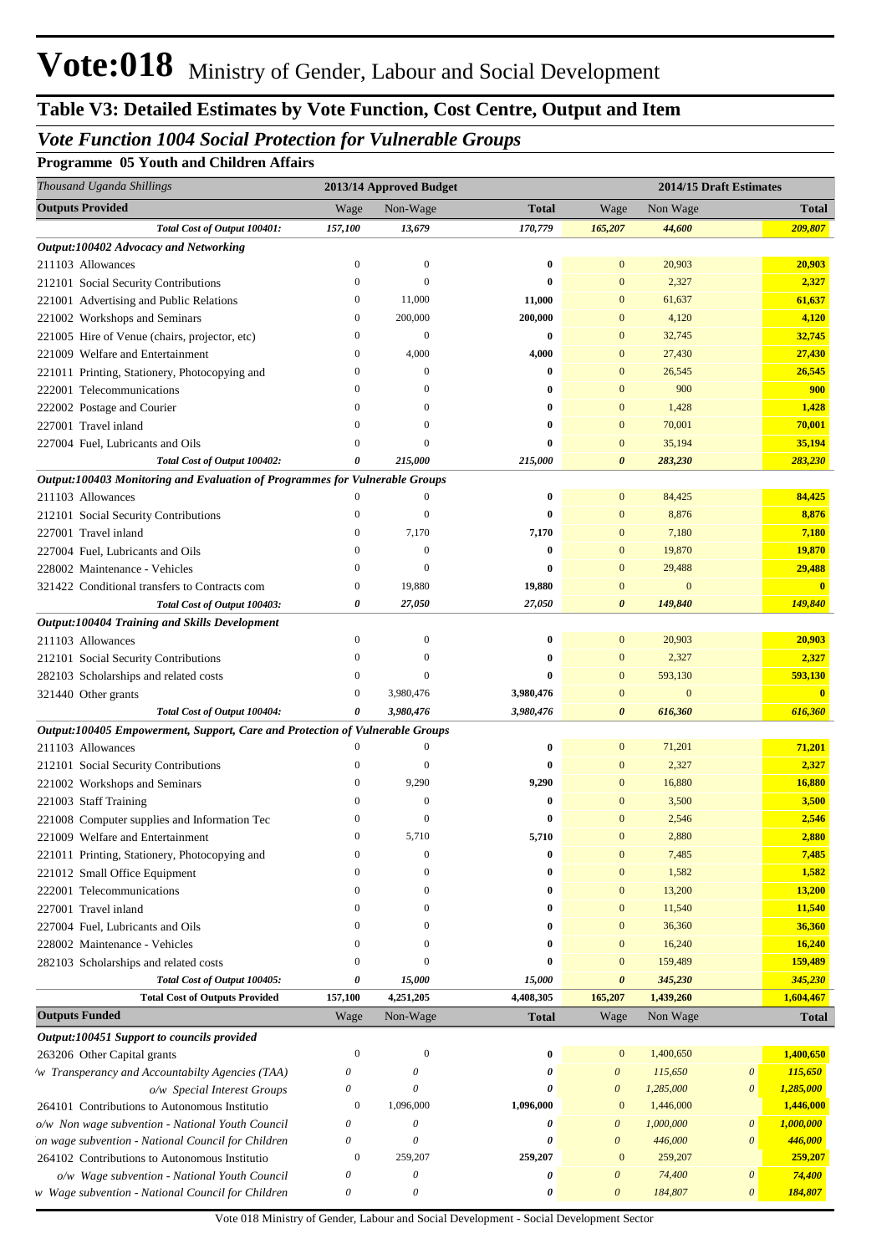# *Vote Function 1004 Social Protection for Vulnerable Groups*

**Programme 05 Youth and Children Affairs**

| Thousand Uganda Shillings                                                    |                       | 2013/14 Approved Budget   |                  |                       | 2014/15 Draft Estimates |                           |                         |
|------------------------------------------------------------------------------|-----------------------|---------------------------|------------------|-----------------------|-------------------------|---------------------------|-------------------------|
| <b>Outputs Provided</b>                                                      | Wage                  | Non-Wage                  | <b>Total</b>     | Wage                  | Non Wage                |                           | <b>Total</b>            |
| Total Cost of Output 100401:                                                 | 157,100               | 13,679                    | 170,779          | 165,207               | 44,600                  |                           | 209,807                 |
| Output:100402 Advocacy and Networking                                        |                       |                           |                  |                       |                         |                           |                         |
| 211103 Allowances                                                            | $\boldsymbol{0}$      | $\boldsymbol{0}$          | $\bf{0}$         | $\mathbf{0}$          | 20,903                  |                           | 20,903                  |
| 212101 Social Security Contributions                                         | $\boldsymbol{0}$      | $\mathbf{0}$              | $\bf{0}$         | $\mathbf{0}$          | 2,327                   |                           | 2,327                   |
| 221001 Advertising and Public Relations                                      | $\boldsymbol{0}$      | 11,000                    | 11,000           | $\mathbf{0}$          | 61,637                  |                           | 61,637                  |
| 221002 Workshops and Seminars                                                | $\overline{0}$        | 200,000                   | 200,000          | $\mathbf{0}$          | 4,120                   |                           | 4,120                   |
| 221005 Hire of Venue (chairs, projector, etc)                                | $\boldsymbol{0}$      | $\boldsymbol{0}$          | $\bf{0}$         | $\mathbf{0}$          | 32,745                  |                           | 32,745                  |
| 221009 Welfare and Entertainment                                             | $\overline{0}$        | 4,000                     | 4,000            | $\mathbf{0}$          | 27,430                  |                           | 27,430                  |
| 221011 Printing, Stationery, Photocopying and                                | $\theta$              | $\mathbf{0}$              | $\bf{0}$         | $\mathbf{0}$          | 26,545                  |                           | 26,545                  |
| 222001 Telecommunications                                                    | $\mathbf{0}$          | $\mathbf{0}$              | $\bf{0}$         | $\mathbf{0}$          | 900                     |                           | 900                     |
| 222002 Postage and Courier                                                   | $\mathbf{0}$          | $\boldsymbol{0}$          | $\bf{0}$         | $\mathbf{0}$          | 1,428                   |                           | 1,428                   |
| 227001 Travel inland                                                         | $\Omega$              | $\mathbf{0}$              | $\bf{0}$         | $\mathbf{0}$          | 70,001                  |                           | 70,001                  |
| 227004 Fuel, Lubricants and Oils                                             | $\Omega$              | $\mathbf{0}$              | 0                | $\mathbf{0}$          | 35,194                  |                           | 35,194                  |
| Total Cost of Output 100402:                                                 | 0                     | 215,000                   | 215,000          | $\boldsymbol{\theta}$ | 283,230                 |                           | 283,230                 |
| Output:100403 Monitoring and Evaluation of Programmes for Vulnerable Groups  |                       |                           |                  |                       |                         |                           |                         |
| 211103 Allowances                                                            | $\mathbf{0}$          | 0                         | $\bf{0}$         | $\mathbf{0}$          | 84,425                  |                           | 84,425                  |
| 212101 Social Security Contributions                                         | $\overline{0}$        | $\mathbf{0}$              | $\bf{0}$         | $\mathbf{0}$          | 8,876                   |                           | 8,876                   |
| 227001 Travel inland                                                         | $\overline{0}$        | 7,170                     | 7,170            | $\mathbf{0}$          | 7,180                   |                           | 7,180                   |
| 227004 Fuel, Lubricants and Oils                                             | $\overline{0}$        | $\boldsymbol{0}$          | $\bf{0}$         | $\mathbf{0}$          | 19,870                  |                           | 19,870                  |
| 228002 Maintenance - Vehicles                                                | $\overline{0}$        | $\mathbf{0}$              | 0                | $\mathbf{0}$          | 29,488                  |                           | 29,488                  |
| 321422 Conditional transfers to Contracts com                                | $\boldsymbol{0}$      | 19,880                    | 19,880           | $\mathbf{0}$          | $\overline{0}$          |                           | $\overline{\mathbf{0}}$ |
| Total Cost of Output 100403:                                                 | $\boldsymbol{\theta}$ | 27,050                    | 27,050           | $\boldsymbol{\theta}$ | 149,840                 |                           | 149,840                 |
| Output:100404 Training and Skills Development                                |                       |                           |                  |                       |                         |                           |                         |
| 211103 Allowances                                                            | $\overline{0}$        | $\mathbf{0}$              | $\bf{0}$         | $\mathbf{0}$          | 20,903                  |                           | 20,903                  |
| 212101 Social Security Contributions                                         | $\overline{0}$        | $\mathbf{0}$              | $\bf{0}$         | $\boldsymbol{0}$      | 2,327                   |                           | 2,327                   |
| 282103 Scholarships and related costs                                        | $\mathbf{0}$          | $\mathbf{0}$              | 0                | $\boldsymbol{0}$      | 593,130                 |                           | 593,130                 |
| 321440 Other grants                                                          | $\mathbf{0}$          | 3,980,476                 | 3,980,476        | $\boldsymbol{0}$      | $\mathbf{0}$            |                           | $\mathbf{0}$            |
| Total Cost of Output 100404:                                                 | 0                     | 3,980,476                 | 3,980,476        | $\boldsymbol{\theta}$ | 616,360                 |                           | 616,360                 |
| Output:100405 Empowerment, Support, Care and Protection of Vulnerable Groups |                       |                           |                  |                       |                         |                           |                         |
| 211103 Allowances                                                            | $\bf{0}$              | $\mathbf{0}$              | $\bf{0}$         | $\mathbf{0}$          | 71,201                  |                           | 71,201                  |
| 212101 Social Security Contributions                                         | $\overline{0}$        | $\boldsymbol{0}$          | $\bf{0}$         | $\boldsymbol{0}$      | 2,327                   |                           | 2,327                   |
| 221002 Workshops and Seminars                                                | $\overline{0}$        | 9,290                     | 9,290            | $\mathbf{0}$          | 16,880                  |                           | 16,880                  |
| 221003 Staff Training                                                        | $\Omega$              | $\mathbf{0}$              | $\bf{0}$         | $\mathbf{0}$          | 3,500                   |                           | 3,500                   |
| 221008 Computer supplies and Information Tec                                 | $\boldsymbol{0}$      | $\mathbf{0}$              | $\bf{0}$         | $\mathbf{0}$          | 2,546                   |                           | 2,546                   |
| 221009 Welfare and Entertainment                                             | $\Omega$              | 5,710                     | 5,710            | $\boldsymbol{0}$      | 2,880                   |                           | 2,880                   |
| 221011 Printing, Stationery, Photocopying and                                | $\overline{0}$        | $\boldsymbol{0}$          | $\bf{0}$         | $\boldsymbol{0}$      | 7,485                   |                           | 7,485                   |
| 221012 Small Office Equipment                                                | $\Omega$              | $\mathbf{0}$              | 0                | $\mathbf{0}$          | 1,582                   |                           | 1,582                   |
| 222001 Telecommunications                                                    | $\Omega$              | $\mathbf{0}$              | 0                | $\mathbf{0}$          | 13,200                  |                           | 13,200                  |
| 227001 Travel inland                                                         | $\Omega$              | $\mathbf{0}$              | 0                | $\boldsymbol{0}$      | 11,540                  |                           | 11,540                  |
|                                                                              | $\Omega$              | $\mathbf{0}$              | 0                | $\mathbf{0}$          | 36,360                  |                           | 36,360                  |
| 227004 Fuel, Lubricants and Oils                                             | $\Omega$              | $\mathbf{0}$              | 0                | $\mathbf{0}$          |                         |                           | 16,240                  |
| 228002 Maintenance - Vehicles                                                | $\Omega$              | $\mathbf{0}$              | 0                | $\mathbf{0}$          | 16,240                  |                           | 159,489                 |
| 282103 Scholarships and related costs                                        | 0                     |                           |                  | $\boldsymbol{\theta}$ | 159,489                 |                           | 345,230                 |
| Total Cost of Output 100405:<br><b>Total Cost of Outputs Provided</b>        |                       | 15,000<br>4,251,205       | 15,000           |                       | 345,230<br>1,439,260    |                           | 1,604,467               |
| <b>Outputs Funded</b>                                                        | 157,100               |                           | 4,408,305        | 165,207               |                         |                           |                         |
|                                                                              | Wage                  | Non-Wage                  | <b>Total</b>     | Wage                  | Non Wage                |                           | <b>Total</b>            |
| Output:100451 Support to councils provided                                   |                       |                           |                  |                       |                         |                           |                         |
| 263206 Other Capital grants                                                  | $\boldsymbol{0}$      | $\boldsymbol{0}$          | $\boldsymbol{0}$ | $\bf{0}$              | 1,400,650               |                           | 1,400,650               |
| /w Transperancy and Accountabilty Agencies (TAA)                             | 0                     | 0                         | 0                | $\boldsymbol{\theta}$ | 115,650                 | $\boldsymbol{\mathit{0}}$ | 115,650                 |
| o/w Special Interest Groups                                                  | 0                     | $\boldsymbol{\mathit{0}}$ | 0                | $\boldsymbol{\theta}$ | 1,285,000               | $\boldsymbol{\theta}$     | 1,285,000               |
| 264101 Contributions to Autonomous Institutio                                | $\boldsymbol{0}$      | 1,096,000                 | 1,096,000        | $\mathbf{0}$          | 1,446,000               |                           | 1,446,000               |
| o/w Non wage subvention - National Youth Council                             | 0                     | 0                         | 0                | $\boldsymbol{\theta}$ | 1,000,000               | $\boldsymbol{\theta}$     | 1,000,000               |
| on wage subvention - National Council for Children                           | 0                     | 0                         | 0                | $\boldsymbol{\theta}$ | 446,000                 | $\boldsymbol{\theta}$     | 446,000                 |
| 264102 Contributions to Autonomous Institutio                                | $\boldsymbol{0}$      | 259,207                   | 259,207          | $\mathbf{0}$          | 259,207                 |                           | 259,207                 |
| o/w Wage subvention - National Youth Council                                 | 0                     | 0                         | 0                | $\boldsymbol{\theta}$ | 74,400                  | $\boldsymbol{\theta}$     | 74,400                  |
| w Wage subvention - National Council for Children                            | 0                     | 0                         | 0                | $\boldsymbol{\theta}$ | 184,807                 | $\boldsymbol{\theta}$     | 184,807                 |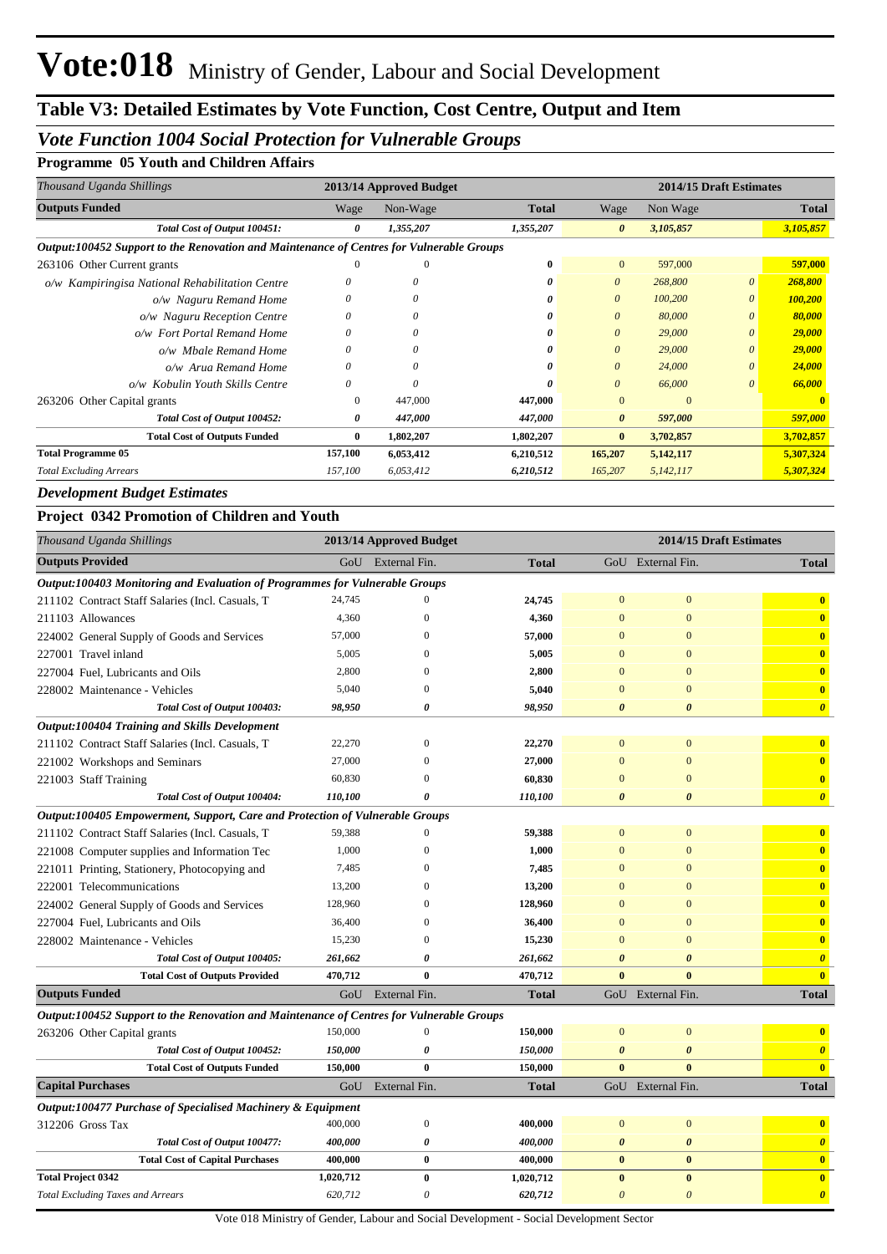## *Vote Function 1004 Social Protection for Vulnerable Groups*

#### **Programme 05 Youth and Children Affairs**

| Thousand Uganda Shillings                                                                |          | 2013/14 Approved Budget |              |                       | 2014/15 Draft Estimates |          |              |  |
|------------------------------------------------------------------------------------------|----------|-------------------------|--------------|-----------------------|-------------------------|----------|--------------|--|
| <b>Outputs Funded</b>                                                                    | Wage     | Non-Wage                | <b>Total</b> | Wage                  | Non Wage                |          | <b>Total</b> |  |
| Total Cost of Output 100451:                                                             | 0        | 1,355,207               | 1,355,207    | $\boldsymbol{\theta}$ | 3,105,857               |          | 3,105,857    |  |
| Output:100452 Support to the Renovation and Maintenance of Centres for Vulnerable Groups |          |                         |              |                       |                         |          |              |  |
| 263106 Other Current grants                                                              | 0        | $\theta$                | 0            | $\overline{0}$        | 597,000                 |          | 597,000      |  |
| o/w Kampiringisa National Rehabilitation Centre                                          |          |                         | 0            | $\theta$              | 268,800                 | 0        | 268,800      |  |
| o/w Naguru Remand Home                                                                   | 0        | 0                       | 0            | $\theta$              | 100,200                 | 0        | 100,200      |  |
| o/w Naguru Reception Centre                                                              | 0        | 0                       | o            | $\theta$              | 80,000                  | 0        | 80,000       |  |
| o/w Fort Portal Remand Home                                                              | 0        | O                       | o            | $\theta$              | 29,000                  | 0        | 29,000       |  |
| o/w Mbale Remand Home                                                                    | 0        | 0                       | 0            | $\theta$              | 29,000                  | $\theta$ | 29,000       |  |
| o/w Arua Remand Home                                                                     | 0        | 0                       | o            | $\theta$              | 24,000                  | 0        | 24,000       |  |
| o/w Kobulin Youth Skills Centre                                                          | $\theta$ | O                       | 0            | $\theta$              | 66,000                  | 0        | 66,000       |  |
| 263206 Other Capital grants                                                              | $\Omega$ | 447,000                 | 447,000      | $\Omega$              | $\Omega$                |          |              |  |
| Total Cost of Output 100452:                                                             | 0        | 447,000                 | 447,000      | $\boldsymbol{\theta}$ | 597,000                 |          | 597,000      |  |
| <b>Total Cost of Outputs Funded</b>                                                      | 0        | 1,802,207               | 1,802,207    | $\bf{0}$              | 3,702,857               |          | 3,702,857    |  |
| <b>Total Programme 05</b>                                                                | 157,100  | 6,053,412               | 6,210,512    | 165,207               | 5,142,117               |          | 5,307,324    |  |
| <b>Total Excluding Arrears</b>                                                           | 157,100  | 6,053,412               | 6,210,512    | 165,207               | 5,142,117               |          | 5,307,324    |  |

*Development Budget Estimates*

### **Project 0342 Promotion of Children and Youth**

| Thousand Uganda Shillings                                                                |           | 2013/14 Approved Budget |              |                       |                       | 2014/15 Draft Estimates |
|------------------------------------------------------------------------------------------|-----------|-------------------------|--------------|-----------------------|-----------------------|-------------------------|
| <b>Outputs Provided</b>                                                                  |           | GoU External Fin.       | <b>Total</b> |                       | GoU External Fin.     | <b>Total</b>            |
| <b>Output:100403 Monitoring and Evaluation of Programmes for Vulnerable Groups</b>       |           |                         |              |                       |                       |                         |
| 211102 Contract Staff Salaries (Incl. Casuals, T                                         | 24,745    | $\Omega$                | 24,745       | $\overline{0}$        | $\mathbf{0}$          | $\bf{0}$                |
| 211103 Allowances                                                                        | 4,360     | $\mathbf{0}$            | 4,360        | $\overline{0}$        | $\mathbf{0}$          | $\overline{\mathbf{0}}$ |
| 224002 General Supply of Goods and Services                                              | 57,000    | $\mathbf{0}$            | 57,000       | $\overline{0}$        | $\mathbf{0}$          | $\overline{\mathbf{0}}$ |
| 227001 Travel inland                                                                     | 5,005     | $\Omega$                | 5,005        | $\mathbf{0}$          | $\mathbf{0}$          | $\overline{\mathbf{0}}$ |
| 227004 Fuel, Lubricants and Oils                                                         | 2,800     | $\Omega$                | 2,800        | $\overline{0}$        | $\mathbf{0}$          | $\overline{\mathbf{0}}$ |
| 228002 Maintenance - Vehicles                                                            | 5,040     | $\Omega$                | 5,040        | $\mathbf{0}$          | $\mathbf{0}$          | $\overline{\mathbf{0}}$ |
| Total Cost of Output 100403:                                                             | 98,950    | $\boldsymbol{\theta}$   | 98,950       | $\boldsymbol{\theta}$ | $\boldsymbol{\theta}$ | $\boldsymbol{\theta}$   |
| <b>Output:100404 Training and Skills Development</b>                                     |           |                         |              |                       |                       |                         |
| 211102 Contract Staff Salaries (Incl. Casuals, T                                         | 22,270    | $\overline{0}$          | 22,270       | $\mathbf{0}$          | $\mathbf{0}$          | $\bf{0}$                |
| 221002 Workshops and Seminars                                                            | 27,000    | $\theta$                | 27,000       | $\mathbf{0}$          | $\mathbf{0}$          | $\overline{\mathbf{0}}$ |
| 221003 Staff Training                                                                    | 60,830    | $\theta$                | 60,830       | $\mathbf{0}$          | $\mathbf{0}$          | $\overline{\mathbf{0}}$ |
| Total Cost of Output 100404:                                                             | 110,100   | $\theta$                | 110,100      | $\boldsymbol{\theta}$ | $\boldsymbol{\theta}$ | $\boldsymbol{\theta}$   |
| Output:100405 Empowerment, Support, Care and Protection of Vulnerable Groups             |           |                         |              |                       |                       |                         |
| 211102 Contract Staff Salaries (Incl. Casuals, T                                         | 59,388    | $\Omega$                | 59,388       | $\mathbf{0}$          | $\mathbf{0}$          | $\mathbf{0}$            |
| 221008 Computer supplies and Information Tec                                             | 1,000     | $\overline{0}$          | 1,000        | $\mathbf{0}$          | $\mathbf{0}$          | $\overline{\mathbf{0}}$ |
| 221011 Printing, Stationery, Photocopying and                                            | 7,485     | $\theta$                | 7,485        | $\mathbf{0}$          | $\mathbf{0}$          | $\mathbf{0}$            |
| 222001 Telecommunications                                                                | 13,200    | $\theta$                | 13,200       | $\mathbf{0}$          | $\mathbf{0}$          | $\overline{\mathbf{0}}$ |
| 224002 General Supply of Goods and Services                                              | 128,960   | $\Omega$                | 128,960      | $\mathbf{0}$          | $\mathbf{0}$          | $\mathbf{0}$            |
| 227004 Fuel, Lubricants and Oils                                                         | 36,400    | $\theta$                | 36,400       | $\mathbf{0}$          | $\mathbf{0}$          | $\bullet$               |
| 228002 Maintenance - Vehicles                                                            | 15,230    | $\theta$                | 15,230       | $\mathbf{0}$          | $\mathbf{0}$          | $\mathbf{0}$            |
| Total Cost of Output 100405:                                                             | 261,662   | $\boldsymbol{\theta}$   | 261,662      | $\boldsymbol{\theta}$ | $\boldsymbol{\theta}$ | $\boldsymbol{\theta}$   |
| <b>Total Cost of Outputs Provided</b>                                                    | 470,712   | $\mathbf{0}$            | 470,712      | $\mathbf{0}$          | $\theta$              | $\mathbf{0}$            |
| <b>Outputs Funded</b>                                                                    | GoU       | External Fin.           | <b>Total</b> |                       | GoU External Fin.     | <b>Total</b>            |
| Output:100452 Support to the Renovation and Maintenance of Centres for Vulnerable Groups |           |                         |              |                       |                       |                         |
| 263206 Other Capital grants                                                              | 150,000   | $\boldsymbol{0}$        | 150,000      | $\mathbf{0}$          | $\mathbf{0}$          | $\overline{\mathbf{0}}$ |
| Total Cost of Output 100452:                                                             | 150,000   | 0                       | 150,000      | $\boldsymbol{\theta}$ | $\boldsymbol{\theta}$ | $\boldsymbol{\theta}$   |
| <b>Total Cost of Outputs Funded</b>                                                      | 150,000   | $\bf{0}$                | 150,000      | $\bf{0}$              | $\bf{0}$              | $\mathbf{0}$            |
| <b>Capital Purchases</b>                                                                 | GoU       | External Fin.           | <b>Total</b> |                       | GoU External Fin.     | <b>Total</b>            |
| Output:100477 Purchase of Specialised Machinery & Equipment                              |           |                         |              |                       |                       |                         |
| 312206 Gross Tax                                                                         | 400,000   | $\boldsymbol{0}$        | 400,000      | $\mathbf{0}$          | $\mathbf{0}$          | $\overline{\mathbf{0}}$ |
| Total Cost of Output 100477:                                                             | 400,000   | $\boldsymbol{\theta}$   | 400,000      | $\boldsymbol{\theta}$ | $\pmb{\theta}$        | $\boldsymbol{\theta}$   |
| <b>Total Cost of Capital Purchases</b>                                                   | 400,000   | $\bf{0}$                | 400,000      | $\bf{0}$              | $\bf{0}$              | $\mathbf{0}$            |
| <b>Total Project 0342</b>                                                                | 1,020,712 | $\bf{0}$                | 1,020,712    | $\bf{0}$              | $\pmb{0}$             | $\overline{\mathbf{0}}$ |
| <b>Total Excluding Taxes and Arrears</b>                                                 | 620,712   | $\theta$                | 620,712      | $\boldsymbol{\theta}$ | $\theta$              | $\boldsymbol{\theta}$   |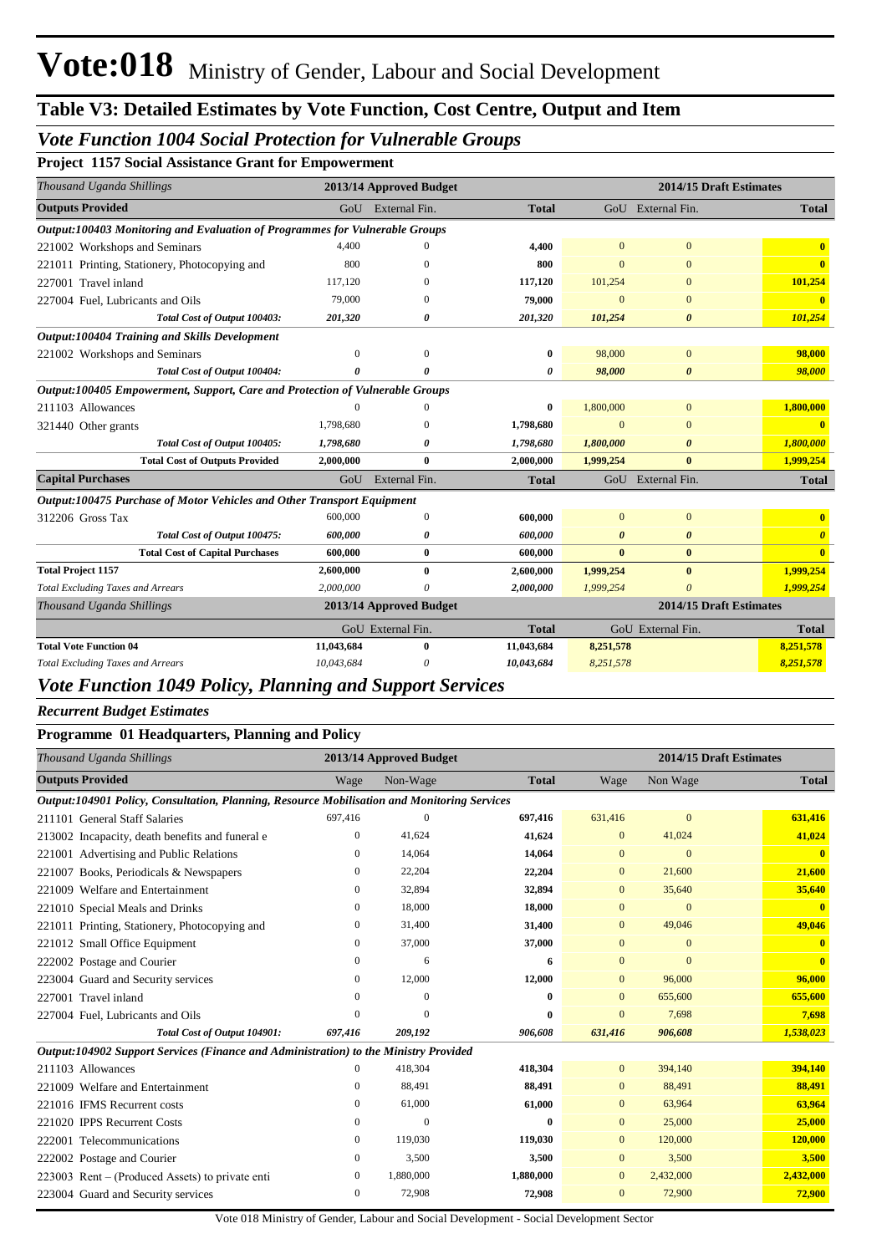### *Vote Function 1004 Social Protection for Vulnerable Groups*

**Project 1157 Social Assistance Grant for Empowerment**

| Thousand Uganda Shillings                                                     |            | 2013/14 Approved Budget |              |                | 2014/15 Draft Estimates |              |
|-------------------------------------------------------------------------------|------------|-------------------------|--------------|----------------|-------------------------|--------------|
| <b>Outputs Provided</b>                                                       |            | GoU External Fin.       | <b>Total</b> |                | GoU External Fin.       | <b>Total</b> |
| Output:100403 Monitoring and Evaluation of Programmes for Vulnerable Groups   |            |                         |              |                |                         |              |
| 221002 Workshops and Seminars                                                 | 4.400      |                         | 4,400        | $\mathbf{0}$   | $\mathbf{0}$            |              |
| 221011 Printing, Stationery, Photocopying and                                 | 800        | 0                       | 800          | $\overline{0}$ | $\Omega$                | $\mathbf{0}$ |
| 227001 Travel inland                                                          | 117,120    | 0                       | 117,120      | 101,254        | $\Omega$                | 101,254      |
| 227004 Fuel, Lubricants and Oils                                              | 79,000     | 0                       | 79,000       | $\mathbf{0}$   | $\mathbf{0}$            |              |
| Total Cost of Output 100403:                                                  | 201,320    | 0                       | 201,320      | 101,254        | 0                       | 101,254      |
| Output:100404 Training and Skills Development                                 |            |                         |              |                |                         |              |
| 221002 Workshops and Seminars                                                 | $\Omega$   | $\Omega$                | 0            | 98,000         | $\mathbf{0}$            | 98,000       |
| Total Cost of Output 100404:                                                  | $\theta$   | 0                       | 0            | 98,000         | $\boldsymbol{\theta}$   | 98,000       |
| Output:100405 Empowerment, Support, Care and Protection of Vulnerable Groups  |            |                         |              |                |                         |              |
| 211103 Allowances                                                             |            |                         | 0            | 1,800,000      | $\overline{0}$          | 1,800,000    |
| 321440 Other grants                                                           | 1,798,680  | $\Omega$                | 1,798,680    | $\overline{0}$ | $\overline{0}$          | $\mathbf{0}$ |
| Total Cost of Output 100405:                                                  | 1,798,680  | ß                       | 1,798,680    | 1,800,000      | $\theta$                | 1,800,000    |
| <b>Total Cost of Outputs Provided</b>                                         | 2,000,000  | $\mathbf{0}$            | 2,000,000    | 1,999,254      | $\mathbf{0}$            | 1,999,254    |
| <b>Capital Purchases</b>                                                      | GoU        | External Fin.           | <b>Total</b> |                | GoU External Fin.       | <b>Total</b> |
| <b>Output:100475 Purchase of Motor Vehicles and Other Transport Equipment</b> |            |                         |              |                |                         |              |
| 312206 Gross Tax                                                              | 600,000    | $\theta$                | 600,000      | $\Omega$       | $\overline{0}$          |              |
| Total Cost of Output 100475:                                                  | 600,000    | 0                       | 600,000      | $\theta$       | $\boldsymbol{\theta}$   | $\theta$     |
| <b>Total Cost of Capital Purchases</b>                                        | 600,000    | $\bf{0}$                | 600,000      | $\bf{0}$       | $\bf{0}$                | $\mathbf{0}$ |
| <b>Total Project 1157</b>                                                     | 2,600,000  | 0                       | 2,600,000    | 1,999,254      | $\bf{0}$                | 1,999,254    |
| <b>Total Excluding Taxes and Arrears</b>                                      | 2,000,000  |                         | 2,000,000    | 1,999,254      | $\theta$                | 1,999,254    |
| Thousand Uganda Shillings                                                     |            | 2013/14 Approved Budget |              |                | 2014/15 Draft Estimates |              |
|                                                                               |            | GoU External Fin.       | <b>Total</b> |                | GoU External Fin.       | <b>Total</b> |
| <b>Total Vote Function 04</b>                                                 | 11,043,684 | $\mathbf{0}$            | 11,043,684   | 8,251,578      |                         | 8,251,578    |
| <b>Total Excluding Taxes and Arrears</b>                                      | 10,043,684 | 0                       | 10,043,684   | 8,251,578      |                         | 8,251,578    |

# *Vote Function 1049 Policy, Planning and Support Services*

#### *Recurrent Budget Estimates*

#### **Programme 01 Headquarters, Planning and Policy**

| Thousand Uganda Shillings                                                                   |                | 2013/14 Approved Budget |              | 2014/15 Draft Estimates |              |              |  |
|---------------------------------------------------------------------------------------------|----------------|-------------------------|--------------|-------------------------|--------------|--------------|--|
| <b>Outputs Provided</b>                                                                     | Wage           | Non-Wage                | <b>Total</b> | Wage                    | Non Wage     | <b>Total</b> |  |
| Output:104901 Policy, Consultation, Planning, Resource Mobilisation and Monitoring Services |                |                         |              |                         |              |              |  |
| 211101 General Staff Salaries                                                               | 697,416        | $\mathbf{0}$            | 697,416      | 631,416                 | $\mathbf{0}$ | 631,416      |  |
| 213002 Incapacity, death benefits and funeral e                                             | 0              | 41,624                  | 41,624       | $\mathbf{0}$            | 41,024       | 41,024       |  |
| 221001 Advertising and Public Relations                                                     | 0              | 14,064                  | 14,064       | $\mathbf{0}$            | $\mathbf{0}$ | $\bf{0}$     |  |
| 221007 Books, Periodicals & Newspapers                                                      | 0              | 22,204                  | 22,204       | $\overline{0}$          | 21,600       | 21,600       |  |
| 221009 Welfare and Entertainment                                                            | 0              | 32,894                  | 32,894       | $\overline{0}$          | 35,640       | 35,640       |  |
| 221010 Special Meals and Drinks                                                             | 0              | 18,000                  | 18,000       | $\mathbf{0}$            | $\mathbf{0}$ | $\mathbf{0}$ |  |
| 221011 Printing, Stationery, Photocopying and                                               | 0              | 31,400                  | 31,400       | $\mathbf{0}$            | 49,046       | 49,046       |  |
| 221012 Small Office Equipment                                                               | 0              | 37,000                  | 37,000       | $\mathbf{0}$            | $\mathbf{0}$ | $\mathbf{0}$ |  |
| 222002 Postage and Courier                                                                  | 0              | 6                       | 6            | $\mathbf{0}$            | $\Omega$     | $\mathbf{0}$ |  |
| 223004 Guard and Security services                                                          | $\mathbf{0}$   | 12,000                  | 12,000       | $\mathbf{0}$            | 96,000       | 96,000       |  |
| 227001 Travel inland                                                                        | 0              | $\Omega$                | $\bf{0}$     | $\Omega$                | 655,600      | 655,600      |  |
| 227004 Fuel, Lubricants and Oils                                                            | $\Omega$       | $\Omega$                | $\bf{0}$     | $\Omega$                | 7,698        | 7.698        |  |
| Total Cost of Output 104901:                                                                | 697,416        | 209,192                 | 906,608      | 631,416                 | 906,608      | 1,538,023    |  |
| Output:104902 Support Services (Finance and Administration) to the Ministry Provided        |                |                         |              |                         |              |              |  |
| 211103 Allowances                                                                           | 0              | 418,304                 | 418,304      | $\overline{0}$          | 394,140      | 394,140      |  |
| 221009 Welfare and Entertainment                                                            | 0              | 88,491                  | 88,491       | $\overline{0}$          | 88,491       | 88,491       |  |
| 221016 IFMS Recurrent costs                                                                 | 0              | 61,000                  | 61,000       | $\mathbf{0}$            | 63,964       | 63,964       |  |
| 221020 IPPS Recurrent Costs                                                                 | $\overline{0}$ | $\overline{0}$          | $\bf{0}$     | $\overline{0}$          | 25,000       | 25,000       |  |
| 222001 Telecommunications                                                                   | $\mathbf{0}$   | 119,030                 | 119,030      | $\overline{0}$          | 120,000      | 120,000      |  |
| 222002 Postage and Courier                                                                  | $\mathbf{0}$   | 3,500                   | 3,500        | $\overline{0}$          | 3,500        | 3,500        |  |
| 223003 Rent – (Produced Assets) to private enti                                             | $\mathbf{0}$   | 1,880,000               | 1,880,000    | $\overline{0}$          | 2,432,000    | 2,432,000    |  |
| 223004 Guard and Security services                                                          | 0              | 72,908                  | 72,908       | $\mathbf{0}$            | 72,900       | 72,900       |  |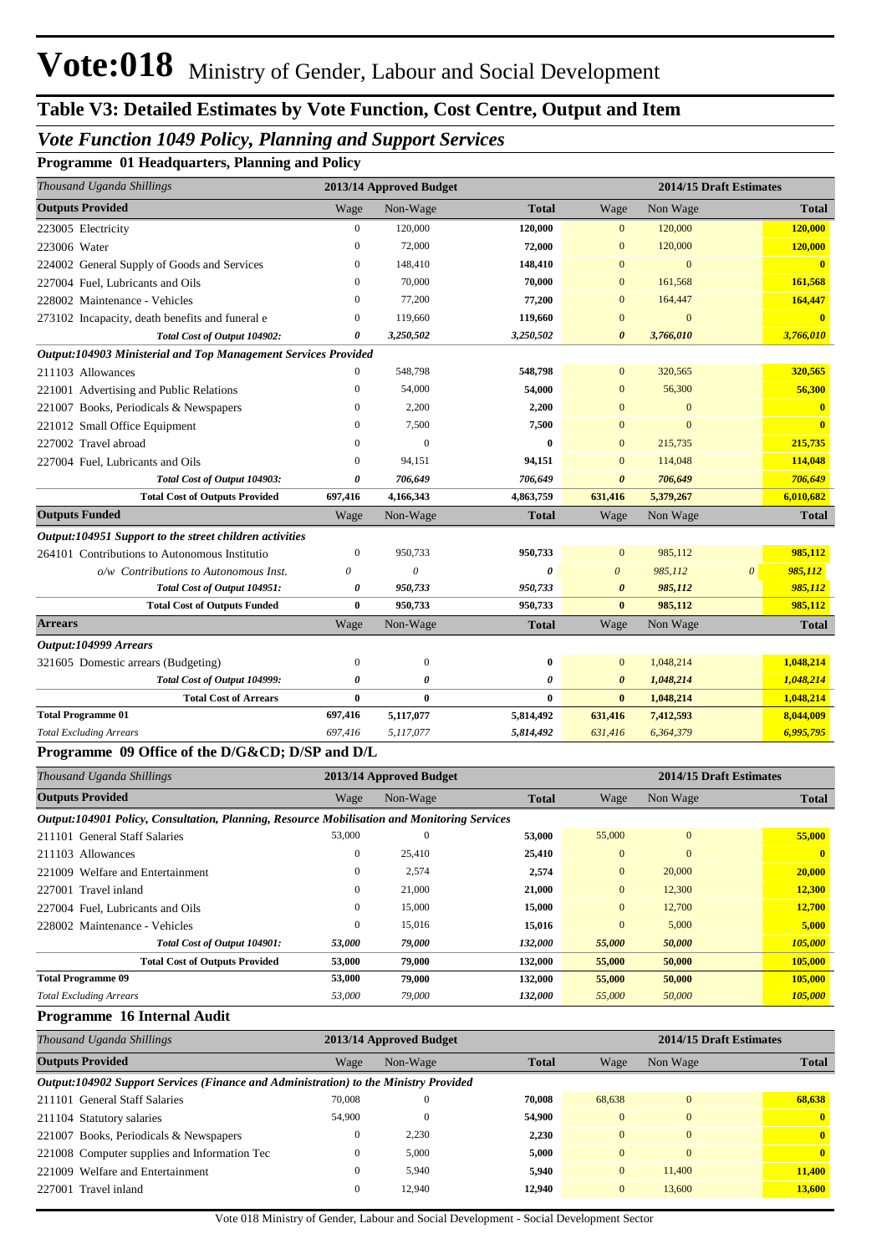## *Vote Function 1049 Policy, Planning and Support Services*

**Programme 01 Headquarters, Planning and Policy**

| Thousand Uganda Shillings                                      |                | 2013/14 Approved Budget |              |                       | 2014/15 Draft Estimates |                       |              |
|----------------------------------------------------------------|----------------|-------------------------|--------------|-----------------------|-------------------------|-----------------------|--------------|
| <b>Outputs Provided</b>                                        | Wage           | Non-Wage                | <b>Total</b> | Wage                  | Non Wage                |                       | <b>Total</b> |
| 223005 Electricity                                             | 0              | 120,000                 | 120,000      | $\mathbf{0}$          | 120,000                 |                       | 120,000      |
| 223006 Water                                                   | $\overline{0}$ | 72,000                  | 72,000       | $\mathbf{0}$          | 120,000                 |                       | 120,000      |
| 224002 General Supply of Goods and Services                    | $\Omega$       | 148,410                 | 148,410      | $\overline{0}$        | $\overline{0}$          |                       |              |
| 227004 Fuel, Lubricants and Oils                               | $\Omega$       | 70,000                  | 70,000       | $\mathbf{0}$          | 161,568                 |                       | 161,568      |
| 228002 Maintenance - Vehicles                                  | 0              | 77,200                  | 77,200       | $\mathbf{0}$          | 164,447                 |                       | 164,447      |
| 273102 Incapacity, death benefits and funeral e                | 0              | 119,660                 | 119,660      | $\overline{0}$        | $\overline{0}$          |                       | $\mathbf{0}$ |
| Total Cost of Output 104902:                                   | 0              | 3,250,502               | 3,250,502    | $\boldsymbol{\theta}$ | 3,766,010               |                       | 3,766,010    |
| Output:104903 Ministerial and Top Management Services Provided |                |                         |              |                       |                         |                       |              |
| 211103 Allowances                                              | 0              | 548,798                 | 548,798      | $\mathbf{0}$          | 320,565                 |                       | 320,565      |
| 221001 Advertising and Public Relations                        | 0              | 54,000                  | 54,000       | $\Omega$              | 56,300                  |                       | 56,300       |
| 221007 Books, Periodicals & Newspapers                         | $\overline{0}$ | 2,200                   | 2,200        | $\overline{0}$        | $\overline{0}$          |                       |              |
| 221012 Small Office Equipment                                  | 0              | 7,500                   | 7,500        | $\overline{0}$        | $\overline{0}$          |                       | $\mathbf{0}$ |
| 227002 Travel abroad                                           | $\Omega$       | $\overline{0}$          | $\bf{0}$     | $\mathbf{0}$          | 215,735                 |                       | 215,735      |
| 227004 Fuel, Lubricants and Oils                               | $\Omega$       | 94,151                  | 94,151       | $\overline{0}$        | 114,048                 |                       | 114,048      |
| Total Cost of Output 104903:                                   | 0              | 706,649                 | 706,649      | 0                     | 706,649                 |                       | 706,649      |
| <b>Total Cost of Outputs Provided</b>                          | 697,416        | 4,166,343               | 4,863,759    | 631,416               | 5,379,267               |                       | 6,010,682    |
| <b>Outputs Funded</b>                                          | Wage           | Non-Wage                | <b>Total</b> | Wage                  | Non Wage                |                       | <b>Total</b> |
| Output:104951 Support to the street children activities        |                |                         |              |                       |                         |                       |              |
| 264101 Contributions to Autonomous Institutio                  | $\mathbf{0}$   | 950,733                 | 950,733      | $\mathbf{0}$          | 985,112                 |                       | 985,112      |
| o/w Contributions to Autonomous Inst.                          | 0              | 0                       | 0            | $\boldsymbol{\theta}$ | 985,112                 | $\boldsymbol{\theta}$ | 985,112      |
| Total Cost of Output 104951:                                   | 0              | 950,733                 | 950,733      | $\boldsymbol{\theta}$ | 985,112                 |                       | 985,112      |
| <b>Total Cost of Outputs Funded</b>                            | $\bf{0}$       | 950,733                 | 950,733      | $\mathbf{0}$          | 985,112                 |                       | 985,112      |
| <b>Arrears</b>                                                 | Wage           | Non-Wage                | <b>Total</b> | Wage                  | Non Wage                |                       | <b>Total</b> |
| Output:104999 Arrears                                          |                |                         |              |                       |                         |                       |              |
| 321605 Domestic arrears (Budgeting)                            | 0              | $\boldsymbol{0}$        | $\bf{0}$     | $\mathbf{0}$          | 1,048,214               |                       | 1,048,214    |
| Total Cost of Output 104999:                                   | 0              | 0                       | 0            | $\boldsymbol{\theta}$ | 1,048,214               |                       | 1,048,214    |
| <b>Total Cost of Arrears</b>                                   | $\bf{0}$       | $\bf{0}$                | $\bf{0}$     | $\bf{0}$              | 1,048,214               |                       | 1,048,214    |
| <b>Total Programme 01</b>                                      | 697,416        | 5,117,077               | 5,814,492    | 631,416               | 7,412,593               |                       | 8,044,009    |
| <b>Total Excluding Arrears</b>                                 | 697,416        | 5,117,077               | 5,814,492    | 631,416               | 6,364,379               |                       | 6,995,795    |
| Programme 09 Office of the D/G&CD D/SP and D/L                 |                |                         |              |                       |                         |                       |              |

| Thousand Uganda Shillings                                                                   |        | 2013/14 Approved Budget |              | 2014/15 Draft Estimates |              |              |  |
|---------------------------------------------------------------------------------------------|--------|-------------------------|--------------|-------------------------|--------------|--------------|--|
| <b>Outputs Provided</b>                                                                     | Wage   | Non-Wage                | <b>Total</b> | Wage                    | Non Wage     | <b>Total</b> |  |
| Output:104901 Policy, Consultation, Planning, Resource Mobilisation and Monitoring Services |        |                         |              |                         |              |              |  |
| 211101 General Staff Salaries                                                               | 53,000 | $\mathbf{0}$            | 53,000       | 55,000                  | $\Omega$     | 55,000       |  |
| 211103 Allowances                                                                           | 0      | 25,410                  | 25,410       | $\mathbf{0}$            | $\mathbf{0}$ |              |  |
| 221009 Welfare and Entertainment                                                            | 0      | 2,574                   | 2,574        | $\mathbf{0}$            | 20,000       | 20,000       |  |
| 227001 Travel inland                                                                        | 0      | 21,000                  | 21,000       | $\mathbf{0}$            | 12,300       | 12,300       |  |
| 227004 Fuel, Lubricants and Oils                                                            | 0      | 15,000                  | 15,000       | $\overline{0}$          | 12,700       | 12,700       |  |
| 228002 Maintenance - Vehicles                                                               | 0      | 15,016                  | 15,016       | $\mathbf{0}$            | 5,000        | 5,000        |  |
| Total Cost of Output 104901:                                                                | 53,000 | 79,000                  | 132,000      | 55,000                  | 50,000       | 105,000      |  |
| <b>Total Cost of Outputs Provided</b>                                                       | 53,000 | 79,000                  | 132,000      | 55,000                  | 50,000       | 105,000      |  |
| <b>Total Programme 09</b>                                                                   | 53,000 | 79,000                  | 132,000      | 55,000                  | 50,000       | 105,000      |  |
| <b>Total Excluding Arrears</b>                                                              | 53,000 | 79,000                  | 132,000      | 55,000                  | 50,000       | 105,000      |  |

**Programme 16 Internal Audit**

| Thousand Uganda Shillings                                                            |                | 2013/14 Approved Budget |              | 2014/15 Draft Estimates |              |              |  |  |
|--------------------------------------------------------------------------------------|----------------|-------------------------|--------------|-------------------------|--------------|--------------|--|--|
| <b>Outputs Provided</b>                                                              | Wage           | Non-Wage                | <b>Total</b> | Wage                    | Non Wage     | <b>Total</b> |  |  |
| Output:104902 Support Services (Finance and Administration) to the Ministry Provided |                |                         |              |                         |              |              |  |  |
| 211101 General Staff Salaries                                                        | 70,008         | $\theta$                | 70,008       | 68,638                  | $\Omega$     | 68.638       |  |  |
| 211104 Statutory salaries                                                            | 54,900         | $\overline{0}$          | 54,900       | $\overline{0}$          | $\mathbf{0}$ | $\mathbf{0}$ |  |  |
| 221007 Books, Periodicals & Newspapers                                               | $\mathbf{0}$   | 2.230                   | 2.230        | $\Omega$                | $\theta$     | $\mathbf{0}$ |  |  |
| 221008 Computer supplies and Information Tec                                         | $\mathbf{0}$   | 5,000                   | 5,000        | $\Omega$                | $\theta$     | $\mathbf{0}$ |  |  |
| 221009 Welfare and Entertainment                                                     | $\overline{0}$ | 5.940                   | 5.940        | $\overline{0}$          | 11,400       | 11,400       |  |  |
| 227001 Travel inland                                                                 | $\mathbf{0}$   | 12,940                  | 12,940       | $\overline{0}$          | 13,600       | 13,600       |  |  |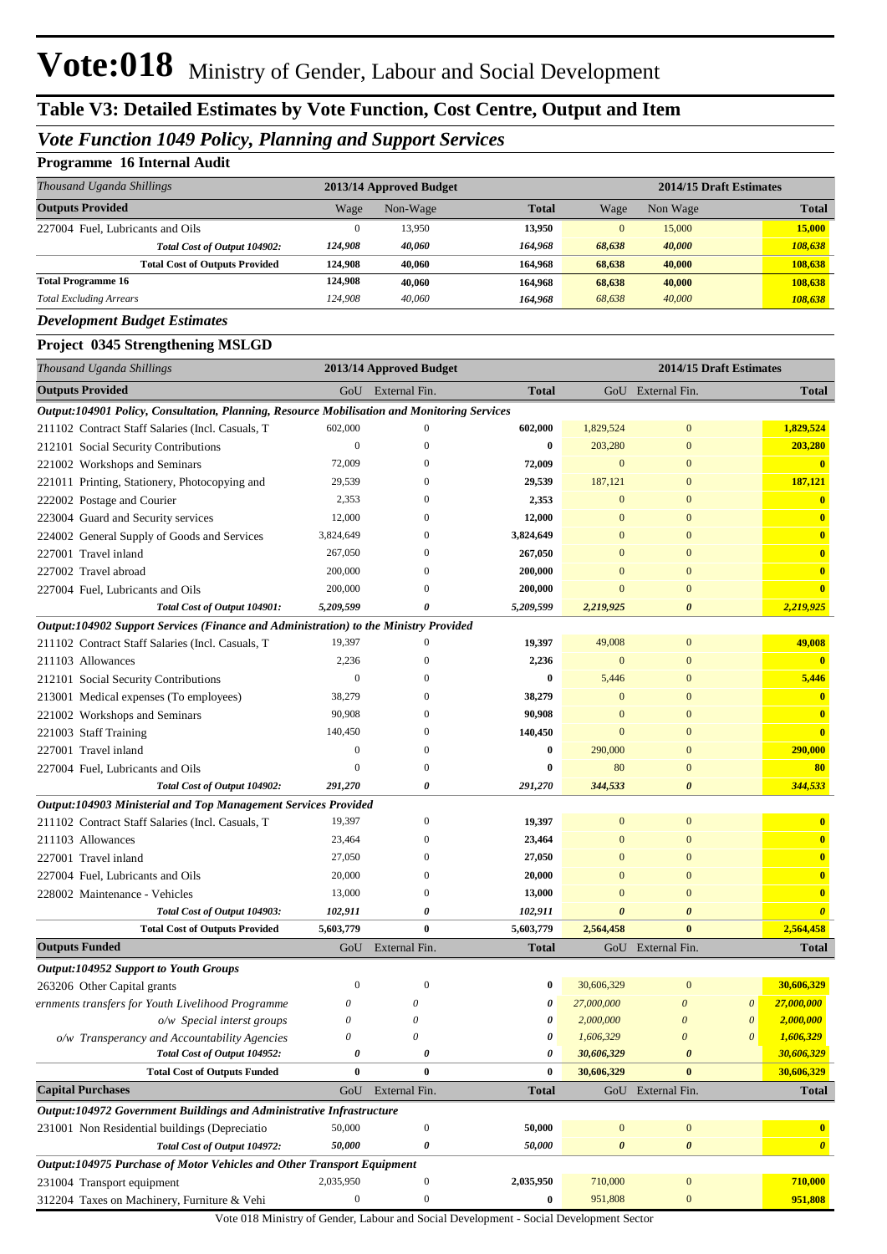## *Vote Function 1049 Policy, Planning and Support Services*

#### **Programme 16 Internal Audit**

| Thousand Uganda Shillings             |         | 2013/14 Approved Budget |              |          | 2014/15 Draft Estimates |              |  |  |
|---------------------------------------|---------|-------------------------|--------------|----------|-------------------------|--------------|--|--|
| <b>Outputs Provided</b>               | Wage    | Non-Wage                | <b>Total</b> | Wage     | Non Wage                | <b>Total</b> |  |  |
| 227004 Fuel, Lubricants and Oils      |         | 13,950                  | 13,950       | $\Omega$ | 15,000                  | 15,000       |  |  |
| Total Cost of Output 104902:          | 124.908 | 40.060                  | 164.968      | 68.638   | 40,000                  | 108,638      |  |  |
| <b>Total Cost of Outputs Provided</b> | 124.908 | 40.060                  | 164.968      | 68.638   | 40,000                  | 108.638      |  |  |
| <b>Total Programme 16</b>             | 124.908 | 40.060                  | 164.968      | 68.638   | 40,000                  | 108,638      |  |  |
| <b>Total Excluding Arrears</b>        | 124,908 | 40,060                  | 164.968      | 68.638   | 40,000                  | 108.638      |  |  |

#### *Development Budget Estimates*

#### **Project 0345 Strengthening MSLGD**

| Thousand Uganda Shillings                                                                   |                  | 2013/14 Approved Budget   |              |                       |                       | 2014/15 Draft Estimates |                         |
|---------------------------------------------------------------------------------------------|------------------|---------------------------|--------------|-----------------------|-----------------------|-------------------------|-------------------------|
| <b>Outputs Provided</b>                                                                     |                  | GoU External Fin.         | <b>Total</b> |                       | GoU External Fin.     |                         | <b>Total</b>            |
| Output:104901 Policy, Consultation, Planning, Resource Mobilisation and Monitoring Services |                  |                           |              |                       |                       |                         |                         |
| 211102 Contract Staff Salaries (Incl. Casuals, T                                            | 602,000          | $\mathbf{0}$              | 602,000      | 1,829,524             | $\mathbf{0}$          |                         | 1,829,524               |
| 212101 Social Security Contributions                                                        | $\mathbf{0}$     | $\mathbf{0}$              | $\bf{0}$     | 203,280               | $\boldsymbol{0}$      |                         | 203,280                 |
| 221002 Workshops and Seminars                                                               | 72,009           | $\mathbf{0}$              | 72,009       | $\mathbf{0}$          | $\overline{0}$        |                         | $\mathbf{0}$            |
| 221011 Printing, Stationery, Photocopying and                                               | 29,539           | $\mathbf{0}$              | 29,539       | 187,121               | $\overline{0}$        |                         | 187,121                 |
| 222002 Postage and Courier                                                                  | 2,353            | $\mathbf{0}$              | 2,353        | $\mathbf{0}$          | $\overline{0}$        |                         | $\bf{0}$                |
| 223004 Guard and Security services                                                          | 12,000           | $\mathbf{0}$              | 12,000       | $\Omega$              | $\overline{0}$        |                         | $\overline{\mathbf{0}}$ |
| 224002 General Supply of Goods and Services                                                 | 3,824,649        | $\mathbf{0}$              | 3,824,649    | $\Omega$              | $\overline{0}$        |                         | $\bf{0}$                |
| 227001 Travel inland                                                                        | 267,050          | $\mathbf{0}$              | 267,050      | $\Omega$              | $\overline{0}$        |                         | $\bf{0}$                |
| 227002 Travel abroad                                                                        | 200,000          | $\mathbf{0}$              | 200,000      | $\Omega$              | $\overline{0}$        |                         | $\bf{0}$                |
| 227004 Fuel, Lubricants and Oils                                                            | 200,000          | $\mathbf{0}$              | 200,000      | $\Omega$              | $\overline{0}$        |                         | $\overline{\mathbf{0}}$ |
| Total Cost of Output 104901:                                                                | 5,209,599        | 0                         | 5,209,599    | 2,219,925             | $\boldsymbol{\theta}$ |                         | 2,219,925               |
| Output:104902 Support Services (Finance and Administration) to the Ministry Provided        |                  |                           |              |                       |                       |                         |                         |
| 211102 Contract Staff Salaries (Incl. Casuals, T                                            | 19,397           | $\mathbf{0}$              | 19,397       | 49,008                | $\mathbf{0}$          |                         | 49,008                  |
| 211103 Allowances                                                                           | 2,236            | $\mathbf{0}$              | 2,236        | $\mathbf{0}$          | $\mathbf{0}$          |                         | $\mathbf{0}$            |
| 212101 Social Security Contributions                                                        | $\mathbf{0}$     | $\mathbf{0}$              | $\bf{0}$     | 5,446                 | $\overline{0}$        |                         | 5,446                   |
| 213001 Medical expenses (To employees)                                                      | 38,279           | $\mathbf{0}$              | 38,279       | $\mathbf{0}$          | $\overline{0}$        |                         | $\bf{0}$                |
| 221002 Workshops and Seminars                                                               | 90,908           | $\mathbf{0}$              | 90,908       | $\mathbf{0}$          | $\overline{0}$        |                         | $\overline{\mathbf{0}}$ |
| 221003 Staff Training                                                                       | 140,450          | $\mathbf{0}$              | 140,450      | $\Omega$              | $\Omega$              |                         | $\overline{\mathbf{0}}$ |
| 227001 Travel inland                                                                        | $\mathbf{0}$     | $\mathbf{0}$              | $\bf{0}$     | 290,000               | $\overline{0}$        |                         | 290,000                 |
| 227004 Fuel, Lubricants and Oils                                                            | $\mathbf{0}$     | $\mathbf{0}$              | $\bf{0}$     | 80                    | $\overline{0}$        |                         | 80                      |
| Total Cost of Output 104902:                                                                | 291,270          | 0                         | 291,270      | 344,533               | $\boldsymbol{\theta}$ |                         | 344,533                 |
| Output:104903 Ministerial and Top Management Services Provided                              |                  |                           |              |                       |                       |                         |                         |
| 211102 Contract Staff Salaries (Incl. Casuals, T                                            | 19,397           | $\boldsymbol{0}$          | 19,397       | $\mathbf{0}$          | $\mathbf{0}$          |                         | $\bf{0}$                |
| 211103 Allowances                                                                           | 23,464           | $\mathbf{0}$              | 23,464       | $\Omega$              | $\overline{0}$        |                         | $\bf{0}$                |
| 227001 Travel inland                                                                        | 27,050           | $\mathbf{0}$              | 27,050       | $\Omega$              | $\Omega$              |                         | $\bf{0}$                |
| 227004 Fuel, Lubricants and Oils                                                            | 20,000           | $\mathbf{0}$              | 20,000       | $\Omega$              | $\Omega$              |                         | $\bf{0}$                |
| 228002 Maintenance - Vehicles                                                               | 13,000           | $\mathbf{0}$              | 13,000       | $\Omega$              | $\Omega$              |                         | $\bf{0}$                |
| Total Cost of Output 104903:                                                                | 102,911          | 0                         | 102,911      | $\boldsymbol{\theta}$ | $\boldsymbol{\theta}$ |                         | $\boldsymbol{\theta}$   |
| <b>Total Cost of Outputs Provided</b>                                                       | 5,603,779        | $\bf{0}$                  | 5,603,779    | 2,564,458             | $\bf{0}$              |                         | 2,564,458               |
| <b>Outputs Funded</b>                                                                       | GoU              | External Fin.             | <b>Total</b> |                       | GoU External Fin.     |                         | <b>Total</b>            |
| Output:104952 Support to Youth Groups                                                       |                  |                           |              |                       |                       |                         |                         |
| 263206 Other Capital grants                                                                 | $\theta$         | $\mathbf{0}$              | 0            | 30,606,329            | $\mathbf{0}$          |                         | 30,606,329              |
| ernments transfers for Youth Livelihood Programme                                           | 0                | 0                         | 0            | 27,000,000            | 0                     | $\theta$                | 27,000,000              |
| o/w Special interst groups                                                                  | 0                | 0                         | 0            | 2.000,000             | $\theta$              | $\theta$                | 2,000,000               |
| o/w Transperancy and Accountability Agencies                                                | 0                | $\boldsymbol{\mathit{0}}$ | 0            | 1,606,329             | $\boldsymbol{\theta}$ | $\boldsymbol{\theta}$   | 1,606,329               |
| Total Cost of Output 104952:                                                                | 0                | 0                         | 0            | 30,606,329            | $\boldsymbol{\theta}$ |                         | 30,606,329              |
| <b>Total Cost of Outputs Funded</b>                                                         | $\bf{0}$         | $\bf{0}$                  | $\bf{0}$     | 30,606,329            | $\bf{0}$              |                         | 30,606,329              |
| <b>Capital Purchases</b>                                                                    |                  | GoU External Fin.         | <b>Total</b> |                       | GoU External Fin.     |                         | <b>Total</b>            |
| Output:104972 Government Buildings and Administrative Infrastructure                        |                  |                           |              |                       |                       |                         |                         |
| 231001 Non Residential buildings (Depreciatio                                               | 50,000           | $\boldsymbol{0}$          | 50,000       | $\boldsymbol{0}$      | $\boldsymbol{0}$      |                         | $\bf{0}$                |
| Total Cost of Output 104972:                                                                | 50,000           | 0                         | 50,000       | $\boldsymbol{\theta}$ | 0                     |                         | $\boldsymbol{\theta}$   |
| Output:104975 Purchase of Motor Vehicles and Other Transport Equipment                      |                  |                           |              |                       |                       |                         |                         |
| 231004 Transport equipment                                                                  | 2,035,950        | $\boldsymbol{0}$          | 2,035,950    | 710,000               | $\boldsymbol{0}$      |                         | 710,000                 |
| 312204 Taxes on Machinery, Furniture & Vehi                                                 | $\boldsymbol{0}$ | $\boldsymbol{0}$          | $\bf{0}$     | 951,808               | $\boldsymbol{0}$      |                         | 951,808                 |

Vote 018 Ministry of Gender, Labour and Social Development - Social Development Sector